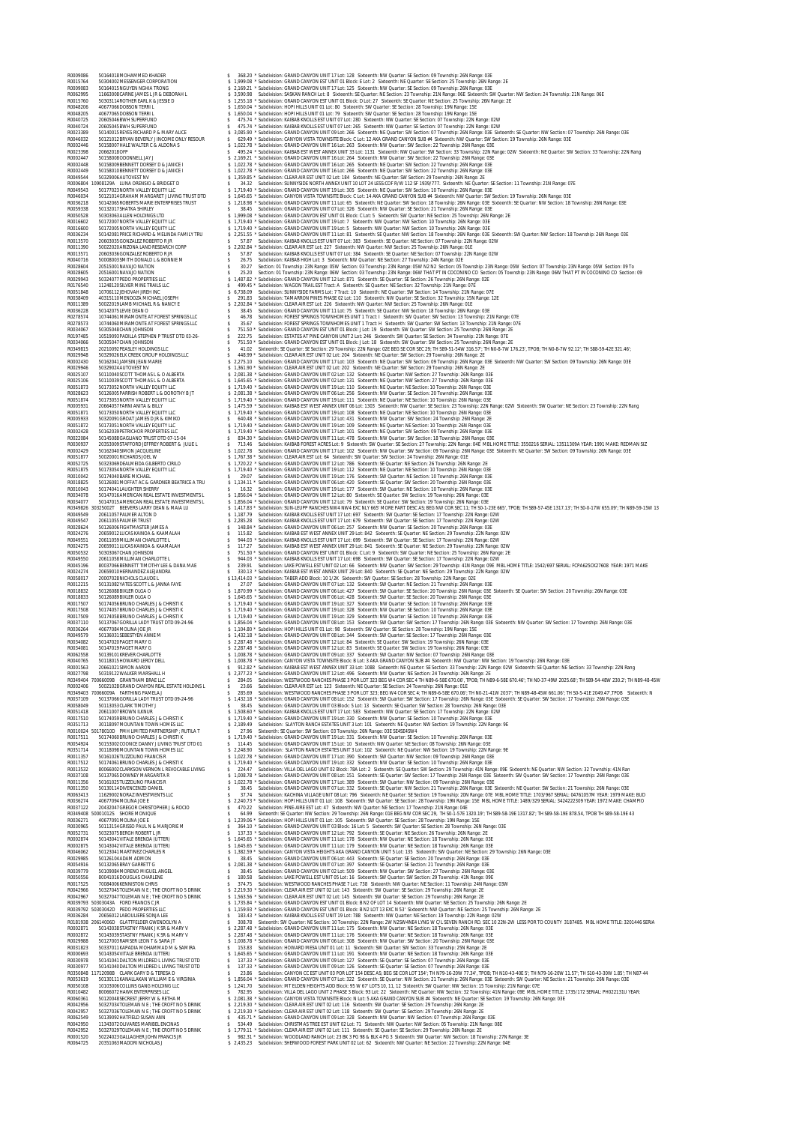R0009086 50164018MOHAMMED KHADER \$ 368.20 \* Subdivision: GRAND CANYON UNIT 17 Lot: 128 Sixteenth: NW Quarter: SE Section: 09 Township: 26N Range: 03E R0015764 50304002MESSENGER CORPORATION \$ 1,999.08 \* Subdivision: GRAND CANYON EST UNIT 01 Block: E Lot: 2 Sixteenth: NE Quarter: SE Section: 25 Township: 26N Range: 2E R0009083 50164015NGUYEN NGHIA TRONG \$ 2,169.21 \* Subdivision: GRAND CANYON UNIT 17 Lot: 125 Sixteenth: NW Quarter: SE Section: 09 Township: 26N Range: 03E R0062995 11663008CARNE JAMES L JR & DEBORAH L \$ 3,590.98 Subdivision: SASKAN RANCH Lot: 8 Sixteenth: SE Quarter: NE Section: 23 Township: 21N Range: 06E Sixteenth: SW Quarter: NW Section: 24 Township: 21N Range: 06E R0015760 50303114ROTHER EARL K & JESSIE D \$ 1,255.18 \* Subdivision: GRAND CANYON EST UNIT 01 Block: D Lot: 27 Sixteenth: SE Quarter: NE Section: 25 Township: 26N Range: 2E R0048206 40677066DOBSON TERRI L \$ 1,650.04 \* Subdivision: HOPI HILLS UNIT 01 Lot: 80 Sixteenth: SW Quarter: SE Section: 28 Township: 19N Range: 15E R0048205 40677065DOBSON TERRI L \$ 1,650.04 \* Subdivision: HOPI HILLS UNIT 01 Lot: 79 Sixteenth: SW Quarter: SE Section: 28 Township: 19N Range: 15E R0040725 20605046BWH SUPERFUND \$ 475.74 \* Subdivision: KAIBAB KNOLLS EST UNIT 07 Lot: 280 Sixteenth: NW Quarter: SE Section: 07 Township: 22N Range: 02W R0040724 20605045BWH SUPERFUND \$ 475.74 \* Subdivision: KAIBAB KNOLLS EST UNIT 07 Lot: 265 Sixteenth: NW Quarter: SE Section: 07 Township: 22N Range: 02W R0023389 50140015REYES RICHARD P & MARY ALICE \$ 3,085.90 \* Subdivision: GRAND CANYON UNIT 09 Lot: 266 Sixteenth: NE Quarter: SW Section: 07 Township: 26N Range: 03E Sixteenth: SE Quarter: NW Section: 07 Township: 26N Range: 03E R0046032 50121012BRYAN BEVERLY J INCOME ONLY RESOUR \$ 629.49 \* Subdivision: CANYON VISTA TOWNSITE Block: C Lot: 12 AKA GRAND CANYON SUB #4 Sixteenth: NW Quarter: SW Section: 19 Township: 26N Range: 03E R0002446 50158007HALE WALTER C & ALDONA S \$ 1,022.78 \* Subdivision: GRAND CANYON UNIT 16 Lot: 263 Sixteenth: NW Quarter: SW Section: 22 Township: 26N Range: 03E R0023398 20662018OFP \$ 495.24 \* Subdivision: KAIBAB EST WEST ANNEX UNIT 33 Lot: 1131 Sixteenth: NW Quarter: SW Section: 33 Township: 22N Range: 02W Sixteenth: NE Quarter: SW Section: 33 Township: 22N Rang R0002447 50158008ODONNELL JAY J \$ 2,169.21 \* Subdivision: GRAND CANYON UNIT 16 Lot: 264 Sixteenth: NW Quarter: SW Section: 22 Township: 26N Range: 03E R0002448 50158009BENNETT DORSEY D & JANICE I \$ 1,022.78 \* Subdivision: GRAND CANYON UNIT 16 Lot: 265 Sixteenth: NE Quarter: SW Section: 22 Township: 26N Range: 03E R0002449 50158010BENNETT DORSEY D & JANICE I \$ 1,022.78 \* Subdivision: GRAND CANYON UNIT 16 Lot: 266 Sixteenth: NE Quarter: SW Section: 22 Township: 26N Range: 03E R0049544 50329006AUTOVEST NV \$ 1,359.85 \* Subdivision: CLEAR AIR EST UNIT 02 Lot: 184 Sixteenth: NE Quarter: SW Section: 29 Township: 26N Range: 2E R0006804 10908129A LUNA ORENSIO & BRIDGET D \$ 34.32 Subdivision: SUNNYSIDE NORTH ANNEX UNIT 10 LOT 24 LESS:COF R/W 112 SF 1939/777. Sixteenth: NE Quarter: SE Section: 11 Township: 21N Range: 07E R0049543 50177023NORTH VALLEY EQUITY LLC \$ 1,719.40 \* Subdivision: GRAND CANYON UNIT 19 Lot: 305 Sixteenth: NE Quarter: SW Section: 10 Township: 26N Range: 03E R0046034 50121014GRAHAM MARGARET J LIVING TRUST DTD \$ 1,645.65 \* Subdivision: CANYON VISTA TOWNSITE Block: C Lot: 14 AKA GRAND CANYON SUB #4 Sixteenth: NW Quarter: SW Section: 19 Township: 26N Range: 03E R0036218 50142065ROBERTS MARIE ENTERPRISES TRUST \$ 1,218.98 \* Subdivision: GRAND CANYON UNIT 11 Lot: 65 Sixteenth: NE Quarter: SW Section: 18 Township: 26N Range: 03E Sixteenth: SE Quarter: NW Section: 18 Township: 26N Range: 03E R0059338 50132017SHATKA SHIRLEY \$ 38.45 Subdivision: GRAND CANYON UNIT 07 Lot: 326 Sixteenth: NW Quarter: SE Section: 21 Township: 26N Range: 03E R0050528 50303063ALLEN HOLDINGS LTD \$ 1,999.08 \* Subdivision: GRAND CANYON EST UNIT 01 Block: C Lot: 5 Sixteenth: SW Quarter: NE Section: 25 Township: 26N Range: 2E R0016602 50172007NORTH VALLEY EQUITY LLC \$ 1,719.40 \* Subdivision: GRAND CANYON UNIT 19 Lot: 7 Sixteenth: NW Quarter: NW Section: 10 Township: 26N Range: 03E R0016600 50172005NORTH VALLEY EQUITY LLC \$ 1,719.40 \* Subdivision: GRAND CANYON UNIT 19 Lot: 5 Sixteenth: NW Quarter: NW Section: 10 Township: 26N Range: 03E R0036234 50142081PRICE RICHARD & MELINDA FAMILY TRU \$ 2,251.55 \* Subdivision: GRAND CANYON UNIT 11 Lot: 81 Sixteenth: SE Quarter: NW Section: 18 Township: 26N Range: 03E Sixteenth: SW Quarter: NW Section: 18 Township: 26N Range: 03E R0013570 20603035GONZALEZ ROBERTO R JR \$ 57.87 Subdivision: KAIBAB KNOLLS EST UNIT 07 Lot: 383 Sixteenth: SE Quarter: NE Section: 07 Township: 22N Range: 02W R0011390 50022020ARIZONA LAND RESEARCH CORP \$ 2,202.84 \* Subdivision: CLEAR AIR EST Lot: 227 Sixteenth: NW Quarter: NW Section: 25 Township: 26N Range: 01E R0013571 20603036GONZALEZ ROBERTO R JR \$ 57.87 Subdivision: KAIBAB KNOLLS EST UNIT 07 Lot: 384 Sixteenth: SE Quarter: NE Section: 07 Township: 22N Range: 02W R0040716 50008003SMITH DONALD L & BONNIE M \$ 26.75 Subdivision: KAIBAB HIGH Lot: 3 Sixteenth: NW Quarter: NE Section: 27 Township: 24N Range: 02E R0028604 20515001NAVAJO NATION \$ 30.27 Section: 01 Township: 23N Range: 05W Section: 03 Township: 23N Range: 05W N2 N2 Section: 05 Township: 23N Range: 05W Section: 07 Township: 23N Range: 05W Section: 09 To R0028605 20516001NAVAJO NATION \$ 25.20 Section: 01 Township: 23N Range: 06W Section: 03 Township: 23N Range: 06W THAT PT IN COCONINO CO Section: 05 Township: 23N Range: 06W THAT PT IN COCONINO CO Section: 09 R0029943 50324077PEDO PROPERTIES LLC \$ 1,487.82 \* Subdivision: GRAND CANYON UNIT 12 Lot: 871 Sixteenth: SE Quarter: SE Section: 26 Township: 26N Range: 02E R0176540 11248120SILVER MINE TRAILS LLC \$ 499.45 \* Subdivision: WAGON TRAIL EST Tract: A Sixteenth: SE Quarter: NE Section: 32 Township: 21N Range: 07E R0051848 10706112JEHOVAH JIREH INC \$ 6,738.09 Subdivision: SUNNYSIDE FARMS Lot: 7 Tract: 10 Sixteenth: NE Quarter: SW Section: 14 Township: 21N Range: 07E R0038409 40315110MENDOZA MICHAEL JOSEPH \$ 291.83 Subdivision: TAMARRON PINES PHASE 02 Lot: 110 Sixteenth: NW Quarter: SE Section: 32 Township: 15N Range: 12E R0011389 50022019LAMB MICHAEL R & NANCY E \$ 2,202.84 \* Subdivision: CLEAR AIR EST Lot: 226 Sixteenth: NW Quarter: NW Section: 25 Township: 26N Range: 01E R0036228 50142075LEVIE DEAN O \$ 38.45 Subdivision: GRAND CANYON UNIT 11 Lot: 75 Sixteenth: SE Quarter: NW Section: 18 Township: 26N Range: 03E R0278574 10744061MIRAMONTE AT FOREST SPRINGS LLC \$ 46.78 Subdivision: FOREST SPRINGS TOWNHOMES UNIT 1 Tract: I Sixteenth: SW Quarter: SW Section: 13 Township: 21N Range: 07E R0278573 10744060MIRAMONTE AT FOREST SPRINGS LLC \$ 35.67 Subdivision: FOREST SPRINGS TOWNHOMES UNIT 1 Tract: H Sixteenth: SW Quarter: SW Section: 13 Township: 21N Range: 07E R0034067 50305048CHAN JOHNSON \$ 751.50 \* Subdivision: GRAND CANYON EST UNIT 01 Block: J Lot: 19 Sixteenth: SW Quarter: SW Section: 25 Township: 26N Range: 2E R0197485 10519093PADILLA STEPHEN P TRUST DTD 03-26- \$ 222.75 Subdivision: ESTATES AT PINE CANYON UNIT 2 Lot: 246 Sixteenth: SW Quarter: SE Section: 34 Township: 21N Range: 07E R0034066 50305047CHAN JOHNSON \$ 751.50 \* Subdivision: GRAND CANYON EST UNIT 01 Block: J Lot: 18 Sixteenth: SW Quarter: SW Section: 25 Township: 26N Range: 2E R0349815 20210092PEASLEY HOLDINGS LLC \$ 41.02 Sixteenth: SE Quarter: SE Section: 29 Township: 22N Range: 02E BEG SE COR SEC 29; TH S89-51-54W 316.57'; TH N0-8-7W 176.23', TPOB; TH N0-8-7W 92.12'; TH S88-59-42E 321.46'; R0029948 50329026ELK CREEK GROUP HOLDINGS LLC \$ 448.99 \* Subdivision: CLEAR AIR EST UNIT 02 Lot: 204 Sixteenth: NE Quarter: SW Section: 29 Township: 26N Range: 2E R0002430 50162041JAMSIN JEAN MARIE \$ 2,275.10 Subdivision: GRAND CANYON UNIT 17 Lot: 103 Sixteenth: NE Quarter: SW Section: 09 Township: 26N Range: 03E Sixteenth: NW Quarter: SW Section: 09 Township: 26N Range: 03E R0029946 50329024AUTOVEST NV \$ 1,361.90 \* Subdivision: CLEAR AIR EST UNIT 02 Lot: 202 Sixteenth: NE Quarter: SW Section: 29 Township: 26N Range: 2E R0025107 50110040SCOTT THOMAS L & O ALBERTA \$ 2,081.38 \* Subdivision: GRAND CANYON UNIT 02 Lot: 132 Sixteenth: NE Quarter: NW Section: 27 Township: 26N Range: 03E R0025106 50110039SCOTT THOMAS L & O ALBERTA \$ 1,645.65 \* Subdivision: GRAND CANYON UNIT 02 Lot: 131 Sixteenth: NE Quarter: NW Section: 27 Township: 26N Range: 03E R0051873 50173052NORTH VALLEY EQUITY LLC \$ 1,719.40 \* Subdivision: GRAND CANYON UNIT 19 Lot: 110 Sixteenth: NE Quarter: NE Section: 10 Township: 26N Range: 03E R0028623 50126005PARRISH ROBERT L & DOROTHY B JT \$ 2,081.38 \* Subdivision: GRAND CANYON UNIT 06 Lot: 256 Sixteenth: NW Quarter: SE Section: 20 Township: 26N Range: 03E R0051874 50173053NORTH VALLEY EQUITY LLC \$ 1,719.40 \* Subdivision: GRAND CANYON UNIT 19 Lot: 111 Sixteenth: NE Quarter: NE Section: 10 Township: 26N Range: 03E R0005931 20664057FARNI ANITA & BILLY \$ 1,475.59 \* Subdivision: KAIBAB EST WEST ANNEX UNIT 06 Lot: 1303 Sixteenth: NW Quarter: SE Section: 23 Township: 22N Range: 02W Sixteenth: SW Quarter: NE Section: 23 Township: 22N Rang R0051871 50173050NORTH VALLEY EQUITY LLC \$ 1,719.40 \* Subdivision: GRAND CANYON UNIT 19 Lot: 108 Sixteenth: NE Quarter: NE Section: 10 Township: 26N Range: 03E R0005933 50320091GROAT JAMES D JR & KIMIKO \$ 640.48 \* Subdivision: GRAND CANYON UNIT 12 Lot: 431 Sixteenth: NW Quarter: SW Section: 24 Township: 26N Range: 2E R0051872 50173051NORTH VALLEY EQUITY LLC \$ 1,719.40 \* Subdivision: GRAND CANYON UNIT 19 Lot: 109 Sixteenth: NE Quarter: NE Section: 10 Township: 26N Range: 03E R0002428 50162039PETRICHOR PROPERTIES LLC \$ 1,719.40 \* Subdivision: GRAND CANYON UNIT 17 Lot: 101 Sixteenth: NE Quarter: SW Section: 09 Township: 26N Range: 03E R0022084 50145088GAGLIANO TRUST DTD 07-15-04 \$ 834.30 \* Subdivision: GRAND CANYON UNIT 11 Lot: 478 Sixteenth: NW Quarter: SW Section: 18 Township: 26N Range: 03E R0030937 20353009STAFFORD JEFFREY ROBERT & JULIE L \$ 713.46 Subdivision: KAIBAB FOREST ACRES Lot: 9 Sixteenth: SW Quarter: SE Section: 27 Township: 22N Range: 04E MBL HOME TITLE: 3550216 SERIAL: 13511309A YEAR: 1991 MAKE: REDMAN SIZ R0002429 50162040SIMON JACQUELINE \$ 1,022.78 Subdivision: GRAND CANYON UNIT 17 Lot: 102 Sixteenth: NW Quarter: SW Section: 09 Township: 26N Range: 03E Sixteenth: NE Quarter: SW Section: 09 Township: 26N Range: 03E R0051877 50020001RICHARDS JOEL W \$ 1,767.38 \* Subdivision: CLEAR AIR EST Lot: 64 Sixteenth: SW Quarter: SW Section: 24 Township: 26N Range: 01E R0052725 50323069DEALMEIDA GILBERTO CIRILO \$ 1,720.22 \* Subdivision: GRAND CANYON UNIT 12 Lot: 786 Sixteenth: SE Quarter: NE Section: 26 Township: 26N Range: 2E R0051875 50173054NORTH VALLEY EQUITY LLC \$ 1,719.40 \* Subdivision: GRAND CANYON UNIT 19 Lot: 112 Sixteenth: NE Quarter: NE Section: 10 Township: 26N Range: 03E R0010042 50174040BARE MICHAEL \$ 29.07 Subdivision: GRAND CANYON UNIT 19 Lot: 176 Sixteenth: SW Quarter: NE Section: 10 Township: 26N Range: 03E R0018825 50126081MOFFAT AC & GARDNER BEATRICE A TRU \$ 1,134.11 \* Subdivision: GRAND CANYON UNIT 06 Lot: 420 Sixteenth: SE Quarter: SW Section: 20 Township: 26N Range: 03E R0010043 50174041LAUGHTER SHERRY \$ 16.32 Subdivision: GRAND CANYON UNIT 19 Lot: 177 Sixteenth: SW Quarter: NE Section: 10 Township: 26N Range: 03E R0034078 50147016AMERICAN REAL ESTATE INVESTMENTS L \$ 1,856.04 \* Subdivision: GRAND CANYON UNIT 12 Lot: 80 Sixteenth: SE Quarter: SW Section: 19 Township: 26N Range: 03E R0034077 50147015AMERICAN REAL ESTATE INVESTMENTS L \$ 1,856.04 \* Subdivision: GRAND CANYON UNIT 12 Lot: 79 Sixteenth: SE Quarter: SW Section: 19 Township: 26N Range: 03E R0349826 30325002T BEEVERS LARRY DEAN & MAIA LU \$ 1,417.83 \* Subdivision: SUN-LEUPP RANCHES NW4 NW4 EXC NLY 665' MORE PART DESC AS; BEG NW COR SEC 11; TH S0-1-23E 665', TPOB; TH S89-57-45E 1317.13'; TH S0-0-17W 655.09'; TH N89-59-15W 13 R0049549 20611057PALMER ALTON D \$ 1,187.79 Subdivision: KAIBAB KNOLLS EST UNIT 17 Lot: 697 Sixteenth: SW Quarter: SE Section: 17 Township: 22N Range: 02W R0049547 20611055PALMER TRUST \$ 2,285.28 Subdivision: KAIBAB KNOLLS EST UNIT 17 Lot: 679 Sixteenth: SW Quarter: SE Section: 17 Township: 22N Range: 02W R0028624 50126006FIGHTMASTER JAMES A \$ 148.84 \* Subdivision: GRAND CANYON UNIT 06 Lot: 257 Sixteenth: NW Quarter: SE Section: 20 Township: 26N Range: 03E R0024276 20659012LUCAS KAINOA & KAAMALAH \$ 115.82 Subdivision: KAIBAB EST WEST ANNEX UNIT 29 Lot: 842 Sixteenth: SE Quarter: NE Section: 29 Township: 22N Range: 02W R0049551 20611059MILLIMAN CHARLOTTE L \$ 944.03 \* Subdivision: KAIBAB KNOLLS EST UNIT 17 Lot: 699 Sixteenth: SW Quarter: SE Section: 17 Township: 22N Range: 02W R0024275 20659011LUCAS KAINOA & KAAMALAH \$ 117.27 Subdivision: KAIBAB EST WEST ANNEX UNIT 29 Lot: 841 Sixteenth: SE Quarter: NE Section: 29 Township: 22N Range: 02W R0050532 50303067CHAN JOHNSON \$ 751.50 \* Subdivision: GRAND CANYON EST UNIT 01 Block: C Lot: 9 Sixteenth: SW Quarter: NE Section: 25 Township: 26N Range: 2E R0049550 20611058MILLIMAN CHARLOTTE L \$ 944.03 \* Subdivision: KAIBAB KNOLLS EST UNIT 17 Lot: 698 Sixteenth: SW Quarter: SE Section: 17 Township: 22N Range: 02W R0045196 80037066BENNETT TIMOTHY LEE & DANA MAE \$ 239.91 Subdivision: LAKE POWELL EST UNIT 02 Lot: 66 Sixteenth: NW Quarter: SW Section: 29 Township: 41N Range: 09E MBL HOME TITLE: 1542/697 SERIAL: FCPA625CK27608 YEAR: 1971 MAKE R0024274 20659010HERNANDEZ ALEJANDRA \$ 330.13 \* Subdivision: KAIBAB EST WEST ANNEX UNIT 29 Lot: 840 Sixteenth: SE Quarter: NE Section: 29 Township: 22N Range: 02W R0058017 20007028NICHOLS CLAUDE L \$ 13,414.03 \* Subdivision: TABER ADD Block: 10 1/2K Sixteenth: SW Quarter: SE Section: 28 Township: 22N Range: 02E R0012215 50131082YATES SCOTT L & JANNA FAYE \$ 27.07 Subdivision: GRAND CANYON UNIT 07 Lot: 132 Sixteenth: SW Quarter: NE Section: 21 Township: 26N Range: 03E R0018832 50126088BIXLER OLGA O \$ 1,870.99 \* Subdivision: GRAND CANYON UNIT 06 Lot: 427 Sixteenth: SW Quarter: SE Section: 20 Township: 26N Range: 03E Sixteenth: SE Quarter: SW Section: 20 Township: 26N Range: 03E R0018833 50126089BIXLER OLGA O \$ 1,645.65 \* Subdivision: GRAND CANYON UNIT 06 Lot: 428 Sixteenth: SW Quarter: SE Section: 20 Township: 26N Range: 03E R0017507 50174056BRUNO CHARLES J & CHRISTI K \$ 1,719.40 \* Subdivision: GRAND CANYON UNIT 19 Lot: 327 Sixteenth: NW Quarter: SE Section: 10 Township: 26N Range: 03E R0017508 50174057BRUNO CHARLES J & CHRISTI K \$ 1,719.40 \* Subdivision: GRAND CANYON UNIT 19 Lot: 328 Sixteenth: NW Quarter: SE Section: 10 Township: 26N Range: 03E R0017509 50174058BRUNO CHARLES J & CHRISTI K \$ 1,719.40 \* Subdivision: GRAND CANYON UNIT 19 Lot: 329 Sixteenth: NW Quarter: SE Section: 10 Township: 26N Range: 03E R0037110 50137067GORILLA LADY TRUST DTD 09-24-96 \$ 1,856.04 \* Subdivision: GRAND CANYON UNIT 08 Lot: 153 Sixteenth: SW Quarter: SW Section: 17 Township: 26N Range: 03E Sixteenth: NW Quarter: SW Section: 17 Township: 26N Range: 03E R0036264 40677084MOLINA JOE JR \$ 1,104.80 \* Subdivision: HOPI HILLS UNIT 01 Lot: 98 Sixteenth: SW Quarter: SE Section: 28 Township: 19N Range: 15E R0049579 50136031SEBESTYEN ANNE M \$ 1,432.18 \* Subdivision: GRAND CANYON UNIT 08 Lot: 344 Sixteenth: SW Quarter: SE Section: 17 Township: 26N Range: 03E R0034082 50147020PAGET MARY G \$ 2,287.48 \* Subdivision: GRAND CANYON UNIT 12 Lot: 84 Sixteenth: SE Quarter: SW Section: 19 Township: 26N Range: 03E R0034081 50147019PAGET MARY G \$ 2,287.48 \* Subdivision: GRAND CANYON UNIT 12 Lot: 83 Sixteenth: SE Quarter: SW Section: 19 Township: 26N Range: 03E R0062558 50139101KREVER CHARLOTTE \$ 1,008.78 \* Subdivision: GRAND CANYON UNIT 09 Lot: 337 Sixteenth: SW Quarter: NW Section: 07 Township: 26N Range: 03E R0040765 50118015HOWARD LEROY DELL \$ 1,008.78 \* Subdivision: CANYON VISTA TOWNSITE Block: B Lot: 3 AKA GRAND CANYON SUB #4 Sixteenth: NW Quarter: NW Section: 19 Township: 26N Range: 03E R0001563 20661021SIMON AARON \$ 912.82 \* Subdivision: KAIBAB EST WEST ANNEX UNIT 33 Lot: 1088 Sixteenth: NE Quarter: SE Section: 33 Township: 22N Range: 02W Sixteenth: SE Quarter: NE Section: 33 Township: 22N Rang R0027798 50319122WALKER MARSHALL H \$ 2,377.23 \* Subdivision: GRAND CANYON UNIT 12 Lot: 496 Sixteenth: NW Quarter: NE Section: 24 Township: 26N Range: 2E R0349404 70066009B GRANTHAM BRAE LLC \$ 284.05 Subdivision: WESTWOOD RANCHES PHASE 3 POR LOT 323 BEG W4 COR SEC 4 TH N89-6-58E 670.06', TPOB; TH N89-6-58E 670.46'; TH N0-37-49W 2025.68'; TH S89-54-48W 230.2'; TH N89-48-45W R0002406 50021028GRAND CANYON REAL ESTATE HOLDINS L \$ 23.66 Subdivision: CLEAR AIR EST Lot: 123 Sixteenth: NE Quarter: SE Section: 24 Township: 26N Range: 01E R0349403 70066009A FARTHING PAMELA J \$ 285.69 Subdivision: WESTWOOD RANCHES PHASE 3 POR LOT 323; BEG W4 COR SEC 4; TH N89-6-58E 670.06'; TH N0-21-41W 2037'; TH N89-48-45W 661.06'; TH S0-5-41E 2049.47',TPOB Sixteenth: N R0037109 50137066GORILLA LADY TRUST DTD 09-24-96 \$ 1,432.18 \* Subdivision: GRAND CANYON UNIT 08 Lot: 152 Sixteenth: SW Quarter: SW Section: 17 Township: 26N Range: 03E Sixteenth: SE Quarter: SW Section: 17 Township: 26N Range: 03E R0058049 50113053CLARK TIMOTHY J \$ 38.45 Subdivision: GRAND CANYON UNIT 03 Block: 5 Lot: 13 Sixteenth: SE Quarter: SW Section: 28 Township: 26N Range: 03E R0051418 20611007BROWN ILKNUR \$ 1,508.60 \* Subdivision: KAIBAB KNOLLS EST UNIT 17 Lot: 583 Sixteenth: NW Quarter: SE Section: 17 Township: 22N Range: 02W R0017510 50174059BRUNO CHARLES J & CHRISTI K \$ 1,719.40 \* Subdivision: GRAND CANYON UNIT 19 Lot: 330 Sixteenth: NW Quarter: SE Section: 10 Township: 26N Range: 03E R0351713 30118097MOUNTAIN TOWN HOMES LLC \$ 2,189.49 Subdivision: SLAYTON RANCH ESTATES UNIT 3 Lot: 101 Sixteenth: NE Quarter: NW Section: 19 Township: 22N Range: 9E R0010024 50178010D PMH LIMITED PARTNERSHIP ; RUTILA T \$ 27.96 Sixteenth: SE Quarter: SW Section: 03 Township: 26N Range: 03E SE4SE4SW4 R0017511 50174060BRUNO CHARLES J & CHRISTI K \$ 1,719.40 \* Subdivision: GRAND CANYON UNIT 19 Lot: 331 Sixteenth: NW Quarter: SE Section: 10 Township: 26N Range: 03E R0054924 50153002COONCE DANNY J LIVING TRUST DTD 01 \$ 114.45 Subdivision: GRAND CANYON UNIT 15 Lot: 10 Sixteenth: NW Quarter: NE Section: 08 Township: 26N Range: 03E R0351714 30118098MOUNTAIN TOWN HOMES LLC \$ 2,248.90 Subdivision: SLAYTON RANCH ESTATES UNIT 3 Lot: 102 Sixteenth: NE Quarter: NW Section: 19 Township: 22N Range: 9E R0011357 50161026TUZZOLINO FRANCIS R \$ 1,022.78 \* Subdivision: GRAND CANYON UNIT 17 Lot: 390 Sixteenth: SW Quarter: NW Section: 09 Township: 26N Range: 03E R0017512 50174061BRUNO CHARLES J & CHRISTI K \$ 1,719.40 \* Subdivision: GRAND CANYON UNIT 19 Lot: 332 Sixteenth: NW Quarter: SE Section: 10 Township: 26N Range: 03E R0013532 80066002CLARKSON VERNON L REVOCABLE LIVING \$ 224.47 Subdivision: VILLA DEL LAGO UNIT 02 Block: 78A Lot: 2 Sixteenth: SE Quarter: SW Section: 29 Township: 41N Range: 09E Sixteenth: NE Quarter: NW Section: 32 Township: 41N Ran R0037108 50137065DOWNEY MARGARITA R \$ 1,008.78 \* Subdivision: GRAND CANYON UNIT 08 Lot: 151 Sixteenth: SE Quarter: SW Section: 17 Township: 26N Range: 03E Sixteenth: SW Quarter: SW Section: 17 Township: 26N Range: 03E R0011356 50161025TUZZOLINO FRANCIS R \$ 1,022.78 \* Subdivision: GRAND CANYON UNIT 17 Lot: 389 Sixteenth: SW Quarter: NW Section: 09 Township: 26N Range: 03E R0011350 50130114DIVENCENZO DANIEL \$ 38.45 Subdivision: GRAND CANYON UNIT 07 Lot: 332 Sixteenth: SE Quarter: NW Section: 21 Township: 26N Range: 03E Sixteenth: NE Quarter: SW Section: 21 Township: 26N Range: 03E R0063413 11629002NORAZ INVESTMENTS LLC \$ 37.74 Subdivision: KACHINA VILLAGE UNIT 08 Lot: 796 Sixteenth: NE Quarter: SE Section: 19 Township: 20N Range: 07E MBL HOME TITLE: 1703/967 SERIAL: 04761057M YEAR: 1979 MAKE: BUD R0036274 40677094MOLINA JOE E \$ 2,240.73 \* Subdivision: HOPI HILLS UNIT 01 Lot: 108 Sixteenth: SW Quarter: SE Section: 28 Township: 19N Range: 15E MBL HOME TITLE: 1489/329 SERIAL: 3424222309 YEAR: 1972 MAKE: CHAMPIO R0037122 20432047GREGOR CHRISTOPHER J & ROCIO \$ 470.22 Subdivision: PINE-AIRE EST Lot: 47 Sixteenth: NW Quarter: NE Section: 17 Township: 21N Range: 04E R0349408 50001012S SHORE MONIQUE \$ 64.99 Sixteenth: SE Quarter: NW Section: 29 Township: 26N Range: 01E BEG NW COR SEC 29, TH S0-1-57E 1320.19'; TH S89-58-19E 1317.82'; TH S89-58-19E 878.54, TPOB TH S89-58-19E 43 R0036271 40677091MOLINA JOE E \$ 1,239.06 \* Subdivision: HOPI HILLS UNIT 01 Lot: 105 Sixteenth: SW Quarter: SE Section: 28 Township: 19N Range: 15E R0030965 50113154GRISSO PAUL N & MARJORIE M \$ 364.10 \* Subdivision: GRAND CANYON UNIT 03 Block: 16 Lot: 5 Sixteenth: SW Quarter: SE Section: 28 Township: 26N Range: 03E R0052731 50323075BERGH ROBERT L JR \$ 137.33 \* Subdivision: GRAND CANYON UNIT 12 Lot: 792 Sixteenth: SE Quarter: NE Section: 26 Township: 26N Range: 2E R0002874 50143041VITALE BRENDA (UTTER) \$ 1,645.65 \* Subdivision: GRAND CANYON UNIT 11 Lot: 178 Sixteenth: NW Quarter: NE Section: 18 Township: 26N Range: 03E R0002875 50143042VITALE BRENDA (UTTER) \$ 1,645.65 \* Subdivision: GRAND CANYON UNIT 11 Lot: 179 Sixteenth: NW Quarter: NE Section: 18 Township: 26N Range: 03E R0046062 50123041MARTINEZ CHARLES R \$ 1,382.59 \* Subdivision: CANYON VISTA HEIGHTS AKA GRAND CANYON UNIT 5 Lot: 135 Sixteenth: SW Quarter: NE Section: 29 Township: 26N Range: 03E R0029985 50126104ADAM ADMON \$ 38.45 Subdivision: GRAND CANYON UNIT 06 Lot: 443 Sixteenth: SE Quarter: SE Section: 20 Township: 26N Range: 03E R0054916 50132065BRAY GARRETT G \$ 2,081.38 \* Subdivision: GRAND CANYON UNIT 07 Lot: 397 Sixteenth: SE Quarter: SE Section: 21 Township: 26N Range: 03E R0039779 50109084MORENO MIGUEL ANGEL \$ 38.45 Subdivision: GRAND CANYON UNIT 02 Lot: 509 Sixteenth: NW Quarter: SW Section: 27 Township: 26N Range: 03E R0050556 80041016DOUGLAS CHARLENE \$ 180.58 Subdivision: LAKE POWELL EST UNIT 05 Lot: 16 Sixteenth: SW Quarter: SW Section: 29 Township: 41N Range: 09E R0017525 70084006KENNISTON CHRIS \$ 374.75 Subdivision: WESTWOOD RANCHES PHASE 7 Lot: 738 Sixteenth: NW Quarter: NE Section: 11 Township: 24N Range: 03W R0042966 50327045TOLEMAN N E ; THE CROFT NO 5 DRINK \$ 2,219.30 \* Subdivision: CLEAR AIR EST UNIT 02 Lot: 143 Sixteenth: SW Quarter: SE Section: 29 Township: 26N Range: 2E R0042967 50327047TOLEMAN N E ; THE CROFT NO 5 DRINK \$ 1,563.56 \* Subdivision: CLEAR AIR EST UNIT 02 Lot: 145 Sixteenth: SW Quarter: SE Section: 29 Township: 26N Range: 2E R0039793 50303043A FORD FRANCIS C JR \$ 1,735.84 \* Subdivision: GRAND CANYON EST UNIT 01 Block: B N2 OF LOT 14 Sixteenth: NW Quarter: NE Section: 25 Township: 26N Range: 2E R0039792 50303042D PEDO PROPERTIES LLC \$ 1,159.93 \* Subdivision: GRAND CANYON EST UNIT 01 Block: B N2 LOT 13 EXC N 53' Sixteenth: NW Quarter: NE Section: 25 Township: 26N Range: 2E R0036284 20656012LABOULIERE SONJA LEE \$ 183.43 \* Subdivision: KAIBAB KNOLLS EST UNIT 19 Lot: 788 Sixteenth: NW Quarter: NE Section: 19 Township: 22N Range: 02W R0181938 20614006D GLATTFELDER GWENDOLYN A \$ 308.78 Sixteenth: SW Quarter: NE Section: 10 Township: 22N Range: 2W N2SW4NE4 LYNG W C/L SEVEN RANCH RD. SEC 10 22N-2W LESS POR TO COUNTY 3187485. MBL HOME TITLE: 3201446 SERIA R0002871 50143038STASTNY FRANK J K SR & MARY V \$ 2,287.48 \* Subdivision: GRAND CANYON UNIT 11 Lot: 175 Sixteenth: NW Quarter: NE Section: 18 Township: 26N Range: 03E R0002872 50143039STASTNY FRANK J K SR & MARY V \$ 2,287.48 \* Subdivision: GRAND CANYON UNIT 11 Lot: 176 Sixteenth: NW Quarter: NE Section: 18 Township: 26N Range: 03E R0029988 50127003RAMSER LEON T & SARA JT \$ 1,008.78 \* Subdivision: GRAND CANYON UNIT 06 Lot: 308 Sixteenth: NW Quarter: SW Section: 20 Township: 26N Range: 03E R0031823 50337011KAPADIA MOHAMMAD M & SAMIRA \$ 153.83 Subdivision: HOWARD MESA UNIT 01 Lot: 11 Sixteenth: SW Quarter: SW Section: 33 Township: 25N Range: 2E R0000693 50143054VITALE BRENDA (UTTER) \$ 1,645.65 \* Subdivision: GRAND CANYON UNIT 11 Lot: 191 Sixteenth: NW Quarter: NE Section: 18 Township: 26N Range: 03E R0030978 50141041DALTON MILDRED L LIVING TRUST DTD \$ 137.33 \* Subdivision: GRAND CANYON UNIT 09 Lot: 127 Sixteenth: SE Quarter: SE Section: 07 Township: 26N Range: 03E R0030977 50141040DALTON MILDRED L LIVING TRUST DTD \$ 137.33 \* Subdivision: GRAND CANYON UNIT 09 Lot: 126 Sixteenth: SE Quarter: SE Section: 07 Township: 26N Range: 03E R0350848 11712098B CLARK GARY D & TERESA D \$ 23.86 Subdivision: CANYON CC EST UNIT 03 POR LOT 154 DESC AS; BEG SE COR LOT 154'; TH N79-16-20W 77.34', TPOB; TH N10-43-40E 5'; TH N79-16-20W 11.57'; TH S10-43-30W 1.85'; TH N87-44 R0053619 50130111KANALLAKAN WILLIAM E & VIRGINIA \$ 1,856.04 \* Subdivision: GRAND CANYON UNIT 07 Lot: 322 Sixteenth: SE Quarter: NW Section: 21 Township: 26N Range: 03E Sixteenth: SW Quarter: NE Section: 21 Township: 26N Range: 03E R0050108 10103006COLLINS GANG HOLDING LLC \$ 1,241.70 Subdivision: MT ELDEN HEIGHTS ADD Block: 95 W 67' LOTS 10, 11, 12 Sixteenth: SW Quarter: NW Section: 15 Township: 21N Range: 07E R0010482 80066072HAWK ENTERPRISES LLC \$ 782.95 Subdivision: VILLA DEL LAGO UNIT 2 PHASE 3 Block: 93 Lot: 22 Sixteenth: NE Quarter: NW Section: 32 Township: 41N Range: 09E MBL HOME TITLE: 1735/172 SERIAL: PH022131U YEAR: R0060361 50120048SECREST JERRY W & RETHA M \$ 2,081.38 \* Subdivision: CANYON VISTA TOWNSITE Block: N Lot: 5 AKA GRAND CANYON SUB #4 Sixteenth: NE Quarter: SE Section: 19 Township: 26N Range: 03E R0042956 50327034TOLEMAN N E ; THE CROFT NO 5 DRINK \$ 2,219.30 \* Subdivision: CLEAR AIR EST UNIT 02 Lot: 116 Sixteenth: SW Quarter: SE Section: 29 Township: 26N Range: 2E R0042957 50327036TOLEMAN N E ; THE CROFT NO 5 DRINK \$ 2,219.30 \* Subdivision: CLEAR AIR EST UNIT 02 Lot: 118 Sixteenth: SW Quarter: SE Section: 29 Township: 26N Range: 2E R0062549 50139092HATFIELD SUSAN ANN \$ 435.71 \* Subdivision: GRAND CANYON UNIT 09 Lot: 328 Sixteenth: NW Quarter: NW Section: 07 Township: 26N Range: 03E R0042950 11343072OLIVARES MARIBEL ENCINAS \$ 534.49 Subdivision: CHRISTMAS TREE EST UNIT 02 Lot: 71 Sixteenth: NW Quarter: NW Section: 05 Township: 21N Range: 08E R0042952 50327029TOLEMAN N E ; THE CROFT NO 5 DRINK \$ 1,779.11 \* Subdivision: CLEAR AIR EST UNIT 02 Lot: 111 Sixteenth: SE Quarter: SE Section: 29 Township: 26N Range: 2E R0001520 50224023GALLAGHER JOHN FRANCIS JR \$ 982.31 \* Subdivision: WOODLAND RANCH Lot: 23 BK 3 PG 98 & BLK 4 PG 3 Sixteenth: SW Quarter: NW Section: 18 Township: 27N Range: 3E R0064725 20351063MADORI NICHOLAS J \$ 2,435.23 Subdivision: SHERWOOD FOREST PARK UNIT 02 Lot: 62 Sixteenth: NW Quarter: NE Section: 22 Township: 22N Range: 04E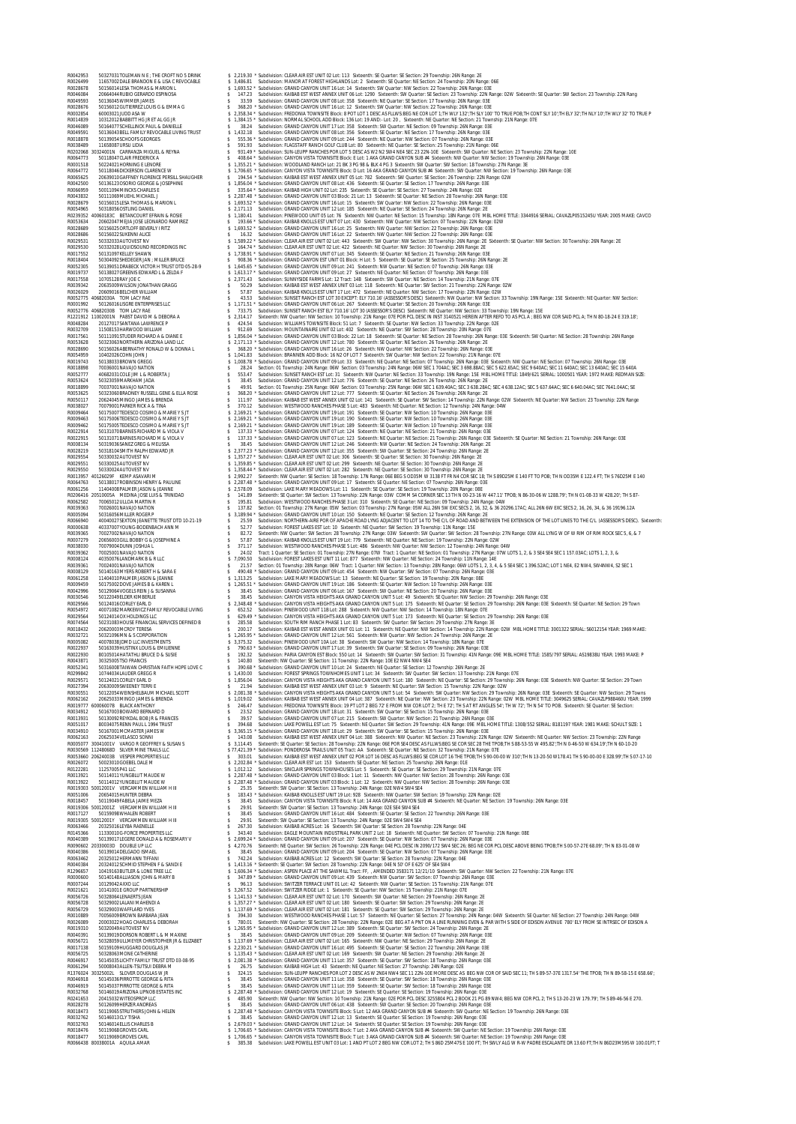R0042953 50327031TOLEMAN N E ; THE CROFT NO 5 DRINK \$ 2,219.30 \* Subdivision: CLEAR AIR EST UNIT 02 Lot: 113 Sixteenth: SE Quarter: SE Section: 29 Township: 26N Range: 2E R0026499 11657002DALE BRANDON E & LISA C REVOCABLE \$ 3,486.81 Subdivision: MANOR AT FOREST HIGHLANDS Lot: 2 Sixteenth: SE Quarter: NE Section: 24 Township: 20N Range: 06E R0028678 50156014LESA THOMAS & MARION L \$ 1,693.52 \* Subdivision: GRAND CANYON UNIT 16 Lot: 14 Sixteenth: SW Quarter: NW Section: 22 Township: 26N Range: 03E R0046084 20664044RUBIO GERARDO ESPINOSA \$ 147.23 Subdivision: KAIBAB EST WEST ANNEX UNIT 06 Lot: 1290 Sixteenth: SW Quarter: SE Section: 23 Township: 22N Range: 02W Sixteenth: SE Quarter: SW Section: 23 Township: 22N Rang R0049593 50136045WIMMER JAMES \$ 33.59 Subdivision: GRAND CANYON UNIT 08 Lot: 358 Sixteenth: NE Quarter: SE Section: 17 Township: 26N Range: 03E R0028676 50156012GUTIERREZ LOUIS G & EMMA G \$ 368.20 \* Subdivision: GRAND CANYON UNIT 16 Lot: 12 Sixteenth: SW Quarter: NW Section: 22 Township: 26N Range: 03E R0002854 60003021JUDD ASA W \$ 2,358.34 \* Subdivision: FREDONIA TOWNSITE Block: 8 POT LOT 1 DESC AS FLLWS:BEG NE COR LOT 1;TH WLY 132';TH SLY 100' TO TRUE POB;TH CONT SLY 10';TH ELY 32';TH NLY 10';TH WLY 32' TO TRUE P R0014839 10312012BABBITT HG JR ET AL GG JR \$ 1,384.15 \* Subdivision: NORMAL SCHOOL ADD Block: 136 Lot: 19 AND:- Lot: 20 , Sixteenth: NE Quarter: NE Section: 21 Township: 21N Range: 07E R0046089 50164077SCHELLINCK PAUL & DANIELLE \$ 38.24 Subdivision: GRAND CANYON UNIT 17 Lot: 358 Sixteenth: SW Quarter: NE Section: 09 Township: 26N Range: 03E R0049591 50136043BELL FAMILY REVOCABLE LIVING TRUST \$ 1,432.18 Subdivision: GRAND CANYON UNIT 08 Lot: 356 Sixteenth: SE Quarter: NE Section: 17 Township: 26N Range: 03E R0018878 50139054SCHOOFS GEORGES \$ 555.36 \* Subdivision: GRAND CANYON UNIT 09 Lot: 244 Sixteenth: NE Quarter: NW Section: 07 Township: 26N Range: 03E R0038489 11658087URSU LIDIA \$ 591.93 Subdivision: FLAGSTAFF RANCH GOLF CLUB Lot: 80 Sixteenth: NE Quarter: SE Section: 25 Township: 21N Range: 06E R020006128020001N CARRAVIA MOULE & REWANNER AND A SANDAY SURVEY AND SEVEN AND SEVEN AND ARREST AND A CONSULTER A SANDAL CONSULTER A SANDAL CONSULTER AND A CONSULTER A SANDAL CONSULTER AND A CONSULTER AND A CONSULTER AND A ROZABOBA SO156025/SORTIOF REVENEY INTO \$1.65.52 Subdivision: GRAND CANYON UNIT 16 Lice 25 Subset MV Guarter: MV Scelicher 27 Downling: 2008 Tange: 02<br>
ROZABOBA SO15023314/UVST IN: THE BUCK CONDUCT AND THE SUBDIVISION COND ROOS 10402020CHN UDHN 10002020CHN S 1,000 30 subdivision: GRAND CANYON UNIT O Jour 2017 Subdivision: GRAND CANYON UNIT O Jour 33 Subdivision: GRAND CANYON UNIT O Jour 33 Subdivision: GRAND CANYON UNIT O Jour 33 Subdivisio R0028134 50319105ANRE/GREEC MELISSA 504 SALES Subdivision: GRAND CANVON UNIT 12 Lot: 265 Sixteenth: NV Quarter: NE Section: 24 Township: 2204 2814 29 Range: 22<br>R0029554 50330032AUTOVEST NV \$ 1,357.27 \* Subdivision: CLEAR A R0029551 50330025AUTOVEST NV \$ 1,359.85 \* Subdivision: CLEAR AIR EST UNIT 02 Lot: 299 Sixteenth: NE Quarter: SE Section: 30 Township: 26N Range: 2E R0029550 50330024AUTOVEST NV \$ 1,358.44 \* Subdivision: CLEAR AIR EST UNIT 02 Lot: 282 Sixteenth: NE Quarter: SE Section: 30 Township: 26N Range: 2E R0013957 40126029F KEMP ASAVARI M \$ 2,992.27 Sixteenth: NW Quarter: SE Section: 18 Township: 17N Range: 06E BEG S OD35M W 3138 FT FR N4 COR SEC 18; TH S 89D25M E 140 FT TO POB; TH N OD35M E 122.4 FT; TH S 76D25M E 140 R0064763 50138017ROBINSON HENRY & PAULINE \$ 2,287.48 \* Subdivision: GRAND CANYON UNIT 09 Lot: 17 Sixteenth: SE Quarter: NE Section: 07 Township: 26N Range: 03E R0061256 11404008PALMER JASON & JEANNE \$ 2,578.09 Subdivision: LAKE MARY MEADOWS Lot: 11 Sixteenth: SE Quarter: SE Section: 19 Township: 20N Range: 08E R0206416 20510005A MEDINA JOSE LUIS & TRINIDAD \$ 141.89 Sixteenth: SE Quarter: SW Section: 13 Township: 22N Range: 03W COMM S4 CORNER SEC 13 TH N 00-23-16 W 447.11' TPOB; N 86-30-06 W 1288.79'; TH N 01-08-33 W 428.20'; TH S 87- R0062582 70065012ULLOA MARTIN R \$ 195.81 Subdivision: WESTWOOD RANCHES PHASE 3 Lot: 310 Sixteenth: SE Quarter: NE Section: 09 Township: 24N Range: 04W R0039363 70026001NAVAJO NATION \$ 137.82 Section: 01 Township: 27N Range: 05W Section: 03 Township: 27N Range: 05W ALL 26N 5W EXC SECS 2, 16, 32, & 36 20296.17AC; ALL 26N 6W EXC SECS 2, 16, 26, 34, & 36 19196.12A R0005094 50316056MILLER ROGER P \$ 3,189.94 \* Subdivision: GRAND CANYON UNIT 10 Lot: 150 Sixteenth: NE Quarter: SE Section: 12 Township: 26N Range: 2E R0066940 40040027SEXTON JEANETTE TRUST DTD 10-21-19 \$ 25.59 Subdivision: NORTHERN-AIRE POR OF APACHE ROAD LYNG ADJACENT TO LOT 14 TO THE C/L OF ROAD AND BETWEEN THE EXTENSION OF THE LOT LINES TO THE C/L (ASSESSOR'S DESC). Sixteenth: R0000638 40337007YOUNG-BODENBACH ANN M \$ 52.77 Subdivision: FOREST LAKES EST Lot: 10 Sixteenth: NE Quarter: SW Section: 19 Township: 11N Range: 15E R0039365 70027002NAVAJO NATION \$ 82.72 Sixteenth: NW Quarter: SW Section: 28 Township: 27N Range: 03W Sixteenth: SW Quarter: SW Section: 28 Township: 27N Range: 03W ALL LYNG W OF W RIM OF RIM ROCK SEC 5, 6, & 7 R0007279 20656003GILL BOBBY G & JOSEPHINE A \$ 57.87 Subdivision: KAIBAB KNOLLS EST UNIT 19 Lot: 779 Sixteenth: NE Quarter: NE Section: 19 Township: 22N Range: 02W R0038030 70079004DUNN JOSHUA L \$ 371.17 Subdivision: WESTWOOD RANCHES PHASE 5 Lot: 486 Sixteenth: NW Quarter: NW Section: 12 Township: 24N Range: 04W R0039362 70025001NAVAJO NATION \$ 24.02 Tract: 1 Quarter: SE Section: 01 Township: 27N Range: 07W Tract: 1 Quarter: NE Section: 01 Township: 27N Range: 07W LOTS 1, 2, & 3 SE4 SE4 SEC 1 157.03AC; LOTS 1, 2, 3, & R0008124 40350076LANDMARK B & R LLC \$ 7,090.50 Subdivision: FOREST LAKES EST UNIT 11 Lot: 877 Sixteenth: NW Quarter: NE Section: 24 Township: 11N Range: 14E R0039361 70024001NAVAJO NATION \$ 21.57 Section: 01 Township: 28N Range: 06W Tract: 1 Quarter: NW Section: 13 Township: 28N Range: 06W LOTS 1, 2, 3, 4, & 5 SE4 SEC 1 396.52AC; LOT 1 NE4, E2 NW4, SW4NW4, S2 SEC 1 R0008129 50140163MYERS ROBERT H & SARA E \$ 490.48 \* Subdivision: GRAND CANYON UNIT 09 Lot: 454 Sixteenth: NW Quarter: SW Section: 07 Township: 26N Range: 03E R0061258 11404010PALMER JASON & JEANNE \$ 1,313.25 Subdivision: LAKE MARY MEADOWS Lot: 13 Sixteenth: NE Quarter: SE Section: 19 Township: 20N Range: 08E R0009459 50175002DOVE JAMES B & KAREN L \$ 1,265.51 \* Subdivision: GRAND CANYON UNIT 19 Lot: 186 Sixteenth: SE Quarter: NW Section: 10 Township: 26N Range: 03E R0042996 50129064VOGELS REIN J & SUSANNA \$ 38.45 Subdivision: GRAND CANYON UNIT 06 Lot: 167 Sixteenth: SW Quarter: NE Section: 20 Township: 26N Range: 03E R0030546 50122049ELDER KIMBERLIE \$ 38.45 Subdivision: CANYON VISTA HEIGHTS AKA GRAND CANYON UNIT 5 Lot: 49 Sixteenth: SE Quarter: NW Section: 29 Township: 26N Range: 03E R0029566 50124016CORLEY EARL D \$ 2,348.48 \* Subdivision: CANYON VISTA HEIGHTS AKA GRAND CANYON UNIT 5 Lot: 175 Sixteenth: NE Quarter: SE Section: 29 Township: 26N Range: 03E Sixteenth: SE Quarter: NE Section: 29 Town R0054972 40071082MARKEWICZ FAMILY REVOCABLE LIVING \$ 652.52 Subdivision: PINEWOOD UNIT 11B Lot: 288 Sixteenth: NW Quarter: NW Section: 14 Township: 18N Range: 07E R0029564 50124014OX HOLDINGS LLC \$ 629.49 \* Subdivision: CANYON VISTA HEIGHTS AKA GRAND CANYON UNIT 5 Lot: 173 Sixteenth: NE Quarter: SE Section: 29 Township: 26N Range: 03E R0074564 50231083HOUSE FINANCIAL SERVICES DEFINED B \$ 285.58 Subdivision: SOUTH RIM RANCH PHASE 1 Lot: 83 Sixteenth: SW Quarter: SW Section: 29 Township: 27N Range: 3E R0018432 20620003MCROY TERESA \$ 200.17 Subdivision: KAIBAB EST WEST ANNEX UNIT 01 Lot: 11 Sixteenth: NE Quarter: NW Section: 14 Township: 22N Range: 02W MBL HOME TITLE: 3001322 SERIAL: S6012154 YEAR: 1969 MAKE: R0032721 50321096MN & S CORPORATION \$ 1,265.95 \* Subdivision: GRAND CANYON UNIT 12 Lot: 561 Sixteenth: NW Quarter: NW Section: 24 Township: 26N Range: 2E R0005082 40078038JDMD LLC INVESTMENTS \$ 3,375.32 Subdivision: PINEWOOD UNIT 10A Lot: 38 Sixteenth: SW Quarter: NW Section: 14 Township: 18N Range: 07E R0022937 50163039HUSTINX LOUIS & EMILIENNE \$ 790.63 \* Subdivision: GRAND CANYON UNIT 17 Lot: 39 Sixteenth: SW Quarter: SE Section: 09 Township: 26N Range: 03E R0022930 80105014HATATHLI BRUCE D & SUSIE \$ 192.32 Subdivision: PARIA CANYON EST Block: 550 Lot: 14 Sixteenth: SW Quarter: SW Section: 31 Township: 41N Range: 09E MBL HOME TITLE: 1585/797 SERIAL: AS19838U YEAR: 1993 MAKE: P R0043871 30325005TSO FRANCIS \$ 140.80 Sixteenth: NW Quarter: SE Section: 11 Township: 22N Range: 10E E2 NW4 NW4 SE4 R0052341 50316008TAIWAN CHRISTIAN FAITH HOPE LOVE C \$ 390.68 \* Subdivision: GRAND CANYON UNIT 10 Lot: 24 Sixteenth: NE Quarter: SE Section: 12 Township: 26N Range: 2E R0299842 10744034LAUDER GREGG R \$ 1,430.00 Subdivision: FOREST SPRINGS TOWNHOMES UNIT 1 Lot: 34 Sixteenth: SW Quarter: SW Section: 13 Township: 21N Range: 07E R0029571 50124021CORLEY EARL D \$ 1,856.04 Subdivision: CANYON VISTA HEIGHTS AKA GRAND CANYON UNIT 5 Lot: 180 Sixteenth: NE Quarter: SE Section: 29 Township: 26N Range: 03E Sixteenth: NW Quarter: SE Section: 29 Town R0027394 20630009SWEENEY TERRI E \$ 21.94 Subdivision: KAIBAB EST WEST ANNEX UNIT 03 Lot: 9 Sixteenth: NE Quarter: SW Section: 15 Township: 22N Range: 02W R0030551 50122054WEINSHELBAUM MICHAEL SCOTT \$ 2,081.38 \* Subdivision: CANYON VISTA HEIGHTS AKA GRAND CANYON UNIT 5 Lot: 54 Sixteenth: SW Quarter: NW Section: 29 Township: 26N Range: 03E Sixteenth: SE Quarter: NW Section: 29 Towns R0062162 20625033MINGO JAMES & BRENDA \$ 1,019.02 Subdivision: KAIBAB EST WEST ANNEX UNIT 04 Lot: 387 Sixteenth: NE Quarter: NW Section: 23 Township: 22N Range: 02W MBL HOME TITLE: 3049625 SERIAL: CAVAZLP988460U YEAR: 1999 R0019777 60006007B BLACK ANTHONY \$ 246.47 Subdivision: FREDONIA TOWNSITE Block: 19 PT LOT 2 BEG 72' E FROM NW COR LOT 2; TH E 72'; TH S AT RT ANGLES 54'; TH W 72'; TH N 54' TO POB. Sixteenth: SE Quarter: SE Section: R0034912 50167003BOWARD BERNARD D \$ 23.52 Subdivision: GRAND CANYON UNIT 18 Lot: 31 Sixteenth: SW Quarter: SE Section: 15 Township: 26N Range: 03E R0013931 50130092REYKDAL BOB JR & FRANCES \$ 39.57 Subdivision: GRAND CANYON UNIT 07 Lot: 215 Sixteenth: SW Quarter: NW Section: 21 Township: 26N Range: 03E R0051017 80034075RENN PAUL L 1994 TRUST \$ 394.68 Subdivision: LAKE POWELL EST Lot: 75 Sixteenth: NE Quarter: SW Section: 29 Township: 41N Range: 09E MBL HOME TITLE: 1308/552 SERIAL: B181197 YEAR: 1981 MAKE: SCHULT SIZE: 1 R0034910 50167001MCMASTER JAMES W \$ 3,365.15 \* Subdivision: GRAND CANYON UNIT 18 Lot: 29 Sixteenth: SW Quarter: SE Section: 15 Township: 26N Range: 03E R0062163 20625034VELASCO SONNI \$ 143.08 Subdivision: KAIBAB EST WEST ANNEX UNIT 04 Lot: 388 Sixteenth: NW Quarter: NE Section: 23 Township: 22N Range: 02W Sixteenth: NE Quarter: NW Section: 23 Township: 22N Range R0005077 30041001V VARGO R GEOFFREY & SUSAN S \$ 3,114.45 Sixteenth: SE Quarter: SE Section: 28 Township: 22N Range: 06E POR SE4 DESC AS FLLWS:BEG SE COR SEC 28 THE TPOB;TH S 88-53-55 W 495.82';TH N 0-46-50 W 634.19';TH N 60-10-20 R0030569 11248068D SILVER MINE TRAILS LLC \$ 77,421.39 \* Subdivision: PONDEROSA TRAILS UNIT 05 Tract: AA Sixteenth: SE Quarter: NE Section: 32 Township: 21N Range: 07E R0053660 20624003B VESPER PROPERTIES LLC \$ 303.01 Subdivision: KAIBAB EST WEST ANNEX UNIT 02 POR LOT 16 DESC AS FLLWS:BEG SE COR LOT 16 THE TPOB;TH S 90-00-00 W 310';TH N 13-20-50 W178.41 TH S 90-00-00 E 328.99';TH S 07-17-10 R0026072 50023010GOEBEL DALE M \$ 2,202.84 \* Subdivision: CLEAR AIR EST Lot: 153 Sixteenth: SE Quarter: NE Section: 25 Township: 26N Range: 01E R0122281 11257005P41 LLC \$ 1,012.12 Subdivision: SINCLAIR SPRINGS TOWNHOUSES Lot: 5 Sixteenth: SE Quarter: SE Section: 29 Township: 21N Range: 07E R0013921 50114011YUNGBLUT MAUDE W \$ 2,287.48 \* Subdivision: GRAND CANYON UNIT 03 Block: 1 Lot: 11 Sixteenth: NW Quarter: NW Section: 28 Township: 26N Range: 03E R0013922 50114012YUNGBLUT MAUDE W \$ 2,287.48 \* Subdivision: GRAND CANYON UNIT 03 Block: 1 Lot: 12 Sixteenth: NW Quarter: NW Section: 28 Township: 26N Range: 03E R0019303 50012001V VERCAMMEN WILLIAM H III \$ 25.35 Sixteenth: SW Quarter: SE Section: 13 Township: 24N Range: 02E NW4 SW4 SE4 R0051006 20654015HUNTER DEBRA \$ 183.43 \* Subdivision: KAIBAB KNOLLS EST UNIT 19 Lot: 928 Sixteenth: NW Quarter: SW Section: 19 Township: 22N Range: 02E RODISON SCHARA MAN MELAMA HILL S 3645 Suddivision: CANYON VISIT OWNERE Block Rust ARE ARRENT SOLET ARE COMPASSED AND CANYON SCHARA THE SAME AND CANYON VISIT AND CANYON VISIT ON THE SAME AND CANYON VISIT 2013 THE SAME AND C R1296657 10419163UILER & LONE TREELIC SAMPALICATER & 15 147.8 % 147.8 % SAMPALICATER AMERICAN UNITOR OLD AN ANNOUND TREELICAT THE SAMPAIRM OR THE SAMPAIRM OR THE SAMPAIRM OR THE SAMPAIRM OR THE SAMPAIRM OR THE SAMPAIRM OR R174024 3031602021 SONE DRIVEN BOLLARY REVIS AND SURVED AND SURVED RESOLUTION ON THE SECRET AND SURVED AND SURVED AND SURVED AND SURVED AND SURVED AND SURVED AND SURVED AND SURVED AND SURVED AND SURVED AND SURVED AND SURVE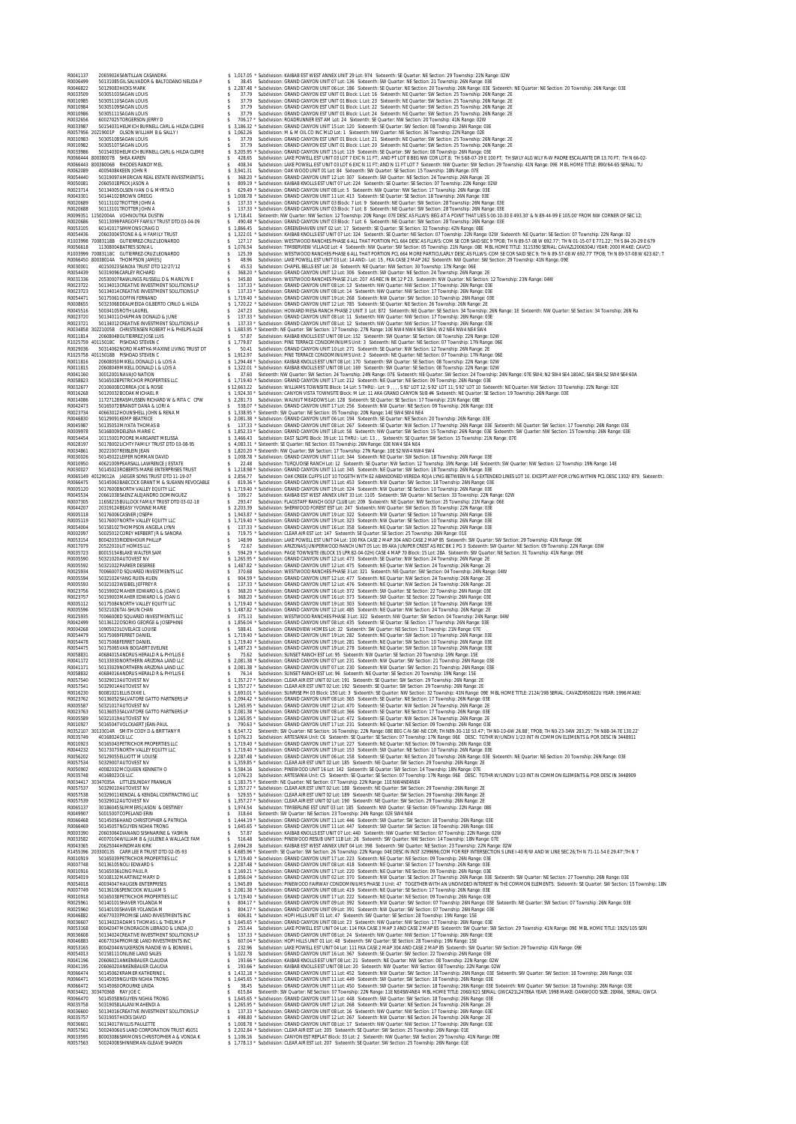**BOOM AND ANNOUNCED AND CONSULTER A SUBMING CONSULTER SERVE AND CONSULTER A SUBMING CONSULTER A SUBMING CONSULTER A SUBMING CONSULTER A SUBMING CONSULTER A SUBMING CONSULTER A SUBMING CONSULTER A SUBMING CONSULTER A SUBMI** ROD 31909 - 1990 - 1990 - 1990 - 1990 - 1990 - 1990 - 1990 - 1990 - 1990 - 1990 - 1990 - 1990 - 1990 - 1990 - 1990 - 1990 - 1990 - 1990 - 1990 - 1990 - 1990 - 1990 - 1990 - 1990 - 1990 - 1990 - 1990 - 1990 - 1990 - 1990 -EOUATHOU NATHOUND NATHOU AND STAND AND COMPRESS TRANSPOSSED AND CANNON UNIT 17 LOC 212 SARGEME. NEGALE NETWORK (2001) 2001 AND COMPRESS 2016 2016 2017 AND COMPRESS 2016 2017 AND COMPRESS 2016 2017 AND COMPRESS 2018 2018 20 ROOGATS = 501450632006 IRMSTEDIT 11-19-07 = \$2.253.77 Subdivision CRACING UNITELIGATES DRIVER IN WORLD INCOLLER AND CONTROLLER AND CONTROLLER AND CONTROLLER AND SUGGER AND A SURFAIN ON A SURFAIN SECTED AND A SURFAIN SECTED R0053154 80042033RIDENHOUR PHILLIP \$ 148.99 Subdivision: LAKE POWELL EST UNIT 04 Lot: 100 FKA CASE 2 MAP 304 AND CASE 2 MAP 85 Sixteenth: SW Quarter: SW Section: 29 Township: 41N Range: 09E R0017079 20522010LIT HOMES LLC \$ 72.67 Subdivision: ARIZONAS JUNIPERWOOD RANCH UNIT 05 Lot: 89 AKA JUNIPER CREST AS REC BK 1 PG 3 Sixteenth: SW Quarter: NE Section: 09 Township: 22N Range: 03W R0035723 80015154BLAKE WALTER SAM \$ 594.29 \* Subdivision: PAGE TOWNSITE (BLOCK 15 LPR 82-04-02H) CASE 4 MAP 70 Block: 15 Lot: 28A Sixteenth: SW Quarter: NE Section: 31 Township: 41N Range: 09E R0005590 50321020AUTOVEST NV \$ 1,265.95 \* Subdivision: GRAND CANYON UNIT 12 Lot: 473 Sixteenth: SE Quarter: NW Section: 24 Township: 26N Range: 2E R0005592 50321022PARKER DESEREE \$ 1,487.82 \* Subdivision: GRAND CANYON UNIT 12 Lot: 475 Sixteenth: NE Quarter: NW Section: 24 Township: 26N Range: 2E R0025934 70066007D SQUARED INVESTMENTS LLC \$ 370.68 Subdivision: WESTWOOD RANCHES PHASE 3 Lot: 321 Sixteenth: NE Quarter: SW Section: 04 Township: 24N Range: 04W R0005594 50321024YANG RUEN-KUEN \$ 904.59 \* Subdivision: GRAND CANYON UNIT 12 Lot: 477 Sixteenth: NE Quarter: NW Section: 24 Township: 26N Range: 2E R0005593 50321023WEIBEL JEFFREY R \$ 137.33 \* Subdivision: GRAND CANYON UNIT 12 Lot: 476 Sixteenth: NE Quarter: NW Section: 24 Township: 26N Range: 2E R0023756 50159002MAHER EDWARD L & JOAN G \$ 368.20 \* Subdivision: GRAND CANYON UNIT 16 Lot: 372 Sixteenth: SW Quarter: SE Section: 22 Township: 26N Range: 03E R0023757 50159003MAHER EDWARD L & JOAN G \$ 368.20 \* Subdivision: GRAND CANYON UNIT 16 Lot: 373 Sixteenth: SW Quarter: SE Section: 22 Township: 26N Range: 03E R0005112 50175084NORTH VALLEY EQUITY LLC \$ 1,719.40 \* Subdivision: GRAND CANYON UNIT 19 Lot: 303 Sixteenth: NE Quarter: SW Section: 10 Township: 26N Range: 03E R0005596 50321026TAI-SHUN CHAN \$ 1,487.82 \* Subdivision: GRAND CANYON UNIT 12 Lot: 485 Sixteenth: NE Quarter: NW Section: 24 Township: 26N Range: 2E R0025935 70066008D SQUARED INVESTMENTS LLC \$ 375.13 Subdivision: WESTWOOD RANCHES PHASE 3 Lot: 322 Sixteenth: NW Quarter: SW Section: 04 Township: 24N Range: 04W R0042499 50136122OSORIO GEORGE & JOSEPHINE \$ 1,856.04 \* Subdivision: GRAND CANYON UNIT 08 Lot: 435 Sixteenth: SE Quarter: SE Section: 17 Township: 26N Range: 03E R0004268 10905023LOVELACE LOUISE \$ 588.41 Subdivision: GRANDVIEW HOMES Lot: 22 Sixteenth: SW Quarter: NE Section: 11 Township: 21N Range: 07E R0054479 50175069FERRET DANIEL \$ 1,719.40 \* Subdivision: GRAND CANYON UNIT 19 Lot: 282 Sixteenth: NE Quarter: SW Section: 10 Township: 26N Range: 03E R0054478 50175068FERRET DANIEL \$ 1,719.40 \* Subdivision: GRAND CANYON UNIT 19 Lot: 281 Sixteenth: NE Quarter: SW Section: 10 Township: 26N Range: 03E R0054475 50175065VAN BOGAERT EVELINE \$ 1,487.23 \* Subdivision: GRAND CANYON UNIT 19 Lot: 278 Sixteenth: NE Quarter: SW Section: 10 Township: 26N Range: 03E R0058831 40684015ANDRUS HERALD R & PHYLLIS E \$ 75.62 Subdivision: SUNSET RANCH EST Lot: 95 Sixteenth: NW Quarter: SE Section: 20 Township: 19N Range: 15E R0041172 50133030NORTHERN ARIZONA LAND LLC \$ 2,081.38 \* Subdivision: GRAND CANYON UNIT 07 Lot: 231 Sixteenth: NW Quarter: SW Section: 21 Township: 26N Range: 03E R0041171 50133029NORTHERN ARIZONA LAND LLC \$ 2,081.38 \* Subdivision: GRAND CANYON UNIT 07 Lot: 230 Sixteenth: NW Quarter: SW Section: 21 Township: 26N Range: 03E R0058832 40684016ANDRUS HERALD R & PHYLLIS E \$ 76.14 Subdivision: SUNSET RANCH EST Lot: 96 Sixteenth: NE Quarter: SE Section: 20 Township: 19N Range: 15E R0057540 50329013AUTOVEST NV \$ 1,357.27 \* Subdivision: CLEAR AIR EST UNIT 02 Lot: 191 Sixteenth: SE Quarter: SW Section: 29 Township: 26N Range: 2E R0057541 50329014AUTOVEST NV \$ 1,357.27 \* Subdivision: CLEAR AIR EST UNIT 02 Lot: 192 Sixteenth: SE Quarter: SW Section: 29 Township: 26N Range: 2E R0016230 80081021ELLIS DIXIE L \$ 1,693.01 \* Subdivision: SUNRISE PH 03 Block: 150 Lot: 3 Sixteenth: SE Quarter: NW Section: 32 Township: 41N Range: 09E MBL HOME TITLE: 2124/198 SERIAL: CAVAZD950822U YEAR: 1996 MAKE: R0023762 50136052SALVATORE GATTO PARTNERS LP \$ 2,094.42 \* Subdivision: GRAND CANYON UNIT 08 Lot: 365 Sixteenth: SE Quarter: NE Section: 17 Township: 26N Range: 03E R0005587 50321017AUTOVEST NV \$ 1,265.95 \* Subdivision: GRAND CANYON UNIT 12 Lot: 470 Sixteenth: SE Quarter: NW Section: 24 Township: 26N Range: 2E R0023763 50136053SALVATORE GATTO PARTNERS LP \$ 2,081.38 \* Subdivision: GRAND CANYON UNIT 08 Lot: 366 Sixteenth: SE Quarter: NE Section: 17 Township: 26N Range: 03E R0005589 50321019AUTOVEST NV \$ 1,265.95 \* Subdivision: GRAND CANYON UNIT 12 Lot: 472 Sixteenth: SE Quarter: NW Section: 24 Township: 26N Range: 2E R0010927 50165047VOLCKAERT JEAN-PAUL \$ 790.63 \* Subdivision: GRAND CANYON UNIT 17 Lot: 231 Sixteenth: NE Quarter: NE Section: 09 Township: 26N Range: 03E R0352107 30133014R SMITH CODY D & BRITTANY R \$ 6,547.72 Sixteenth: SW Quarter: NE Section: 16 Township: 22N Range: 08E BEG C-N-SW-NE COR; TH N89-30-11E 53.47'; TH N0-10-6W 26.88', TPOB; TH N0-23-34W 283.25'; TH N88-34-7E 130.22' R0035749 40168024C6 LLC \$ 1,076.23 Subdivision: ARTESANIA Unit: C6 Sixteenth: SE Quarter: SE Section: 07 Township: 17N Range: 06E DESC: TGTHR W/UNDIV 1/23 INT IN COMMON ELEMENTS & POR DESC IN 3448911 R0010923 50165043PETRICHOR PROPERTIES LLC \$ 1,719.40 \* Subdivision: GRAND CANYON UNIT 17 Lot: 227 Sixteenth: NE Quarter: NE Section: 09 Township: 26N Range: 03E R0044232 50173073NORTH VALLEY EQUITY LLC \$ 1,719.40 \* Subdivision: GRAND CANYON UNIT 19 Lot: 153 Sixteenth: SW Quarter: NE Section: 10 Township: 26N Range: 03E R0056202 50129055ELLIOTT M LOUISE \$ 2,287.48 \* Subdivision: GRAND CANYON UNIT 06 Lot: 158 Sixteenth: SE Quarter: NE Section: 20 Township: 26N Range: 03E Sixteenth: NE Quarter: NE Section: 20 Township: 26N Range: 03E R0057534 50329007AUTOVEST NV \$ 1,359.85 \* Subdivision: CLEAR AIR EST UNIT 02 Lot: 185 Sixteenth: NE Quarter: SW Section: 29 Township: 26N Range: 2E R0050902 40082032MCQUEEN KENNETH O \$ 5,584.16 Subdivision: PINEWOOD UNIT 16 Lot: 142 Sixteenth: SE Quarter: SW Section: 14 Township: 18N Range: 07E R0035748 40168023C6 LLC \$ 1,076.23 Subdivision: ARTESANIA Unit: C5 Sixteenth: SE Quarter: SE Section: 07 Township: 17N Range: 06E DESC: TGTHR W/UNDIV 1/23 INT IN COMMON ELEMENTS & POR DESC IN 3448909 R0034417 30347035A LITTLESUNDAY FRANKLIN \$ 1,183.75 \* Sixteenth: NE Quarter: NE Section: 07 Township: 22N Range: 11E NW4NE4NE4 R0057537 50329010AUTOVEST NV \$ 1,357.27 \* Subdivision: CLEAR AIR EST UNIT 02 Lot: 188 Sixteenth: NE Quarter: SW Section: 29 Township: 26N Range: 2E R0057538 50329011KENDAL & KENDAL CONTRACTING LLC \$ 529.55 \* Subdivision: CLEAR AIR EST UNIT 02 Lot: 189 Sixteenth: NE Quarter: SW Section: 29 Township: 26N Range: 2E MOTHS SCHOOLING IN A LISTENT 1.30 A SUBDOIL THE SELECT SUBDOIL THE SELECT SUBDOIL THE SELECT SUBDOIL THE SELECT SUBDOIL THE SELECT SUBDOIL THE SELECT SUBDOIL THE SELECT SUBDOIL THE SELECT SUBDOIL THE SELECT SUBDOIL THE SE R006471 50145025RM/REKATHERINE L \$1,422.18 \* 5145.84 Subdivision: GRAND CANYON UNIT TILO: 449 Sixteenth: NV Quarter: SW Section: 18 Township: 2001 Range: 03E<br>R006472 5014505090CIRKELINDA \$36.45 Subdivision: GRAND CANYON UN ROO6470<br>ROO6470 50145068/ROUPM NONNEY STATES 1 1.265.55 Subdivision: GRAND CANYON UNIT T12.0: 426 Subtenth: SW Quarter: NE Section: 24 Township: 26N Range: 23E<br>ROO6470 50134016CREATNE INVESTINGT SOLUTIONS LP \$17.33 Subdiv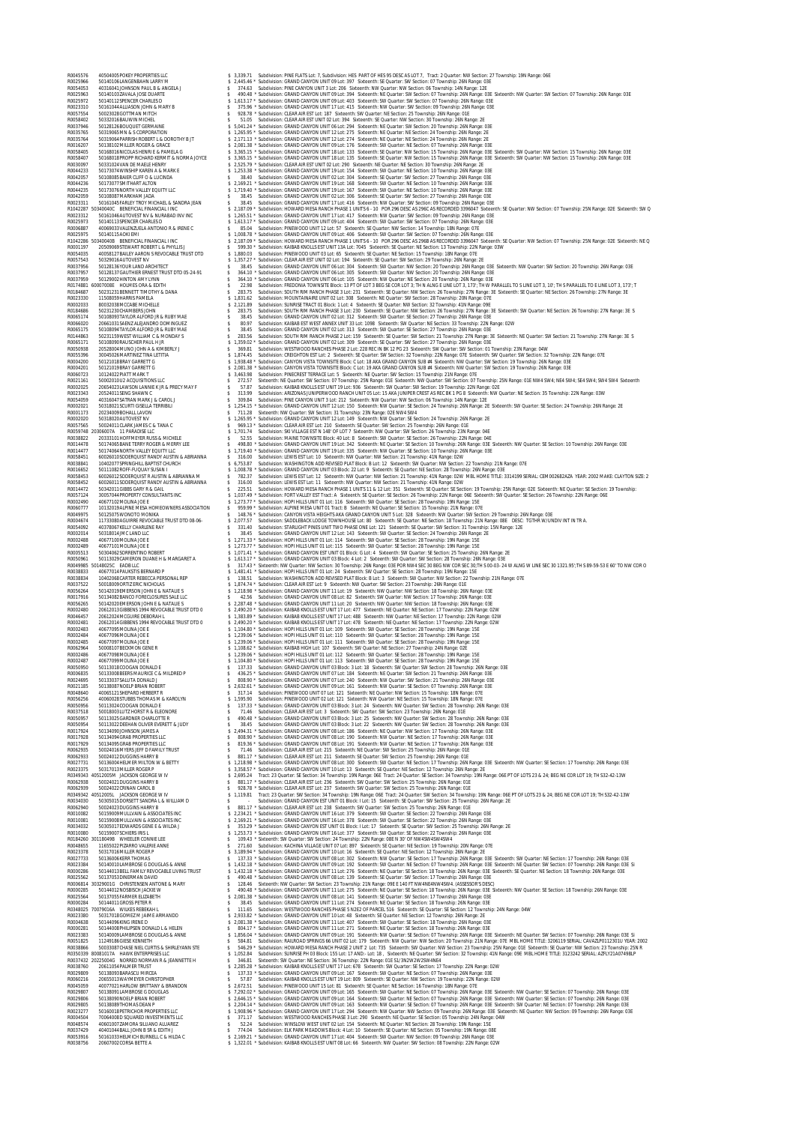R0045576 40504005POKEY PROPERTIES LLC \$ 3,339.71 Subdivision: PINE FLATS Lot: 7, Subdivision: HES PART OF HES 95 DESC AS LOT 7, Tract: 2 Quarter: NW Section: 27 Township: 19N Range: 06E R0025966 50140106LANGENBAHN LARRY M \$ 2,445.46 \* Subdivision: GRAND CANYON UNIT 09 Lot: 397 Sixteenth: SE Quarter: SW Section: 07 Township: 26N Range: 03E R0054053 40316041JOHNSON PAUL B & ANGELA J \$ 374.63 Subdivision: PINE CANYON UNIT 3 Lot: 206 Sixteenth: NW Quarter: NW Section: 06 Township: 14N Range: 12E R0025963 50140103ZAVALA JOSE DUARTE \$ 490.48 \* Subdivision: GRAND CANYON UNIT 09 Lot: 394 Sixteenth: NE Quarter: SW Section: 07 Township: 26N Range: 03E Sixteenth: NW Quarter: SW Section: 07 Township: 26N Range: 03E R0025972 50140112SPENCER CHARLES D \$ 1,613.17 \* Subdivision: GRAND CANYON UNIT 09 Lot: 403 Sixteenth: SW Quarter: SW Section: 07 Township: 26N Range: 03E R0023310 50161044ALLIASON JOHN & MARY B \$ 375.96 \* Subdivision: GRAND CANYON UNIT 17 Lot: 415 Sixteenth: NW Quarter: SW Section: 09 Township: 26N Range: 03E R0057554 50023028GOTTMAN MITCH \$ 928.78 \* Subdivision: CLEAR AIR EST Lot: 187 Sixteenth: SW Quarter: NE Section: 25 Township: 26N Range: 01E R0058402 50332016BAUWIN MICHEL \$ 51.05 Subdivision: CLEAR AIR EST UNIT 02 Lot: 394 Sixteenth: SE Quarter: NW Section: 30 Township: 26N Range: 2E R0037946 50128126BOUQUET GERMAINE \$ 5,041.24 \* Subdivision: GRAND CANYON UNIT 06 Lot: 294 Sixteenth: NE Quarter: SW Section: 20 Township: 26N Range: 03E R0035765 50319065MN & S CORPORATION \$ 1,265.95 \* Subdivision: GRAND CANYON UNIT 12 Lot: 275 Sixteenth: NE Quarter: NE Section: 24 Township: 26N Range: 2E R0035764 50319064PARRISH ROBERT L & DOROTHY B JT \$ 2,171.13 \* Subdivision: GRAND CANYON UNIT 12 Lot: 274 Sixteenth: NE Quarter: NE Section: 24 Township: 26N Range: 2E R0016207 50138102MILLER ROGER & GRACE \$ 2,081.38 \* Subdivision: GRAND CANYON UNIT 09 Lot: 176 Sixteenth: SW Quarter: NE Section: 07 Township: 26N Range: 03E RODABIONALOGAS HENRIE & PAMELA GO SAMA 1970 STARS IS 360.15 "subdivision CRAND CANYON UNIT 18 US 1.35 States SHE SAMA CANYON UNIT SUITS SERVER TO A SUITS SERVER TO TOWNTHIP 20 N Range OSE SIME AND THE CONFIDENTIAL CONDUCT R0001197 20509069STEWART ROBERT L & PHYLLIS J \$ 599.30 \* Subdivision: KAIBAB KNOLLS EST UNIT 13A Lot: 7045 Sixteenth: SE Quarter: NE Section: 13 Township: 22N Range: 03W R0054035 40058127BAILEY AARON S REVOCABLE TRUST DTD \$ 1,880.03 Subdivision: PINEWOOD UNIT 03 Lot: 65 Sixteenth: SE Quarter: NE Section: 15 Township: 18N Range: 07E R0057543 50329016AUTOVEST NV \$ 1,357.27 \* Subdivision: CLEAR AIR EST UNIT 02 Lot: 194 Sixteenth: SE Quarter: SW Section: 29 Township: 26N Range: 2E R0037956 50128136YOUR LAND ARCHITECT \$ 38.45 Subdivision: GRAND CANYON UNIT 06 Lot: 304 Sixteenth: SW Quarter: NW Section: 20 Township: 26N Range: 03E Sixteenth: NW Quarter: SW Section: 20 Township: 26N Range: 03E R0037957 50128137GAUTHIER ERNEST TRUST DTD 05-24-91 \$ 364.10 \* Subdivision: GRAND CANYON UNIT 06 Lot: 305 Sixteenth: SW Quarter: NW Section: 20 Township: 26N Range: 03E R0037959 50129002HINTON AMY LYNN \$ 364.10 \* Subdivision: GRAND CANYON UNIT 06 Lot: 105 Sixteenth: NW Quarter: NE Section: 20 Township: 26N Range: 03E R0174881 60007008E HOLMES ORA & EDITH \$ 22.98 Subdivision: FREDONIA TOWNSITE Block: 13 PT OF LOT 3 BEG SE COR LOT 3; TH N ALNG E LINE LOT 3, 173'; TH W PARALLEL TO S LINE LOT 3, 10'; TH S PARALLEL TO E LINE LOT 3, 173'; T R0184687 50231231BENNETT TIMOTHY & DANA \$ 283.75 Subdivision: SOUTH RIM RANCH PHASE 3 Lot: 231 Sixteenth: SE Quarter: NW Section: 26 Township: 27N Range: 3E Sixteenth: SE Quarter: NE Section: 26 Township: 27N Range: 3E R0023330 11508059HARRIS PAMELA \$ 1,831.62 Subdivision: MOUNTAINAIRE UNIT 02 Lot: 308 Sixteenth: NE Quarter: SW Section: 28 Township: 20N Range: 07E R0002033 80032038MCCABE MICHELLE \$ 2,121.89 Subdivision: SUNRISE TRACT 01 Block: 1 Lot: 4 Sixteenth: SE Quarter: NW Section: 32 Township: 41N Range: 09E R0184686 50231230CHAMBERS JOHN \$ 283.75 Subdivision: SOUTH RIM RANCH PHASE 3 Lot: 230 Sixteenth: SE Quarter: NW Section: 26 Township: 27N Range: 3E Sixteenth: SW Quarter: NE Section: 26 Township: 27N Range: 3E S R0065174 50108093TAYLOR ALFORD JR & RUBY MAE \$ 38.45 Subdivision: GRAND CANYON UNIT 02 Lot: 312 Sixteenth: SW Quarter: SE Section: 27 Township: 26N Range: 03E R0066020 20661031SAENZ ALEJANDRO DOMINGUEZ \$ 80.97 Subdivision: KAIBAB EST WEST ANNEX UNIT 33 Lot: 1098 Sixteenth: SW Quarter: NE Section: 33 Township: 22N Range: 02W R0065175 50108094TAYLOR ALFORD JR & RUBY MAE \$ 38.45 Subdivision: GRAND CANYON UNIT 02 Lot: 313 Sixteenth: SW Quarter: SE Section: 27 Township: 26N Range: 03E R0144863 50231159WEST WILLIAM C & MONDAY S \$ 283.56 Subdivision: SOUTH RIM RANCH PHASE 2 Lot: 159 Sixteenth: SE Quarter: SW Section: 21 Township: 27N Range: 3E Sixteenth: NE Quarter: SW Section: 21 Township: 27N Range: 3E S R0065171 50108090RAUSCHER PAUL H JR \$ 1,359.02 \* Subdivision: GRAND CANYON UNIT 02 Lot: 309 Sixteenth: SE Quarter: SW Section: 27 Township: 26N Range: 03E R0050938 20528004MUNO JOHN A & KIMBERLY J \$ 369.81 Subdivision: WESTWOOD RANCHES PHASE 2 Lot: 228 REC IN BK 12 PG 23 Sixteenth: SW Quarter: SW Section: 01 Township: 23N Range: 04W R0055396 30045026MARTINEZ TINA LETITIA \$ 1,874.45 Subdivision: CREIGHTON EST Lot: 2 Sixteenth: SE Quarter: SW Section: 32 Township: 22N Range: 07E Sixteenth: SW Quarter: SW Section: 32 Township: 22N Range: 07E R0004200 50121018BRAY GARRETT G \$ 1,938.48 \* Subdivision: CANYON VISTA TOWNSITE Block: C Lot: 18 AKA GRAND CANYON SUB #4 Sixteenth: NW Quarter: SW Section: 19 Township: 26N Range: 03E R0004201 50121019BRAY GARRETT G \$ 2,081.38 \* Subdivision: CANYON VISTA TOWNSITE Block: C Lot: 19 AKA GRAND CANYON SUB #4 Sixteenth: NW Quarter: SW Section: 19 Township: 26N Range: 03E R0060723 10124022PIATT MARK T \$ 3,463.98 Subdivision: PINECREST TERRACE Lot: 5 Sixteenth: NE Quarter: SW Section: 15 Township: 21N Range: 07E R0021161 50002010U2 ACQUISITIONS LLC \$ 272.57 Sixteenth: NE Quarter: SW Section: 07 Township: 25N Range: 01E Sixteenth: NW Quarter: SW Section: 07 Township: 25N Range: 01E NW4 SW4; NE4 SW4; SE4 SW4; SW4 SW4 Sixteenth R0002025 20654023LAWSON LANNIE K JR & PRECY MAY F \$ 57.87 Subdivision: KAIBAB KNOLLS EST UNIT 19 Lot: 936 Sixteenth: SW Quarter: SW Section: 19 Township: 22N Range: 02E R0023343 20524011SENG SHAWN C \$ 313.99 Subdivision: ARIZONAS JUNIPERWOOD RANCH UNIT 05 Lot: 15 AKA JUNIPER CREST AS REC BK 1 PG 8 Sixteenth: NW Quarter: NE Section: 35 Township: 22N Range: 03W R0054059 40316047SATRAN MARK J & CAROL J \$ 309.84 Subdivision: PINE CANYON UNIT 3 Lot: 212 Sixteenth: NW Quarter: NW Section: 06 Township: 14N Range: 12E R0002021 50318021SCURTI GISELLA TERRIBILI \$ 1,254.15 \* Subdivision: GRAND CANYON UNIT 12 Lot: 150 Sixteenth: NW Quarter: SE Section: 24 Township: 26N Range: 2E Sixteenth: SW Quarter: SE Section: 24 Township: 26N Range: 2E R0001173 20234009BOHALL LAVON \$ 711.28 Sixteenth: NW Quarter: SW Section: 31 Township: 23N Range: 02E NW4 SW4 R0002020 50318020AUTOVEST NV \$ 1,265.95 \* Subdivision: GRAND CANYON UNIT 12 Lot: 149 Sixteenth: NW Quarter: SE Section: 24 Township: 26N Range: 2E R0057565 50024011CLARK JAMES C & TANA C \$ 969.13 \* Subdivision: CLEAR AIR EST Lot: 210 Sixteenth: SE Quarter: SW Section: 25 Township: 26N Range: 01E R0059748 20306007A 11 PARADISE LLC \$ 1,701.74 Subdivision: SKI VILLAGE EST N 148' OF LOT 7 Sixteenth: NW Quarter: SW Section: 26 Township: 23N Range: 04E R0038822 20333101HOFFMEYER RUSS & MICHELE \$ 52.55 Subdivision: MAINE TOWNSITE Block: 40 Lot: 8 Sixteenth: SW Quarter: SE Section: 26 Township: 22N Range: 04E R0014478 50174065BANE TERRY ROGER & MERRY LEE \$ 498.80 \* Subdivision: GRAND CANYON UNIT 19 Lot: 342 Sixteenth: NE Quarter: SE Section: 10 Township: 26N Range: 03E Sixteenth: NW Quarter: SE Section: 10 Township: 26N Range: 03E R0014477 50174064NORTH VALLEY EQUITY LLC \$ 1,719.40 \* Subdivision: GRAND CANYON UNIT 19 Lot: 335 Sixteenth: NW Quarter: SE Section: 10 Township: 26N Range: 03E R0058451 60026010SODERQUIST RANDY AUSTIN & ABRIANNA \$ 316.00 Subdivision: LEWIS EST Lot: 10 Sixteenth: NW Quarter: NW Section: 21 Township: 41N Range: 02W R0038841 10402077SPRINGHILL BAPTIST CHURCH \$ 6,753.87 Subdivision: WASHINGTON ADD REVISED PLAT Block: B Lot: 12 Sixteenth: SW Quarter: NW Section: 22 Township: 21N Range: 07E R0016652 50111082ROFF-FUQUAY SUSAN I \$ 1,008.78 \* Subdivision: GRAND CANYON UNIT 03 Block: 22 Lot: 9 Sixteenth: SE Quarter: NE Section: 28 Township: 26N Range: 03E R0058453 60026012SODERQUIST R AUSTIN & ABRIANNA M \$ 782.37 Subdivision: LEWIS EST Lot: 12 Sixteenth: NW Quarter: NW Section: 21 Township: 41N Range: 02W MBL HOME TITLE: 3314199 SERIAL: CEM002682AZA YEAR: 2002 MAKE: CLAYTON SIZE: 2 R0058452 60026011SODERQUIST RANDY AUSTIN & ABRIANNA \$ 316.00 Subdivision: LEWIS EST Lot: 11 Sixteenth: NW Quarter: NW Section: 21 Township: 41N Range: 02W R0014472 50342011GIBBS GARY R & GAIL \$ 225.51 Subdivision: HOWARD MESA RANCH PHASE 1 UNITS 11 & 12 Lot: 351 Sixteenth: SE Quarter: SE Section: 19 Township: 25N Range: 02E Sixteenth: NE Quarter: SE Section: 19 Township: R0057124 30057044PROPERTY CONSULTANTS INC \$ 1,037.49 \* Subdivision: FORT VALLEY EST Tract: A Sixteenth: SE Quarter: SE Section: 26 Township: 22N Range: 06E Sixteenth: SW Quarter: SE Section: 26 Township: 22N Range: 06E R0002490 40677102MOLINA JOE E \$ 1,273.77 \* Subdivision: HOPI HILLS UNIT 01 Lot: 116 Sixteenth: SW Quarter: SE Section: 28 Township: 19N Range: 15E R0060777 10132019ALPINE MESA HOMEOWNERS ASSOCIATION \$ 959.99 \* Subdivision: ALPINE MESA UNIT 01 Tract: B Sixteenth: NE Quarter: SE Section: 15 Township: 21N Range: 07E R0049975 50125075WONOTO MONIKA \$ 148.76 \* Subdivision: CANYON VISTA HEIGHTS AKA GRAND CANYON UNIT 5 Lot: 328 Sixteenth: NW Quarter: SW Section: 29 Township: 26N Range: 03E R0004674 11733080AGUIRRE REVOCABLE TRUST DTD 08-06- \$ 2,077.57 Subdivision: SADDLEBACK LODGE TOWNHOUSE Lot: 80 Sixteenth: SE Quarter: NE Section: 18 Township: 21N Range: 08E DESC: TGTHR W/UNDIV INT IN TR A. R0054092 40378067KELLY CHARLENE RAY \$ 331.40 Subdivision: STARLIGHT PINES UNIT TWO PHASE ONE Lot: 121 Sixteenth: SE Quarter: SW Section: 31 Township: 15N Range: 12E R0002014 50318014JMC LAND LLC \$ 38.45 Subdivision: GRAND CANYON UNIT 12 Lot: 143 Sixteenth: SW Quarter: SE Section: 24 Township: 26N Range: 2E R0002488 40677100MOLINA JOE E \$ 1,271.33 \* Subdivision: HOPI HILLS UNIT 01 Lot: 114 Sixteenth: SW Quarter: SE Section: 28 Township: 19N Range: 15E R0002489 40677101MOLINA JOE E \$ 1,273.77 \* Subdivision: HOPI HILLS UNIT 01 Lot: 115 Sixteenth: SW Quarter: SE Section: 28 Township: 19N Range: 15E R0005513 50304062SORRENTINO ROBERT \$ 1,071.41 \* Subdivision: GRAND CANYON EST UNIT 01 Block: G Lot: 4 Sixteenth: SW Quarter: SE Section: 25 Township: 26N Range: 2E R0050961 50113029CAMERON DUANE H & MARGARET A \$ 1,613.17 \* Subdivision: GRAND CANYON UNIT 03 Block: 4 Lot: 2 Sixteenth: SW Quarter: SW Section: 28 Township: 26N Range: 03E R0049985 50148025C EADB LLC \$ 317.43 \* Sixteenth: NW Quarter: NW Section: 30 Township: 26N Range: 03E POR NW4 SEC 30 BEG NW COR SEC 30;TH S 00-03- 24 W ALNG W LINE SEC 30 1321.95';TH S 89-59-53 E 60' TO NW COR O R0038833 40677014PAUKSTIS BERNARD P \$ 1,481.41 \* Subdivision: HOPI HILLS UNIT 01 Lot: 24 Sixteenth: SW Quarter: SE Section: 28 Township: 19N Range: 15E R0038834 10402068CARTER REBECCA PERSONAL REP \$ 138.51 Subdivision: WASHINGTON ADD REVISED PLAT Block: B Lot: 3 Sixteenth: SW Quarter: NW Section: 22 Township: 21N Range: 07E R0037522 50018009ORTIZ ERIC NICHOLAS \$ 1,874.74 \* Subdivision: CLEAR AIR EST Lot: 9 Sixteenth: NW Quarter: SW Section: 23 Township: 26N Range: 01E R0056264 50142019EMERSON JOHN E & NATALIE S \$ 1,218.98 \* Subdivision: GRAND CANYON UNIT 11 Lot: 19 Sixteenth: NW Quarter: NW Section: 18 Township: 26N Range: 03E R0017916 50134082BANCO FORECLOSURES SALE LLC \$ 42.56 Subdivision: GRAND CANYON UNIT 08 Lot: 82 Sixteenth: SW Quarter: NW Section: 17 Township: 26N Range: 03E R0056265 50142020EMERSON JOHN E & NATALIE S \$ 2,287.48 \* Subdivision: GRAND CANYON UNIT 11 Lot: 20 Sixteenth: NW Quarter: NW Section: 18 Township: 26N Range: 03E R0002480 20612013GIBBENS 1994 REVOCABLE TRUST DTD 0 \$ 2,490.20 \* Subdivision: KAIBAB KNOLLS EST UNIT 17 Lot: 477 Sixteenth: NE Quarter: NE Section: 17 Township: 22N Range: 02W R0046457 20612024MCGUIRE DEBORAH L \$ 1,383.89 \* Subdivision: KAIBAB KNOLLS EST UNIT 17 Lot: 488 Sixteenth: NW Quarter: NE Section: 17 Township: 22N Range: 02W R0002481 20612014GIBBENS 1994 REVOCABLE TRUST DTD 0 \$ 2,490.20 \* Subdivision: KAIBAB KNOLLS EST UNIT 17 Lot: 478 Sixteenth: NE Quarter: NE Section: 17 Township: 22N Range: 02W R0002483 40677095MOLINA JOE E \$ 1,104.80 \* Subdivision: HOPI HILLS UNIT 01 Lot: 109 Sixteenth: SW Quarter: SE Section: 28 Township: 19N Range: 15E R0002484 40677096MOLINA JOE E \$ 1,239.06 \* Subdivision: HOPI HILLS UNIT 01 Lot: 110 Sixteenth: SW Quarter: SE Section: 28 Township: 19N Range: 15E R0002485 40677097MOLINA JOE E \$ 1,239.06 \* Subdivision: HOPI HILLS UNIT 01 Lot: 111 Sixteenth: SW Quarter: SE Section: 28 Township: 19N Range: 15E R0062964 50008107BECKMON GENE R \$ 1,108.62 \* Subdivision: KAIBAB HIGH Lot: 107 Sixteenth: SW Quarter: NE Section: 27 Township: 24N Range: 02E R0002486 40677098MOLINA JOE E \$ 1,239.06 \* Subdivision: HOPI HILLS UNIT 01 Lot: 112 Sixteenth: SW Quarter: SE Section: 28 Township: 19N Range: 15E R0002487 40677099MOLINA JOE E \$ 1,104.80 \* Subdivision: HOPI HILLS UNIT 01 Lot: 113 Sixteenth: SW Quarter: SE Section: 28 Township: 19N Range: 15E R0050950 50113018COOGAN DONALD E \$ 137.33 Subdivision: GRAND CANYON UNIT 03 Block: 3 Lot: 18 Sixteenth: SW Quarter: SW Section: 28 Township: 26N Range: 03E R0006835 50133008BEERS MAURICE C & MILDRED P \$ 436.25 \* Subdivision: GRAND CANYON UNIT 07 Lot: 184 Sixteenth: NE Quarter: SW Section: 21 Township: 26N Range: 03E R0024695 50133037SALUTA DONALD J \$ 808.90 \* Subdivision: GRAND CANYON UNIT 07 Lot: 240 Sixteenth: NW Quarter: SW Section: 21 Township: 26N Range: 03E R0021185 50138087NOELP BRIAN ROBERT \$ 2,632.61 \* Subdivision: GRAND CANYON UNIT 09 Lot: 161 Sixteenth: NW Quarter: SE Section: 07 Township: 26N Range: 03E R0048640 40065121SHEPARD HERBERT R \$ 317.14 Subdivision: PINEWOOD UNIT 07 Lot: 121 Sixteenth: NE Quarter: NW Section: 15 Township: 18N Range: 07E R0056256 40060028STUBBS THOMAS M & KAROLYN \$ 1,595.90 Subdivision: PINEWOOD UNIT 02 Lot: 121 Sixteenth: NW Quarter: NE Section: 15 Township: 18N Range: 07E R0050956 50113024COOGAN DONALD E \$ 137.33 \* Subdivision: GRAND CANYON UNIT 03 Block: 3 Lot: 24 Sixteenth: NW Quarter: SW Section: 28 Township: 26N Range: 03E R0037518 50018003LUTZ HORST R & ELEONORE \$ 71.46 Subdivision: CLEAR AIR EST Lot: 3 Sixteenth: SW Quarter: SW Section: 23 Township: 26N Range: 01E R0050957 50113025GARDNER CHARLOTTE R \$ 490.48 \* Subdivision: GRAND CANYON UNIT 03 Block: 3 Lot: 25 Sixteenth: NW Quarter: SW Section: 28 Township: 26N Range: 03E R0050954 50113022DEEHAN OLIVER EVERETT & JUDY \$ 38.45 Subdivision: GRAND CANYON UNIT 03 Block: 3 Lot: 22 Sixteenth: NW Quarter: SW Section: 28 Township: 26N Range: 03E R0017924 50134090JOHNSON JAMES A \$ 2,494.31 \* Subdivision: GRAND CANYON UNIT 08 Lot: 186 Sixteenth: NE Quarter: NW Section: 17 Township: 26N Range: 03E R0017928 50134094GRAB PROPERTIES LLC \$ 808.90 \* Subdivision: GRAND CANYON UNIT 08 Lot: 190 Sixteenth: NW Quarter: NE Section: 17 Township: 26N Range: 03E R0017929 50134095GRAB PROPERTIES LLC \$ 819.36 \* Subdivision: GRAND CANYON UNIT 08 Lot: 191 Sixteenth: NW Quarter: NE Section: 17 Township: 26N Range: 03E R0062935 50024016MYERS JEFF D FAMILY TRUST \$ 71.46 Subdivision: CLEAR AIR EST Lot: 215 Sixteenth: NE Quarter: SW Section: 25 Township: 26N Range: 01E R0062933 50024012DUGGINS HARRY B \$ 881.17 \* Subdivision: CLEAR AIR EST Lot: 211 Sixteenth: SE Quarter: SW Section: 25 Township: 26N Range: 01E R0027731 50136004HELMER MILTON W & BETTY \$ 1,218.98 \* Subdivision: GRAND CANYON UNIT 08 Lot: 300 Sixteenth: SW Quarter: NE Section: 17 Township: 26N Range: 03E Sixteenth: NW Quarter: SE Section: 17 Township: 26N Range: 03E R0023375 50317013MILLER ROGER P \$ 3,358.57 \* Subdivision: GRAND CANYON UNIT 10 Lot: 13 Sixteenth: SE Quarter: NE Section: 12 Township: 26N Range: 2E R0349343 40512005M JACKSON GEORGE W IV \$ 2,695.24 Tract: 23 Quarter: SE Section: 34 Township: 19N Range: 06E Tract: 24 Quarter: SE Section: 34 Township: 19N Range: 06E PT OF LOTS 23 & 24; BEG NE COR LOT 19; TH S32-42-13W R0062938 50024021DUGGINS HARRY B \$ 881.17 \* Subdivision: CLEAR AIR EST Lot: 236 Sixteenth: SW Quarter: SW Section: 25 Township: 26N Range: 01E R0062939 50024022CRINAN CAROL B \$ 928.78 \* Subdivision: CLEAR AIR EST Lot: 237 Sixteenth: SW Quarter: SW Section: 25 Township: 26N Range: 01E R0349342 40512005L JACKSON GEORGE W IV \$ 1,119.81 Tract: 23 Quarter: SW Section: 34 Township: 19N Range: 06E Tract: 24 Quarter: SW Section: 34 Township: 19N Range: 06E PT OF LOTS 23 & 24; BEG NE COR LOT 19; TH S32-42-13W R0034030 50305015DORSETT SANDRA L & WILLIAM D \$ - Subdivision: GRAND CANYON EST UNIT 01 Block: I Lot: 15 Sixteenth: SE Quarter: SW Section: 25 Township: 26N Range: 2E R0062940 50024023DUGGINS HARRY B \$ 881.17 \* Subdivision: CLEAR AIR EST Lot: 238 Sixteenth: SW Quarter: SW Section: 25 Township: 26N Range: 01E R0010082 50159009MULLVAIN & ASSOCIATES INC \$ 2,234.21 \* Subdivision: GRAND CANYON UNIT 16 Lot: 379 Sixteenth: SW Quarter: SE Section: 22 Township: 26N Range: 03E R0010081 50159008MULLVAIN & ASSOCIATES INC \$ 2,169.21 \* Subdivision: GRAND CANYON UNIT 16 Lot: 378 Sixteenth: SW Quarter: SE Section: 22 Township: 26N Range: 03E R0034032 50305017EDWARDS GENE E & WILDA J \$ 353.29 \* Subdivision: GRAND CANYON EST UNIT 01 Block: I Lot: 17 Sixteenth: SE Quarter: SW Section: 25 Township: 26N Range: 2E R0010080 50159007SCHIERS IRIS L \$ 1,253.73 \* Subdivision: GRAND CANYON UNIT 16 Lot: 377 Sixteenth: SW Quarter: SE Section: 22 Township: 26N Range: 03E R0184260 30118049B WHEELER CONNIE LEE \$ 109.43 \* Sixteenth: SW Quarter: SW Section: 24 Township: 22N Range: 08E N 30' OF NW4SW4SW4SW4 R0048655 11655022PIZARRO VALERIE ANNE \$ 271.60 Subdivision: KACHINA VILLAGE UNIT 07 Lot: 897 Sixteenth: SE Quarter: NE Section: 19 Township: 20N Range: 07E R0023378 50317016MILLER ROGER P \$ 3,189.94 \* Subdivision: GRAND CANYON UNIT 10 Lot: 16 Sixteenth: SE Quarter: NE Section: 12 Township: 26N Range: 2E R0027733 50136006KERR THOMAS \$ 137.33 \* Subdivision: GRAND CANYON UNIT 08 Lot: 302 Sixteenth: NW Quarter: SE Section: 17 Township: 26N Range: 03E Sixteenth: SW Quarter: NE Section: 17 Township: 26N Range: 03E R0023384 50140010LAMBROSE G DOUGLAS & ANNE \$ 1,432.18 \* Subdivision: GRAND CANYON UNIT 09 Lot: 192 Sixteenth: SW Quarter: NE Section: 07 Township: 26N Range: 03E Sixteenth: NE Quarter: SW Section: 07 Township: 26N Range: 03E Si R0000286 50144013BELL FAMILY REVOCABLE LIVING TRUST \$ 1,432.18 \* Subdivision: GRAND CANYON UNIT 11 Lot: 276 Sixteenth: NE Quarter: SE Section: 18 Township: 26N Range: 03E Sixteenth: SE Quarter: NE Section: 18 Township: 26N Range: 03E R0025562 50137053DINERMAN DAVID \$ 490.48 \* Subdivision: GRAND CANYON UNIT 08 Lot: 139 Sixteenth: SE Quarter: SW Section: 17 Township: 26N Range: 03E R0006814 30329001G CHRISTENSEN ANTONE & MARY \$ 128.46 Sixteenth: NW Quarter: SW Section: 23 Township: 21N Range: 09E E 140 FT NW4NE4NW4SW4. (ASSESSOR'S DESC) R0000285 50144012NOSBISCH JACKIE W \$ 490.48 \* Subdivision: GRAND CANYON UNIT 11 Lot: 275 Sixteenth: NE Quarter: SE Section: 18 Township: 26N Range: 03E Sixteenth: NW Quarter: SE Section: 18 Township: 26N Range: 03E R0025564 50137055FARMER ELIZABETH \$ 2,081.38 \* Subdivision: GRAND CANYON UNIT 08 Lot: 141 Sixteenth: SE Quarter: SW Section: 17 Township: 26N Range: 03E R0000284 50144011GROSS PETER R \$ 38.45 Subdivision: GRAND CANYON UNIT 11 Lot: 274 Sixteenth: NE Quarter: SE Section: 18 Township: 26N Range: 03E R0348025 70079016A WILKES REBEKAH L \$ 111.65 Subdivision: WESTWOOD RANCHES PHASE 5 N2E2 OF PARCEL 516 Sixteenth: SE Quarter: SE Section: 12 Township: 24N Range: 04W R0023380 50317018GOMEZ M JAIME ARMANDO \$ 2,933.82 \* Subdivision: GRAND CANYON UNIT 10 Lot: 48 Sixteenth: SE Quarter: NE Section: 12 Township: 26N Range: 2E R0004638 50144096KING IRENE D \$ 2,081.38 \* Subdivision: GRAND CANYON UNIT 11 Lot: 407 Sixteenth: SW Quarter: SE Section: 18 Township: 26N Range: 03E R0000281 50144008PHILIPSEN DONALD L & HELEN \$ 804.17 \* Subdivision: GRAND CANYON UNIT 11 Lot: 271 Sixteenth: NE Quarter: SE Section: 18 Township: 26N Range: 03E R0023383 50140009LAMBROSE G DOUGLAS & ANNE \$ 1,856.04 \* Subdivision: GRAND CANYON UNIT 09 Lot: 191 Sixteenth: NW Quarter: SE Section: 07 Township: 26N Range: 03E Sixteenth: NE Quarter: SW Section: 07 Township: 26N Range: 03E Si R0051825 11249186GIESE KENNETH \$ 584.81 Subdivision: RAILROAD SPRINGS 66 UNIT 02 Lot: 179 Sixteenth: NW Quarter: NW Section: 20 Township: 21N Range: 07E MBL HOME TITLE: 3206119 SERIAL: CAVAZLP0112301U YEAR: 2002 R0038866 50033087CHASE NIEL CURTIS & SHIRLEYANN STE \$ 546.29 \* Subdivision: HOWARD MESA RANCH PHASE 2 UNIT 2 Lot: 735 Sixteenth: SW Quarter: NW Section: 23 Township: 25N Range: 01E Sixteenth: SE Quarter: NW Section: 23 Township: 25N R R0350339 80081017A HAWK ENTERPRISES LLC \$ 1,052.84 Subdivision: SUNRISE PH 03 Block: 155 Lot: 17 AND:- Lot: 18 , Sixteenth: NE Quarter: SW Section: 32 Township: 41N Range: 09E MBL HOME TITLE: 3123242 SERIAL: AZFLY21A07498LP R0037432 20225004G NORRED NORMAN R & JEANNETTE H \$ 346.81 Sixteenth: SW Quarter: NE Section: 36 Township: 22N Range: 01E S1/3N2W2W2SW4NE4 R0038760 20611054PALMER TRUST \$ 2,285.28 \* Subdivision: KAIBAB KNOLLS EST UNIT 17 Lot: 678 Sixteenth: SW Quarter: SE Section: 17 Township: 22N Range: 02W R0029809 50138093BARASCU MIRCEA \$ 137.33 \* Subdivision: GRAND CANYON UNIT 09 Lot: 167 Sixteenth: SW Quarter: NE Section: 07 Township: 26N Range: 03E R0060216 20655013WAYMEYER CHRISTOPHER \$ 57.87 Subdivision: KAIBAB KNOLLS EST UNIT 19 Lot: 809 Sixteenth: SE Quarter: NW Section: 19 Township: 22N Range: 02W R0045059 40077021HARLOW BRITTANY & BRANDON \$ 2,672.51 Subdivision: PINEWOOD UNIT 15 Lot: 81 Sixteenth: SE Quarter: NE Section: 16 Township: 18N Range: 07E R0029807 50138091LAMBROSE G DOUGLAS \$ 7,292.02 \* Subdivision: GRAND CANYON UNIT 09 Lot: 165 Sixteenth: SW Quarter: NE Section: 07 Township: 26N Range: 03E Sixteenth: NW Quarter: SE Section: 07 Township: 26N Range: 03E R0029806 50138090NOELP BRIAN ROBERT \$ 2,646.15 \* Subdivision: GRAND CANYON UNIT 09 Lot: 164 Sixteenth: SW Quarter: NE Section: 07 Township: 26N Range: 03E Sixteenth: NW Quarter: SE Section: 07 Township: 26N Range: 03E R0029805 50138089THOMAS DEAN P \$ 2,204.14 \* Subdivision: GRAND CANYON UNIT 09 Lot: 163 Sixteenth: NW Quarter: SE Section: 07 Township: 26N Range: 03E Sixteenth: SW Quarter: NE Section: 07 Township: 26N Range: 03E R0023277 50160018PETRICHOR PROPERTIES LLC \$ 1,908.96 \* Subdivision: GRAND CANYON UNIT 17 Lot: 294 Sixteenth: NW Quarter: NW Section: 09 Township: 26N Range: 03E Sixteenth: NE Quarter: NW Section: 09 Township: 26N Range: 03E R0004504 70064008D SQUARED INVESTMENTS LLC \$ 371.17 Subdivision: WESTWOOD RANCHES PHASE 3 Lot: 290 Sixteenth: NE Quarter: SE Section: 05 Township: 24N Range: 04W R0048574 40601007ZAMORA SILUANO ALUAREZ \$ 52.24 Subdivision: WINSLOW WEST UNIT 02 Lot: 154 Sixteenth: NE Quarter: NE Section: 28 Township: 19N Range: 15E R0037429 40401044BALL JOHN B SR & EDITH J \$ 774.04 Subdivision: ELK PARK MEADOWS Block: 4 Lot: 10 Sixteenth: SE Quarter: NE Section: 05 Township: 19N Range: 08E R0053916 50161033HELMICH BURNELL C & HILDA C \$ 2,169.21 \* Subdivision: GRAND CANYON UNIT 17 Lot: 404 Sixteenth: SW Quarter: NW Section: 09 Township: 26N Range: 03E R0038756 20607002CORSA BETTE A \$ 1,322.01 \* Subdivision: KAIBAB KNOLLS EST UNIT 08 Lot: 66 Sixteenth: NW Quarter: SW Section: 08 Township: 22N Range: 02W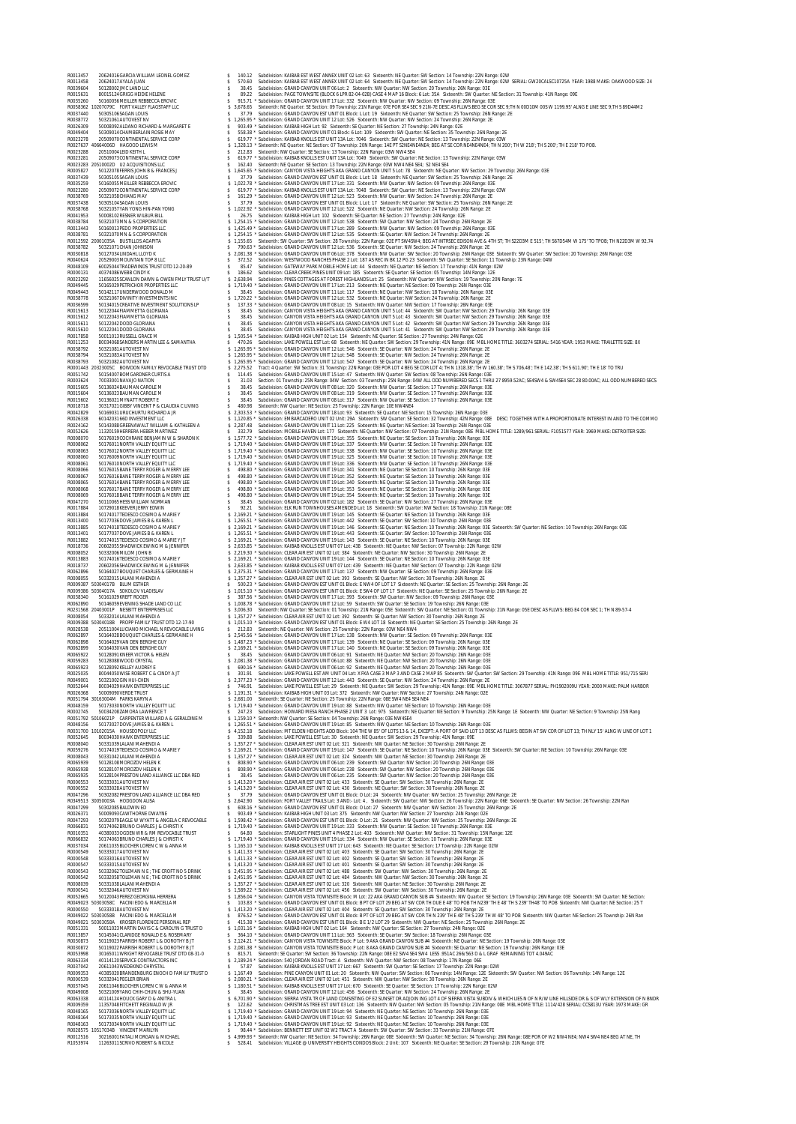R0013457 20624016GARCIA WILLIAM LEONEL GOMEZ \$ 140.12 Subdivision: KAIBAB EST WEST ANNEX UNIT 02 Lot: 63 Sixteenth: NE Quarter: SW Section: 14 Township: 22N Range: 02W R0013458 20624017AYALA JUAN \$ 570.60 Subdivision: KAIBAB EST WEST ANNEX UNIT 02 Lot: 64 Sixteenth: NE Quarter: SW Section: 14 Township: 22N Range: 02W SERIAL: GW20CALSC10725A YEAR: 1988 MAKE: OAKWOOD SIZE: 24 R0039604 50128002JMC LAND LLC \$ 38.45 Subdivision: GRAND CANYON UNIT 06 Lot: 2 Sixteenth: NW Quarter: NW Section: 20 Township: 26N Range: 03E R0015631 80015124GRIGG HEIDIE HELENE \$ 89.22 Subdivision: PAGE TOWNSITE (BLOCK 6 LPR 82-04-02B) CASE 4 MAP 16 Block: 6 Lot: 35A Sixteenth: SW Quarter: NE Section: 31 Township: 41N Range: 09E R0035260 50160056MEILLER REBBECCA EROVIC \$ 915.71 \* Subdivision: GRAND CANYON UNIT 17 Lot: 332 Sixteenth: NW Quarter: NW Section: 09 Township: 26N Range: 03E R0058362 10207079C FORT VALLEY FLAGSTAFF LLC \$ 3,678.65 Sixteenth: NE Quarter: SE Section: 09 Township: 21N Range: 07E POR SE4 SEC 9 21N-7E DESC AS FLLWS:BEG SE COR SEC 9;TH N 00D10M 00S W 1199.95' ALNG E LINE SEC 9;TH S 89D44M2 R0037440 50305106SAGAN LOUIS \$ 37.79 Subdivision: GRAND CANYON EST UNIT 01 Block: L Lot: 19 Sixteenth: NE Quarter: SW Section: 25 Township: 26N Range: 2E R0038772 50321061AUTOVEST NV \$ 1,265.95 \* Subdivision: GRAND CANYON UNIT 12 Lot: 526 Sixteenth: NW Quarter: NW Section: 24 Township: 26N Range: 2E R0026309 50008092ALDANO RICHARD & MARGARET E \$ 903.49 \* Subdivision: KAIBAB HIGH Lot: 92 Sixteenth: SE Quarter: NE Section: 27 Township: 24N Range: 02E R0049404 50309014CHAMBERLAIN ROSIE MAY \$ 558.38 \* Subdivision: GRAND CANYON UNIT 01 Block: 6 Lot: 109 Sixteenth: SW Quarter: NE Section: 35 Township: 26N Range: 2E R0023278 20509070CONTINENTAL SERVICE CORP \$ 619.77 \* Subdivision: KAIBAB KNOLLS EST UNIT 13A Lot: 7046 Sixteenth: SW Quarter: NE Section: 13 Township: 22N Range: 03W R0027637 40664006D HAGOOD LEWIS M \$ 1,328.13 \* Sixteenth: NE Quarter: NE Section: 07 Township: 20N Range: 14E PT S2NE4NE4NE4; BEG AT SE COR NE4NE4NE4; TH N 200'; TH W 218'; TH S 200'; TH E 218' TO POB. R0023288 20510004LEID KEITH L \$ 212.83 Sixteenth: NW Quarter: SE Section: 13 Township: 22N Range: 03W NW4 SE4 R0023281 20509073CONTINENTAL SERVICE CORP \$ 619.77 \* Subdivision: KAIBAB KNOLLS EST UNIT 13A Lot: 7049 Sixteenth: SW Quarter: NE Section: 13 Township: 22N Range: 03W R0023283 20510002D U2 ACQUISITIONS LLC \$ 162.40 Sixteenth: NE Quarter: SE Section: 13 Township: 22N Range: 03W NW4 NE4 SE4; S2 NE4 SE4 R0005827 50122078FERRIS JOHN B & FRANCES J \$ 1,645.65 \* Subdivision: CANYON VISTA HEIGHTS AKA GRAND CANYON UNIT 5 Lot: 78 Sixteenth: NE Quarter: NW Section: 29 Township: 26N Range: 03E R0037439 50305105SAGAN LOUIS \$ 37.79 Subdivision: GRAND CANYON EST UNIT 01 Block: L Lot: 18 Sixteenth: NE Quarter: SW Section: 25 Township: 26N Range: 2E R0035259 50160055MEILLER REBBECCA EROVIC \$ 1,022.78 \* Subdivision: GRAND CANYON UNIT 17 Lot: 331 Sixteenth: NW Quarter: NW Section: 09 Township: 26N Range: 03E R0023280 20509072CONTINENTAL SERVICE CORP \$ 619.77 \* Subdivision: KAIBAB KNOLLS EST UNIT 13A Lot: 7048 Sixteenth: SW Quarter: NE Section: 13 Township: 22N Range: 03W R0038769 50321058CHIANG MAY \$ 161.29 \* Subdivision: GRAND CANYON UNIT 12 Lot: 523 Sixteenth: NW Quarter: NW Section: 24 Township: 26N Range: 2E R0037438 50305104SAGAN LOUIS \$ 37.79 Subdivision: GRAND CANYON EST UNIT 01 Block: L Lot: 17 Sixteenth: NE Quarter: SW Section: 25 Township: 26N Range: 2E R0038768 50321057YAN YONG HIN-PAN YONG \$ 1,022.92 \* Subdivision: GRAND CANYON UNIT 12 Lot: 522 Sixteenth: NE Quarter: NW Section: 24 Township: 26N Range: 2E R0041953 50008102RESNER WILBUR BILL \$ 26.75 Subdivision: KAIBAB HIGH Lot: 102 Sixteenth: SE Quarter: NE Section: 27 Township: 24N Range: 02E R0038784 50321073MN & S CORPORATION \$ 1,254.15 \* Subdivision: GRAND CANYON UNIT 12 Lot: 538 Sixteenth: SW Quarter: NW Section: 24 Township: 26N Range: 2E R0013443 50160013PEDO PROPERTIES LLC \$ 1,425.49 \* Subdivision: GRAND CANYON UNIT 17 Lot: 289 Sixteenth: NW Quarter: NW Section: 09 Township: 26N Range: 03E R0038781 50321070MN & S CORPORATION \$ 1,254.15 \* Subdivision: GRAND CANYON UNIT 12 Lot: 535 Sixteenth: SE Quarter: NW Section: 24 Township: 26N Range: 2E R0012592 20001035A BUSTILLOS AGAPITA \$ 1,155.65 Sixteenth: SW Quarter: SW Section: 28 Township: 22N Range: 02E PT SW4SW4; BEG AT INTRSEC EDISON AVE & 4TH ST; TH S22D3M E 515'; TH S67D54M W 175' TO TPOB; TH N22D3M W 92.74 R0038782 50321071CHAN JOHNSON \$ 790.63 \* Subdivision: GRAND CANYON UNIT 12 Lot: 536 Sixteenth: SE Quarter: NW Section: 24 Township: 26N Range: 2E R0030818 50127034LINDAHL LLOYD K \$ 2,081.38 \* Subdivision: GRAND CANYON UNIT 06 Lot: 378 Sixteenth: NW Quarter: SW Section: 20 Township: 26N Range: 03E Sixteenth: SW Quarter: SW Section: 20 Township: 26N Range: 03E R0040624 20529003MOUNTAIN TOP 8 LLC \$ 372.52 Subdivision: WESTWOOD RANCHES PHASE 2 Lot: 187 AS REC IN BK 12 PG 23 Sixteenth: SW Quarter: SE Section: 11 Township: 23N Range: 04W R0048109 60025044TRADEWINDS TRUST DTD 12-20-89 \$ 85.47 Subdivision: GATEWAY PARK MOBILE HOME Lot: 44 Sixteenth: NE Quarter: NE Section: 17 Township: 41N Range: 02W R0000131 40374086WEBB CINDY K \$ 186.62 Subdivision: CLEAR CREEK PINES UNIT 09 Lot: 185 Sixteenth: SE Quarter: SE Section: 05 Township: 14N Range: 12E R0023292 11656025SCANLON DAWN & OWEN FMLY TRUST U/T \$ 2,638.94 Subdivision: PINES COTTAGES AT FOREST HIGHLANDS Lot: 25 Sixteenth: NW Quarter: NW Section: 19 Township: 20N Range: 7E R0049445 50165029PETRICHOR PROPERTIES LLC \$ 1,719.40 \* Subdivision: GRAND CANYON UNIT 17 Lot: 213 Sixteenth: NE Quarter: NE Section: 09 Township: 26N Range: 03E R0049443 50142117UNDERWOOD DONALD M \$ 38.45 Subdivision: GRAND CANYON UNIT 11 Lot: 117 Sixteenth: NE Quarter: NW Section: 18 Township: 26N Range: 03E R0038778 50321067DIVINITY INVESTMENTS INC \$ 1,720.22 \* Subdivision: GRAND CANYON UNIT 12 Lot: 532 Sixteenth: NE Quarter: NW Section: 24 Township: 26N Range: 2E R0036599 50134015CREATIVE INVESTMENT SOLUTIONS LP \$ 137.33 \* Subdivision: GRAND CANYON UNIT 08 Lot: 15 Sixteenth: NW Quarter: NW Section: 17 Township: 26N Range: 03E R0015613 50122044FIAMMETTA GLORIANA \$ 38.45 Subdivision: CANYON VISTA HEIGHTS AKA GRAND CANYON UNIT 5 Lot: 44 Sixteenth: SW Quarter: NW Section: 29 Township: 26N Range: 03E R0015612 50122043FIAMMETTA GLORIANA \$ 38.45 Subdivision: CANYON VISTA HEIGHTS AKA GRAND CANYON UNIT 5 Lot: 43 Sixteenth: SW Quarter: NW Section: 29 Township: 26N Range: 03E R0015611 50122042DODD GLORIANA \$ 38.45 Subdivision: CANYON VISTA HEIGHTS AKA GRAND CANYON UNIT 5 Lot: 42 Sixteenth: SW Quarter: NW Section: 29 Township: 26N Range: 03E R0015610 50122041DODD GLORIANA \$ 38.45 Subdivision: CANYON VISTA HEIGHTS AKA GRAND CANYON UNIT 5 Lot: 41 Sixteenth: SW Quarter: NW Section: 29 Township: 26N Range: 03E R0017858 50011013RUSSELL GRACE M \$ 1,505.54 \* Subdivision: KAIBAB HIGH UNIT 02 Lot: 154 Sixteenth: NE Quarter: SE Section: 27 Township: 24N Range: 02E R0011253 80034068SANDERS MARTIN LEE & SAMANTHA \$ 470.26 Subdivision: LAKE POWELL EST Lot: 68 Sixteenth: NE Quarter: SW Section: 29 Township: 41N Range: 09E MBL HOME TITLE: 3603274 SERIAL: 5416 YEAR: 1953 MAKE: TRAILETTE SIZE: 8X R0038792 50321081AUTOVEST NV \$ 1,265.95 \* Subdivision: GRAND CANYON UNIT 12 Lot: 546 Sixteenth: SE Quarter: NW Section: 24 Township: 26N Range: 2E R0038794 50321083AUTOVEST NV \$ 1,265.95 \* Subdivision: GRAND CANYON UNIT 12 Lot: 548 Sixteenth: SE Quarter: NW Section: 24 Township: 26N Range: 2E R0038793 50321082AUTOVEST NV \$ 1,265.95 \* Subdivision: GRAND CANYON UNIT 12 Lot: 547 Sixteenth: SE Quarter: NW Section: 24 Township: 26N Range: 2E R0001443 20323005C BOWDON FAMILY REVOCABLE TRUST DTD \$ 2,275.52 Tract: 4 Quarter: SW Section: 31 Township: 22N Range: 03E POR LOT 4 BEG SE COR LOT 4; TH N 1318.38'; TH W 160.38'; TH S 706.48'; TH E 142.38'; TH S 611.90'; TH E 18' TO TRU R0051742 50154007BOMGARDNER CURTIS A \$ 114.45 Subdivision: GRAND CANYON UNIT 15 Lot: 47 Sixteenth: NW Quarter: SW Section: 08 Township: 26N Range: 03E R0003624 70033001NAVAJO NATION \$ 31.03 Section: 01 Township: 25N Range: 04W Section: 03 Township: 25N Range: 04W ALL ODD NUMBERED SECS 1 THRU 27 8959.52AC; SE4SW4 & SW4SE4 SEC 28 80.00AC; ALL ODD NUMBERED SECS R0015605 50136024BAUMAN CAROLE M \$ 38.45 Subdivision: GRAND CANYON UNIT 08 Lot: 320 Sixteenth: NW Quarter: SE Section: 17 Township: 26N Range: 03E R0015604 50136023BAUMAN CAROLE M \$ 38.45 Subdivision: GRAND CANYON UNIT 08 Lot: 319 Sixteenth: NW Quarter: SE Section: 17 Township: 26N Range: 03E R0015602 50136021MYNATT ROBERT E \$ 38.45 Subdivision: GRAND CANYON UNIT 08 Lot: 317 Sixteenth: NW Quarter: SE Section: 17 Township: 26N Range: 03E R0018718 30317021GIBBY VINCENT P & CLAUDIA C LIVING \$ 480.98 Sixteenth: NW Quarter: NE Section: 25 Township: 22N Range: 10E NW4NE4 R0042829 50169031URUCHURTU RICHARD A JR \$ 2,303.53 \* Subdivision: GRAND CANYON UNIT 18 Lot: 93 Sixteenth: SE Quarter: NE Section: 15 Township: 26N Range: 03E R0026338 6014203166D INVESTMENT LLC \$ 1,120.85 \* Subdivision: EMBARCADERO UNIT 02 Unit: 29A Sixteenth: SW Quarter: SE Section: 32 Township: 42N Range: 08E DESC: TOGETHER WITH A PROPORTIONATE INTEREST IN AND TO THE COMMO R0024162 50143088GREENAWALT WILLIAM & KATHLEEN A \$ 2,287.48 Subdivision: GRAND CANYON UNIT 11 Lot: 225 Sixteenth: NE Quarter: NE Section: 18 Township: 26N Range: 03E R0052626 11320159HERRERA HEBER MARTINEZ \$ 332.79 Subdivision: MOBILE HAVEN Lot: 177 Sixteenth: NE Quarter: NW Section: 07 Township: 21N Range: 08E MBL HOME TITLE: 1289/961 SERIAL: F1051577 YEAR: 1969 MAKE: DETROITER SIZE: R0008070 50176019COCHRANE BENJAMIN W & SHARON K \$ 1,577.72 \* Subdivision: GRAND CANYON UNIT 19 Lot: 355 Sixteenth: NE Quarter: SE Section: 10 Township: 26N Range: 03E R0008062 50176011NORTH VALLEY EQUITY LLC \$ 1,719.40 \* Subdivision: GRAND CANYON UNIT 19 Lot: 337 Sixteenth: NW Quarter: SE Section: 10 Township: 26N Range: 03E R0008063 50176012NORTH VALLEY EQUITY LLC \$ 1,719.40 \* Subdivision: GRAND CANYON UNIT 19 Lot: 338 Sixteenth: NW Quarter: SE Section: 10 Township: 26N Range: 03E R0008060 50176009NORTH VALLEY EQUITY LLC \$ 1,719.40 \* Subdivision: GRAND CANYON UNIT 19 Lot: 325 Sixteenth: NW Quarter: SE Section: 10 Township: 26N Range: 03E R0008061 50176010NORTH VALLEY EQUITY LLC \$ 1,719.40 \* Subdivision: GRAND CANYON UNIT 19 Lot: 336 Sixteenth: NW Quarter: SE Section: 10 Township: 26N Range: 03E R0008066 50176015BANE TERRY ROGER & MERRY LEE \$ 498.80 \* Subdivision: GRAND CANYON UNIT 19 Lot: 341 Sixteenth: NE Quarter: SE Section: 10 Township: 26N Range: 03E R0008067 50176016BANE TERRY ROGER & MERRY LEE \$ 498.80 \* Subdivision: GRAND CANYON UNIT 19 Lot: 352 Sixteenth: NE Quarter: SE Section: 10 Township: 26N Range: 03E R0008065 50176014BANE TERRY ROGER & MERRY LEE \$ 498.80 \* Subdivision: GRAND CANYON UNIT 19 Lot: 340 Sixteenth: NE Quarter: SE Section: 10 Township: 26N Range: 03E R0008068 50176017BANE TERRY ROGER & MERRY LEE \$ 498.80 \* Subdivision: GRAND CANYON UNIT 19 Lot: 353 Sixteenth: NE Quarter: SE Section: 10 Township: 26N Range: 03E ROODBOOR SOLUTION AND TREATHER AND A SUBSON OF A SUBSON OF A SUBSON AND THE SECULIAR SECULIAR ON THE SECULIAR S<br>ROOM TO SECULIAR SECULIAR SECULIAR SECULIAR SECULIAR SECULIAR SECULIAR SECULIAR SECULIAR SECULIAR SECULIAR SEC R0013401 50177037DOVE JAMES B & KAREN L \$ 1,265.51 \* Subdivision: GRAND CANYON UNIT 19 Lot: 443 Sixteenth: SE Quarter: SW Section: 10 Township: 26N Range: 03E R0013882 50174015TEDESCO COSIMO & MARIE Y JT \$ 2,169.21 \* Subdivision: GRAND CANYON UNIT 19 Lot: 143 Sixteenth: SE Quarter: NE Section: 10 Township: 26N Range: 03E R0018736 20602055SHADWICK EWING M & JENNIFER \$ 2,633.85 \* Subdivision: KAIBAB KNOLLS EST UNIT 07 Lot: 438 Sixteenth: NE Quarter: NW Section: 07 Township: 22N Range: 02W R0008052 50332006MILOM JOHN B \$ 2,219.30 \* Subdivision: CLEAR AIR EST UNIT 02 Lot: 384 Sixteenth: NE Quarter: NW Section: 30 Township: 26N Range: 2E R0013883 50174016TEDESCO COSIMO & MARIE Y \$ 2,169.21 \* Subdivision: GRAND CANYON UNIT 19 Lot: 144 Sixteenth: SE Quarter: NE Section: 10 Township: 26N Range: 03E R0018737 20602056SHADWICK EWING M & JENNIFER \$ 2,633.85 \* Subdivision: KAIBAB KNOLLS EST UNIT 07 Lot: 439 Sixteenth: NE Quarter: NW Section: 07 Township: 22N Range: 02W R0062896 50164027BOUQUET CHARLES & GERMAINE H \$ 2,375.31 \* Subdivision: GRAND CANYON UNIT 17 Lot: 137 Sixteenth: NW Quarter: SE Section: 09 Township: 26N Range: 03E R0008055 50332015LALANI MAHENDI A \$ 1,357.27 \* Subdivision: CLEAR AIR EST UNIT 02 Lot: 393 Sixteenth: SE Quarter: NW Section: 30 Township: 26N Range: 2E R0009387 50304017B BLUM ESTHER \$ 500.23 \* Subdivision: GRAND CANYON EST UNIT 01 Block: E NW4 OF LOT 17 Sixteenth: NE Quarter: SE Section: 25 Township: 26N Range: 2E R0009386 50304017A SOKOLOV VLADISLAV \$ 1,015.10 \* Subdivision: GRAND CANYON EST UNIT 01 Block: E SW4 OF LOT 17 Sixteenth: NE Quarter: SE Section: 25 Township: 26N Range: 2E R0038340 50161029KREFT ROGER \$ 387.56 \* Subdivision: GRAND CANYON UNIT 17 Lot: 393 Sixteenth: SW Quarter: NW Section: 09 Township: 26N Range: 03E R0062890 50146059EVENING SHADE LAND CO LLC \$ 1,008.78 \* Subdivision: GRAND CANYON UNIT 12 Lot: 59 Sixteenth: SW Quarter: SE Section: 19 Township: 26N Range: 03E R0231568 20403001P NESBITT ENTERPRISES LLC \$ 3,006.30 Sixteenth: NW Quarter: SE Section: 01 Township: 21N Range: 05E Sixteenth: SW Quarter: NE Section: 01 Township: 21N Range: 05E DESC AS FLLWS: BEG E4 COR SEC 1; TH N 89-57-4 R0008054 50332014LALANI MAHENDI A \$ 1,357.27 \* Subdivision: CLEAR AIR EST UNIT 02 Lot: 392 Sixteenth: SE Quarter: NW Section: 30 Township: 26N Range: 2E R0009388 50304018B PROPP FAMILY TRUST DTD 12-17-90 \$ 1,015.10 \* Subdivision: GRAND CANYON EST UNIT 01 Block: E W4 LOT 18 Sixteenth: NE Quarter: SE Section: 25 Township: 26N Range: 2E R0028538 20511004LUCIANO MICHAEL N REVOCABLE LIVING \$ 212.83 Sixteenth: NE Quarter: NW Section: 25 Township: 22N Range: 03W NE4 NW4 R0062897 50164028BOUQUET CHARLES & GERMAINE H \$ 2,545.56 \* Subdivision: GRAND CANYON UNIT 17 Lot: 138 Sixteenth: NW Quarter: SE Section: 09 Township: 26N Range: 03E R0062898 50164029VAN DEN BERGHE GUY \$ 1,487.23 \* Subdivision: GRAND CANYON UNIT 17 Lot: 139 Sixteenth: NE Quarter: SE Section: 09 Township: 26N Range: 03E R0062899 50164030VAN DEN BERGHE GUY \$ 2,169.21 \* Subdivision: GRAND CANYON UNIT 17 Lot: 140 Sixteenth: NE Quarter: SE Section: 09 Township: 26N Range: 03E R0065922 50128091KNEER VICTOR & HELEN \$ 38.45 Subdivision: GRAND CANYON UNIT 06 Lot: 91 Sixteenth: NE Quarter: NW Section: 20 Township: 26N Range: 03E R0059283 50128088WOOD CRYSTAL \$ 2,081.38 \* Subdivision: GRAND CANYON UNIT 06 Lot: 88 Sixteenth: NE Quarter: NW Section: 20 Township: 26N Range: 03E R0065923 50128092KELLEY AUDREY E \$ 690.16 \* Subdivision: GRAND CANYON UNIT 06 Lot: 92 Sixteenth: NE Quarter: NW Section: 20 Township: 26N Range: 03E R0025035 80044050WISE ROBERT C & CINDY A JT \$ 301.91 Subdivision: LAKE POWELL EST AM UNIT 04 Lot: X FKA CASE 3 MAP 3 AND CASE 2 MAP 85 Sixteenth: SW Quarter: SW Section: 29 Township: 41N Range: 09E MBL HOME TITLE: 951/715 SERI R0049001 50321002GIN HUI-CHEN \$ 2,377.23 \* Subdivision: GRAND CANYON UNIT 12 Lot: 443 Sixteenth: SE Quarter: NW Section: 24 Township: 26N Range: 2E R0052644 80034029HAWK ENTERPRISES LLC \$ 746.91 Subdivision: LAKE POWELL EST Lot: 29 Sixteenth: NE Quarter: SW Section: 29 Township: 41N Range: 09E MBL HOME TITLE: 3067877 SERIAL: PH1902009U YEAR: 2000 MAKE: PALM HARBOR R0026368 50009090VERDE TRUST \$ 1,191.31 \* Subdivision: KAIBAB HIGH UNIT 03 Lot: 372 Sixteenth: NW Quarter: NW Section: 27 Township: 24N Range: 02E R0051794 30163004M PARKS KARYN A \$ 2,681.00 Sixteenth: SE Quarter: NE Section: 25 Township: 22N Range: 08E SW4 NE4 SE4 NE4 R0048159 50173030NORTH VALLEY EQUITY LLC \$ 1,719.40 \* Subdivision: GRAND CANYON UNIT 19 Lot: 88 Sixteenth: NW Quarter: NE Section: 10 Township: 26N Range: 03E R0002745 50034208ZAMORA LAWRENCE T \$ 247.23 Subdivision: HOWARD MESA RANCH PHASE 2 UNIT 3 Lot: 975 Sixteenth: NE Quarter: NE Section: 9 Township: 25N Range: 1E Sixteenth: NW Quarter: NE Section: 9 Township: 25N Rang R0051792 50106021P CARPENTER WILLARD A & GERALDINE M \$ 1,159.10 \* Sixteenth: NW Quarter: SE Section: 04 Township: 26N Range: 03E NW4SE4 R0048156 50173027DOVE JAMES B & KAREN L \$ 1,265.51 \* Subdivision: GRAND CANYON UNIT 19 Lot: 85 Sixteenth: NW Quarter: NE Section: 10 Township: 26N Range: 03E R0031700 10102015A HOUSEOPOLY LLC \$ 4,152.18 Subdivision: MT ELDEN HEIGHTS ADD Block: 104 THE W 85' OF LOTS 13 & 14, EXCEPT: A PORT OF SAID LOT 13 DESC AS FLLWS: BEGIN AT SW COR OF LOT 13; TH NLY 15' ALNG W LINE OF LOT 1 R0052645 80034030HAWK ENTERPRISES LLC \$ 339.88 Subdivision: LAKE POWELL EST Lot: 30 Sixteenth: NE Quarter: SW Section: 29 Township: 41N Range: 09E R0008040 50331039LALANI MAHENDI A \$ 1,357.27 \* Subdivision: CLEAR AIR EST UNIT 02 Lot: 321 Sixteenth: NW Quarter: NE Section: 30 Township: 26N Range: 2E R0059276 50174019TEDESCO COSIMO & MARIE Y \$ 2,169.21 \* Subdivision: GRAND CANYON UNIT 19 Lot: 147 Sixteenth: SE Quarter: NE Section: 10 Township: 26N Range: 03E Sixteenth: SW Quarter: NE Section: 10 Township: 26N Range: 03E R0008043 50331042LALANI MAHENDI A \$ 1,357.27 \* Subdivision: CLEAR AIR EST UNIT 02 Lot: 324 Sixteenth: NW Quarter: NE Section: 30 Township: 26N Range: 2E R0065939 50128108MOROZOV HELEN K \$ 808.90 \* Subdivision: GRAND CANYON UNIT 06 Lot: 239 Sixteenth: SW Quarter: NW Section: 20 Township: 26N Range: 03E R0065938 50128107MOROZOV HELEN K \$ 808.90 \* Subdivision: GRAND CANYON UNIT 06 Lot: 238 Sixteenth: SW Quarter: NW Section: 20 Township: 26N Range: 03E R0065935 50128104PRESTON LAND ALLIANCE LLC DBA RED \$ 38.45 Subdivision: GRAND CANYON UNIT 06 Lot: 235 Sixteenth: SW Quarter: NW Section: 20 Township: 26N Range: 03E R0000553 50333031AUTOVEST NV \$ 1,413.20 \* Subdivision: CLEAR AIR EST UNIT 02 Lot: 433 Sixteenth: SE Quarter: SW Section: 30 Township: 26N Range: 2E R0000552 50333028AUTOVEST NV \$ 1,413.20 \* Subdivision: CLEAR AIR EST UNIT 02 Lot: 430 Sixteenth: NE Quarter: SW Section: 30 Township: 26N Range: 2E R0047296 50302082PRESTON LAND ALLIANCE LLC DBA RED \$ 37.79 Subdivision: GRAND CANYON EST UNIT 01 Block: O Lot: 24 Sixteenth: NW Quarter: NW Section: 25 Township: 26N Range: 2E R0349513 30050003A HODGDON ALISA \$ 2,642.90 Subdivision: FORT VALLEY TRAILS Lot: 3 AND:- Lot: 4 , Sixteenth: SW Quarter: NW Section: 26 Township: 22N Range: 06E Sixteenth: SE Quarter: NW Section: 26 Township: 22N Ran R0047299 50302085BALDWIN ED \$ 608.16 \* Subdivision: GRAND CANYON EST UNIT 01 Block: O Lot: 27 Sixteenth: NW Quarter: NW Section: 25 Township: 26N Range: 2E R0026371 50009093CAWTHORNE DWAYNE \$ 903.49 \* Subdivision: KAIBAB HIGH UNIT 03 Lot: 375 Sixteenth: NW Quarter: NW Section: 27 Township: 24N Range: 02E R0047293 50302079EAGLE W WYATT & ANGELA C REVOCABLE \$ 1,598.42 \* Subdivision: GRAND CANYON EST UNIT 01 Block: O Lot: 21 Sixteenth: NW Quarter: NW Section: 25 Township: 26N Range: 2E R0066831 50174062BRUNO CHARLES J & CHRISTI K \$ 1,719.40 \* Subdivision: GRAND CANYON UNIT 19 Lot: 333 Sixteenth: NW Quarter: SE Section: 10 Township: 26N Range: 03E R0010351 40380033OGDEN WR & RM REVOCABLE TRUST \$ 64.80 Subdivision: STARLIGHT PINES UNIT 4 PHASE 2 Lot: 403 Sixteenth: NW Quarter: NW Section: 31 Township: 15N Range: 12E R0066832 50174063BRUNO CHARLES J & CHRISTI K \$ 1,719.40 \* Subdivision: GRAND CANYON UNIT 19 Lot: 334 Sixteenth: NW Quarter: SE Section: 10 Township: 26N Range: 03E R0037034 20611035BLOCHER LOREN C W & ANNA M \$ 1,165.10 \* Subdivision: KAIBAB KNOLLS EST UNIT 17 Lot: 643 Sixteenth: NE Quarter: SE Section: 17 Township: 22N Range: 02W R0000549 50333017AUTOVEST NV \$ 1,411.33 \* Subdivision: CLEAR AIR EST UNIT 02 Lot: 403 Sixteenth: SE Quarter: SW Section: 30 Township: 26N Range: 2E R0000548 50333016AUTOVEST NV \$ 1,411.33 \* Subdivision: CLEAR AIR EST UNIT 02 Lot: 402 Sixteenth: SE Quarter: SW Section: 30 Township: 26N Range: 2E R0000547 50333015AUTOVEST NV \$ 1,413.20 \* Subdivision: CLEAR AIR EST UNIT 02 Lot: 401 Sixteenth: SE Quarter: SW Section: 30 Township: 26N Range: 2E R0000543 50332062TOLEMAN N E ; THE CROFT NO 5 DRINK \$ 2,451.95 \* Subdivision: CLEAR AIR EST UNIT 02 Lot: 488 Sixteenth: SW Quarter: NW Section: 30 Township: 26N Range: 2E R0000542 50332058TOLEMAN N E ; THE CROFT NO 5 DRINK \$ 2,451.95 \* Subdivision: CLEAR AIR EST UNIT 02 Lot: 484 Sixteenth: NW Quarter: NW Section: 30 Township: 26N Range: 2E R0008039 50331038LALANI MAHENDI A \$ 1,357.27 \* Subdivision: CLEAR AIR EST UNIT 02 Lot: 320 Sixteenth: NW Quarter: NE Section: 30 Township: 26N Range: 2E R0000541 50332046AUTOVEST NV \$ 1,589.22 \* Subdivision: CLEAR AIR EST UNIT 02 Lot: 456 Sixteenth: SW Quarter: NW Section: 30 Township: 26N Range: 2E ROOXISPECTIC CORRECT CONTRACT AND A 1990 SUBMISHIG CONTRACT IN THE SECOND AND ANNOUNCED AND CONTRACT CONTRACT CONTRACT AND CONTRACT AND CONTRACT AND CONTRACT AND CONTRACT AND CONTRACT AND CONTRACT AND CONTRACT AND CONTRACT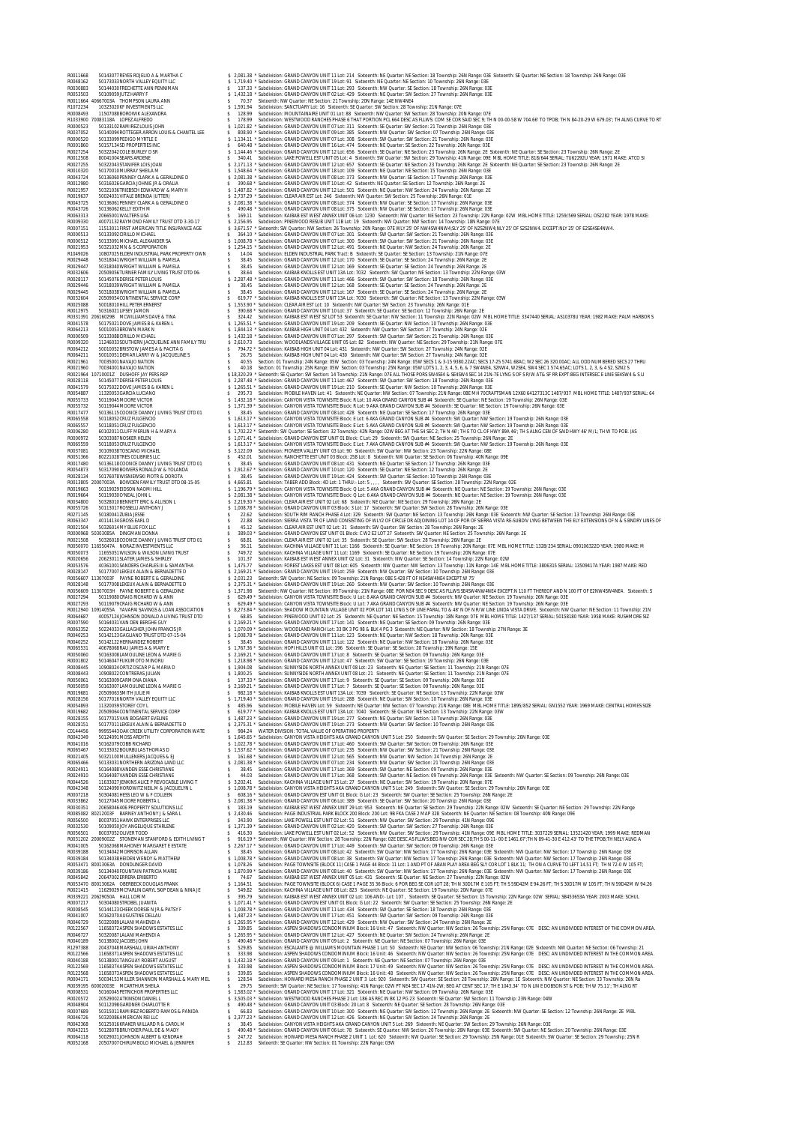**ROUNDED SO FEDERATION BARRY AND THE SUITE "SANGER GAND CARRY AND THIS FILE AND SOMETIME TRANSPORTED AND THE SUITE SUITE AND STREET AND FREE ROUNDED AND SUITE SUITE AND SUITE SUITE SUITE AND SUITE SUITE SUITE SUITE SUITE** ROQUING TRIVIVING TRUST TO SAMPLE AND SAMPLE AND SAMPLE IN A SAMPLE AND CONVERT IN TRIVING TRIVING TRIVING TRIVING TRIVING TRIVING TRIVING TRIVING TRIVING TRIVING TRIVING TRIVING TRIVING TRIVING TRIVING TRIVING TRIVING A ROOD TOOD CONTROLLER SANDALLERS SANDALLERS SANDA AND A COLLER SANDALLER SANDALLER SANDALLER SANDALLER SANDALLER SANDALLER SANDALLER SANDALLER SANDALLER SANDALLER SANDALLER SANDALLER SANDALLER SANDALLER SANDALLER SANDALLER **2002 AND THE CONSULTION AND A CONSULTED A CONSULTION AND ARRESTS THE CONSULTION CONSULTION AND A CONSULTION AND CONSULTION AND CONSULTION AND CONSULTION AND CONSULTION AND CONSULTION AND CONSULTION AND CONSULTION AND CON** R0024911 50164088VANDEN ESSE CHRISTIANE \$ 38.45 Subdivision: GRAND CANYON UNIT 17 Lot: 369 Sixteenth: SW Quarter: NE Section: 09 Township: 26N Range: 03E R0024910 50164087VANDEN ESSE CHRISTIANE \$ 44.03 Subdivision: GRAND CANYON UNIT 17 Lot: 368 Sixteenth: SW Quarter: NE Section: 09 Township: 26N Range: 03E Sixteenth: NW Quarter: SE Section: 09 Township: 26N Range: 03E R0044526 11633027JENKINS ALICE P REVOCABLE LIVING T \$ 3,202.41 Subdivision: KACHINA VILLAGE UNIT 15 Lot: 27 Sixteenth: NE Quarter: SW Section: 19 Township: 20N Range: 07E R0042348 50124090HOROWITZ NEIL M & JACQUELYN L \$ 1,008.78 \* Subdivision: CANYON VISTA HEIGHTS AKA GRAND CANYON UNIT 5 Lot: 249 Sixteenth: SW Quarter: SE Section: 29 Township: 26N Range: 03E R0007218 50304081HESS LEO W & F COLLEEN \$ 608.16 \* Subdivision: GRAND CANYON EST UNIT 01 Block: G Lot: 23 Sixteenth: SW Quarter: SE Section: 25 Township: 26N Range: 2E R0033862 50127045MOORE ROBERTA L \$ 2,081.38 \* Subdivision: GRAND CANYON UNIT 06 Lot: 389 Sixteenth: SE Quarter: SW Section: 20 Township: 26N Range: 03E R0030351 20658046406 PROPERTY SOLUTIONS LLC \$ 183.19 Subdivision: KAIBAB EST WEST ANNEX UNIT 29 Lot: 953 Sixteenth: NE Quarter: SE Section: 29 Township: 22N Range: 02W Sixteenth: SE Quarter: NE Section: 29 Township: 22N Range R0085082 80212003F BARNEY ANTHONY J & SARA L \$ 2,430.46 Subdivision: PAGE INDUSTRIAL PARK BLOCK 200 Block: 200 Lot: 9B FKA CASE 2 MAP 328 Sixteenth: NE Quarter: NE Section: 08 Township: 40N Range: 09E R0056500 80037051HAWK ENTERPRISES LLC \$ 343.90 Subdivision: LAKE POWELL EST UNIT 02 Lot: 51 Sixteenth: NW Quarter: SW Section: 29 Township: 41N Range: 09E R0032530 50109050JOY ANGELIQUE STARLENE \$ 1,371.39 \* Subdivision: GRAND CANYON UNIT 02 Lot: 420 Sixteenth: SW Quarter: SW Section: 27 Township: 26N Range: 03E R0056501 80037052OLIVER TODD \$ 416.30 Subdivision: LAKE POWELL EST UNIT 02 Lot: 52 Sixteenth: NW Quarter: SW Section: 29 Township: 41N Range: 09E MBL HOME TITLE: 3037229 SERIAL: 13521420 YEAR: 1999 MAKE: REDMAN R0031202 20009002Z STONEMAN STANFORD & EDITH LIVING T \$ 916.19 \* Sixteenth: NW Quarter: NW Section: 28 Township: 22N Range: 02E DESC AS FLLWS:BEG NW COR SEC 28;TH S 00-11- 00 E 1461.67';TH N 89-41-30 E 412.43' TO THE TPOB;TH NELY ALNG A R0041005 50162068MAHONEY MARGARET E ESTATE \$ 2,267.17 \* Subdivision: GRAND CANYON UNIT 17 Lot: 449 Sixteenth: SW Quarter: SW Section: 09 Township: 26N Range: 03E R0039188 50134042MORRISON ALLAN \$ 38.45 Subdivision: GRAND CANYON UNIT 08 Lot: 42 Sixteenth: SW Quarter: NW Section: 17 Township: 26N Range: 03E Sixteenth: NW Quarter: NW Section: 17 Township: 26N Range: 03E R0039184 50134038HEIDEN WENDY & MATTHEW \$ 1,008.78 \* Subdivision: GRAND CANYON UNIT 08 Lot: 38 Sixteenth: SW Quarter: NW Section: 17 Township: 26N Range: 03E Sixteenth: NW Quarter: NW Section: 17 Township: 26N Range: 03E R0053471 80013063A DONDLINGER DAVID \$ 1,078.26 Subdivision: PAGE TOWNSITE (BLOCK 11) CASE 1 PAGE 44 Block: 11 Lot: 1 AND PT OF ABAN PLAY AREA BEG SLY COR LOT 1 BLK 11; TH ON A CURVE TO LEFT 14.51 FT; TH N 72-0 W 105 FT; R0039186 50134040FOUNTAIN PATRICIA MARIE \$ 1,870.99 \* Subdivision: GRAND CANYON UNIT 08 Lot: 40 Sixteenth: SW Quarter: NW Section: 17 Township: 26N Range: 03E Sixteenth: NW Quarter: NW Section: 17 Township: 26N Range: 03E R0045842 20647002ERRERA ERIBERTO \$ 74.67 Subdivision: KAIBAB EST WEST ANNEX UNIT 05 Lot: 431 Sixteenth: SE Quarter: NE Section: 27 Township: 22N Range: 02W R0053470 80013062A OBERBECK DOUGLAS FRANK \$ 1,164.51 Subdivision: PAGE TOWNSITE (BLOCK 6) CASE 1 PAGE 35 36 Block: 6 POR BEG SE COR LOT 28; TH N 30D17M E 105 FT; TH S 59D42M E 94.26 FT; TH S 30D17M W 105 FT; TH N 59D42M W 94.26 R0021415 11629029MCFARLIN DARYL SKIP DEAN & NINA JE \$ 549.82 Subdivision: KACHINA VILLAGE UNIT 08 Lot: 823 Sixteenth: NE Quarter: SE Section: 19 Township: 20N Range: 07E R0339221 20629050A HALL LORI M \$ 395.79 Subdivision: KAIBAB EST WEST ANNEX UNIT 02 Lot: 106 AND:- Lot: 107 , Sixteenth: SE Quarter: SE Section: 15 Township: 22N Range: 02W SERIAL: SB453653A YEAR: 2003 MAKE: SCHUL R0007217 50304080STROBEL JUANITA \$ 1,071.41 \* Subdivision: GRAND CANYON EST UNIT 01 Block: G Lot: 22 Sixteenth: SW Quarter: SE Section: 25 Township: 26N Range: 2E R0008545 50144123CHEEK DORSIE N JR & PATSY F \$ 1,008.78 \* Subdivision: GRAND CANYON UNIT 11 Lot: 434 Sixteenth: SW Quarter: SE Section: 18 Township: 26N Range: 03E R0041007 50162070AUGUSTINE DELLAU \$ 1,487.23 \* Subdivision: GRAND CANYON UNIT 17 Lot: 451 Sixteenth: SW Quarter: SW Section: 09 Township: 26N Range: 03E R0046729 50320089LALANI MAHENDI A \$ 1,265.95 \* Subdivision: GRAND CANYON UNIT 12 Lot: 429 Sixteenth: NW Quarter: SW Section: 24 Township: 26N Range: 2E R0122567 11658372ASPEN SHADOWS ESTATES LLC \$ 339.85 Subdivision: ASPEN SHADOWS CONDOMINIUM Block: 16 Unit: 47 Sixteenth: NW Quarter: NW Section: 26 Township: 25N Range: 07E DESC: AN UNDIVIDED INTEREST OF THE COMMON AREA. R0046727 50320087LALANI MAHENDI A \$ 1,265.95 \* Subdivision: GRAND CANYON UNIT 12 Lot: 427 Sixteenth: NE Quarter: SW Section: 24 Township: 26N Range: 2E R0040189 50138002JACOBS JOHN \$ 490.48 \* Subdivision: GRAND CANYON UNIT 09 Lot: 2 Sixteenth: NE Quarter: NE Section: 07 Township: 26N Range: 03E R1297388 20437048MARSHALL URIAH ANTHONY \$ 529.85 Subdivision: ESCALANTE @ WILLIAMS MOUNTAIN PHASE 1 Lot: 50 Sixteenth: NE Quarter: NW Section: 06 Township: 21N Range: 02E Sixteenth: NW Quarter: NE Section: 06 Township: 21 R0122566 11658371ASPEN SHADOWS ESTATES LLC \$ 333.98 Subdivision: ASPEN SHADOWS CONDOMINIUM Block: 16 Unit: 46 Sixteenth: NW Quarter: NW Section: 26 Township: 25N Range: 07E DESC: AN UNDIVIDED INTEREST IN THE COMMON AREA. R0040188 50138001TANGUAY ROBERT AUGUST \$ 1,432.18 \* Subdivision: GRAND CANYON UNIT 09 Lot: 1 Sixteenth: NE Quarter: NE Section: 07 Township: 26N Range: 03E R0122569 11658374ASPEN SHADOWS ESTATES LLC \$ 333.98 Subdivision: ASPEN SHADOWS CONDOMINIUM Block: 17 Unit: 49 Sixteenth: NW Quarter: NW Section: 26 Township: 25N Range: 07E DESC: AN UNDIVIDED INTEREST IN THE COMMON AREA. R0122568 11658373ASPEN SHADOWS ESTATES LLC \$ 339.85 Subdivision: ASPEN SHADOWS CONDOMINIUM Block: 16 Unit: 48 Sixteenth: NW Quarter: NW Section: 26 Township: 25N Range: 07E DESC: AN UNDIVIDED INTEREST IN THE COMMON AREA. R0004171 50034153MILLER SHANNON MARSHALL & MARY MEL \$ 128.54 Subdivision: HOWARD MESA RANCH PHASE 2 UNIT 3 Lot: 920 Sixteenth: SW Quarter: SE Section: 28 Township: 26N Range: 1E Sixteenth: NW Quarter: NE Section: 33 Township: 26N Ra R0039195 60002003E MCARTHUR SHEILA \$ 29.75 Sixteenth: SW Quarter: NE Section: 17 Township: 41N Range: 02W PT NE4 SEC 17 41N-2W; BEG AT CENT SEC 17; TH E 1043.34' TO N LIN E DOBSON ST & POB; TH W 75.11'; TH ALNG RT EOLOGOSSI SOLO ENCORPENIES (SOLOGOSSI SUITS AND A SUITS SUITS AND A SUITS SUITS AND A SUITS AND A SUITS AND A SUITS AND A SUITS AND A SUITS AND A SUITS AND A SUITS AND A SUITS AND A SUITS AND A SUITS AND A SUITS AND A SUIT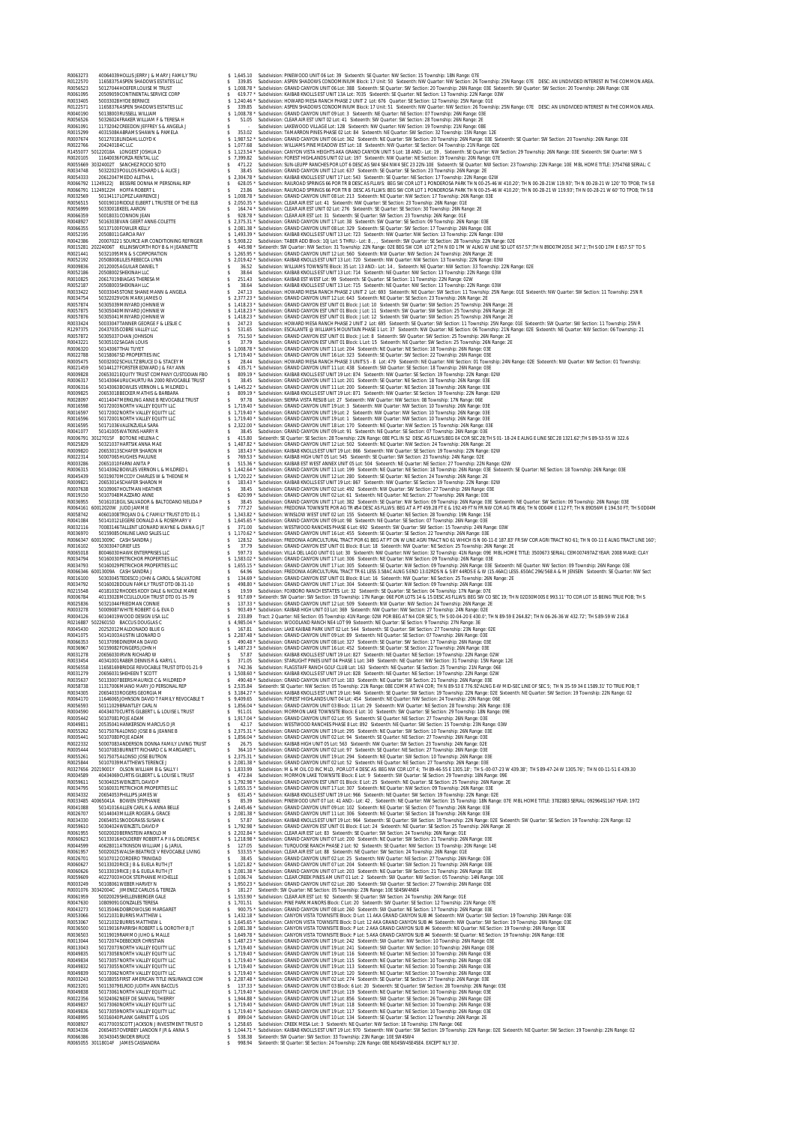R0063273 40064039HOLLIS JERRY J & MARY J FAMILY TRU \$ 1,645.10 Subdivision: PINEWOOD UNIT 06 Lot: 39 Sixteenth: SE Quarter: NW Section: 15 Township: 18N Range: 07E R0122570 11658375ASPEN SHADOWS ESTATES LLC \$ 339.85 Subdivision: ASPEN SHADOWS CONDOMINIUM Block: 17 Unit: 50 Sixteenth: NW Quarter: NW Section: 26 Township: 25N Range: 07E DESC: AN UNDIVIDED INTEREST IN THE COMMON AREA. R0056523 50127044HOEFER LOUISE M TRUST \$ 1,008.78 \* Subdivision: GRAND CANYON UNIT 06 Lot: 388 Sixteenth: SE Quarter: SW Section: 20 Township: 26N Range: 03E Sixteenth: SW Quarter: SW Section: 20 Township: 26N Range: 03E R0061095 20509059CONTINENTAL SERVICE CORP \$ 619.77 \* Subdivision: KAIBAB KNOLLS EST UNIT 13A Lot: 7035 Sixteenth: SE Quarter: NE Section: 13 Township: 22N Range: 03W R0033405 50033028HYDE BERNICE \$ 1,240.46 \* Subdivision: HOWARD MESA RANCH PHASE 2 UNIT 2 Lot: 676 Quarter: SE Section: 12 Township: 25N Range: 01E R0122571 11658376ASPEN SHADOWS ESTATES LLC \$ 339.85 Subdivision: ASPEN SHADOWS CONDOMINIUM Block: 17 Unit: 51 Sixteenth: NW Quarter: NW Section: 26 Township: 25N Range: 07E DESC: AN UNDIVIDED INTEREST IN THE COMMON AREA. R0040190 50138003RUSSELL WILLIAM \$ 1,008.78 \* Subdivision: GRAND CANYON UNIT 09 Lot: 3 Sixteenth: NE Quarter: NE Section: 07 Township: 26N Range: 03E R0056526 50326024FRAKER WILLIAM F & TERESA H \$ 51.05 Subdivision: CLEAR AIR EST UNIT 02 Lot: 41 Sixteenth: SW Quarter: SW Section: 28 Township: 26N Range: 2E R0061091 11732042CREEDON JEFFREY S & ANGELA J \$ - Subdivision: LAKEWOOD VILLAGE Lot: 12B Sixteenth: NW Quarter: NW Section: 19 Township: 21N Range: 08E R0015299 40315084ABRAMS SHAWN & PAMELA \$ 353.02 Subdivision: TAMARRON PINES PHASE 02 Lot: 84 Sixteenth: NE Quarter: SW Section: 32 Township: 15N Range: 12E R0007674 50127018LINDAHL LLOYD K \$ 1,987.52 \* Subdivision: GRAND CANYON UNIT 06 Lot: 362 Sixteenth: NE Quarter: SW Section: 20 Township: 26N Range: 03E Sixteenth: SE Quarter: SW Section: 20 Township: 26N Range: 03E R0022766 204240184C LLC \$ 1,077.68 Subdivision: WILLIAMS PINE MEADOW EST Lot: 18 Sixteenth: NW Quarter: SE Section: 04 Township: 21N Range: 02E R1455077 50122018A LONGEST JOSHUA D \$ 1,123.54 \* Subdivision: CANYON VISTA HEIGHTS AKA GRAND CANYON UNIT 5 Lot: 18 AND:- Lot: 19 , Sixteenth: SE Quarter: NW Section: 29 Township: 26N Range: 03E Sixteenth: SW Quarter: NW S R0020105 11640036FORZA RENTAL LLC \$ 7,399.82 Subdivision: FOREST HIGHLANDS UNIT 02 Lot: 197 Sixteenth: NW Quarter: NE Section: 19 Township: 20N Range: 07E R0055669 30324002T SANCHEZ ROCIO SOTO \$ 471.22 Subdivision: SUN-LEUPP RANCHES POR LOT 6 DESC AS SW4 SE4 NW4 SEC 23 22N-10E Sixteenth: SE Quarter: NW Section: 23 Township: 22N Range: 10E MBL HOME TITLE: 3754768 SERIAL: C R0034748 50322023POULOS RICHARD L & ALICE J \$ 38.45 Subdivision: GRAND CANYON UNIT 12 Lot: 637 Sixteenth: SE Quarter: SE Section: 23 Township: 26N Range: 2E R0054333 20612047MEDO ALETHA L \$ 2,304.78 \* Subdivision: KAIBAB KNOLLS EST UNIT 17 Lot: 543 Sixteenth: SE Quarter: NE Section: 17 Township: 22N Range: 02W R0066792 11249122J BESSIRE DONNA M PERSONAL REP \$ 628.05 \* Subdivision: RAILROAD SPRINGS 66 POR TR B DESC AS FLLWS: BEG SW COR LOT 1 PONDEROSA PARK TH N 00-25-46 W 410.20'; TH N 00-28-21W 119.93'; TH N 00-28-21 W 120' TO TPOB; TH S 8 R0066791 11249122H HOFFA ROBERT L \$ 23.86 Subdivision: RAILROAD SPRINGS 66 POR TR B DESC AS FLLWS: BEG SW COR LOT 1 PONDEROSA PARK TH N 00-25-46 W 410.20'; TH N 00-28-21 W 119.93'; TH N 00-28-21 W 60' TO TPOB; TH S 8 R0032569 50134117LOPEZ LAWRENCE J \$ 1,008.78 \* Subdivision: GRAND CANYON UNIT 08 Lot: 213 Sixteenth: NE Quarter: NW Section: 17 Township: 26N Range: 03E R0056515 50019010RIDDLE ELBERT L TRUSTEE OF THE ELB \$ 2,050.35 \* Subdivision: CLEAR AIR EST Lot: 41 Sixteenth: NW Quarter: SE Section: 23 Township: 26N Range: 01E R0056999 50330018KEEL AARON \$ 164.74 \* Subdivision: CLEAR AIR EST UNIT 02 Lot: 276 Sixteenth: SE Quarter: SE Section: 30 Township: 26N Range: 2E R0066359 50018031CONNON JEAN \$ 928.78 \* Subdivision: CLEAR AIR EST Lot: 31 Sixteenth: SE Quarter: SW Section: 23 Township: 26N Range: 01E R0048927 50163038VAN GEERT ANNE-COLETTE \$ 2,375.31 \* Subdivision: GRAND CANYON UNIT 17 Lot: 38 Sixteenth: SW Quarter: SE Section: 09 Township: 26N Range: 03E R0066355 50137100FOWLER KELLY \$ 2,081.38 \* Subdivision: GRAND CANYON UNIT 08 Lot: 329 Sixteenth: SE Quarter: SW Section: 17 Township: 26N Range: 03E R0052195 20508011GARCIA RAY \$ 1,493.39 \* Subdivision: KAIBAB KNOLLS EST UNIT 13 Lot: 723 Sixteenth: NW Quarter: NW Section: 13 Township: 22N Range: 03W R0042386 200070221 SOURCE AIR CONDITIONING REFRIGER \$ 5,908.22 Subdivision: TABER ADD Block: 10J Lot: 5 THRU:- Lot: 8 , , , Sixteenth: SW Quarter: SE Section: 28 Township: 22N Range: 02E R0015281 20224006T KILLINSWORTH ROY B & H JEANNETTE \$ 445.98 \* Sixteenth: SW Quarter: NW Section: 31 Township: 22N Range: 02E BEG SW COR LOT 2;TH N 0D 17M W ALNG W LINE SD LOT 657.57';TH N 89D07M20S E 347.1';TH S 0D 17M E 657.57' TO S R0021441 50321095MN & S CORPORATION \$ 1,265.95 \* Subdivision: GRAND CANYON UNIT 12 Lot: 560 Sixteenth: NW Quarter: NW Section: 24 Township: 26N Range: 2E R0052192 20508008LILES REBECCA LYNN \$ 2,019.42 \* Subdivision: KAIBAB KNOLLS EST UNIT 13 Lot: 720 Sixteenth: NW Quarter: NW Section: 13 Township: 22N Range: 03W R0009836 20120005AGUILAR DANIEL T \$ 36.52 Subdivision: WILLIAMS TOWNSITE Block: 35 Lot: 13 AND:- Lot: 14 , Sixteenth: NE Quarter: NW Section: 33 Township: 22N Range: 02E R0052186 20508002SHEKINAH LLC \$ 38.64 Subdivision: KAIBAB KNOLLS EST UNIT 13 Lot: 714 Sixteenth: NE Quarter: NW Section: 13 Township: 22N Range: 03W R0010825 20617019BIAGAS THERESA M \$ 251.43 Subdivision: KAIBAB EST WEST Lot: 99 Sixteenth: SE Quarter: SE Section: 11 Township: 22N Range: 02W R0052187 20508003SHEKINAH LLC \$ 38.64 Subdivision: KAIBAB KNOLLS EST UNIT 13 Lot: 715 Sixteenth: NE Quarter: NW Section: 13 Township: 22N Range: 03W R0033422 50033045STONE SHANE MANN & ANGELA \$ 247.13 Subdivision: HOWARD MESA RANCH PHASE 2 UNIT 2 Lot: 693 Sixteenth: NE Quarter: SW Section: 11 Township: 25N Range: 01E Sixteenth: NW Quarter: SW Section: 11 Township: 25N R R0034754 50322029VON MARX JAMES O \$ 2,377.23 \* Subdivision: GRAND CANYON UNIT 12 Lot: 643 Sixteenth: NE Quarter: SE Section: 23 Township: 26N Range: 2E R0057874 50305039MINYARD JOHNNIE W \$ 1,418.23 \* Subdivision: GRAND CANYON EST UNIT 01 Block: J Lot: 10 Sixteenth: SW Quarter: SW Section: 25 Township: 26N Range: 2E R0057875 50305040MINYARD JOHNNIE W \$ 1,418.23 \* Subdivision: GRAND CANYON EST UNIT 01 Block: J Lot: 11 Sixteenth: SW Quarter: SW Section: 25 Township: 26N Range: 2E R0057876 50305041MINYARD JOHNNIE W \$ 1,418.23 \* Subdivision: GRAND CANYON EST UNIT 01 Block: J Lot: 12 Sixteenth: SW Quarter: SW Section: 25 Township: 26N Range: 2E R0033424 50033047TANNER GEORGE F & LESLIE C \$ 247.23 Subdivision: HOWARD MESA RANCH PHASE 2 UNIT 2 Lot: 695 Sixteenth: SE Quarter: SW Section: 11 Township: 25N Range: 01E Sixteenth: SW Quarter: SW Section: 11 Township: 25N R R1297375 20437035COBRE VALLEY LLC \$ 531.65 Subdivision: ESCALANTE @ WILLIAMS MOUNTAIN PHASE 1 Lot: 37 Sixteenth: NW Quarter: NE Section: 06 Township: 21N Range: 02E Sixteenth: NE Quarter: NW Section: 06 Township: 21 R0057872 50305037CHAN JOHNSON \$ 751.50 \* Subdivision: GRAND CANYON EST UNIT 01 Block: J Lot: 8 Sixteenth: SW Quarter: SW Section: 25 Township: 26N Range: 2E R0043221 50305102SAGAN LOUIS \$ 37.79 Subdivision: GRAND CANYON EST UNIT 01 Block: L Lot: 15 Sixteenth: NE Quarter: SW Section: 25 Township: 26N Range: 2E R0006320 50143067THAI TUYET \$ 1,008.78 \* Subdivision: GRAND CANYON UNIT 11 Lot: 204 Sixteenth: NE Quarter: NE Section: 18 Township: 26N Range: 03E R0022788 50158067SD PROPERTIES INC \$ 1,719.40 \* Subdivision: GRAND CANYON UNIT 16 Lot: 323 Sixteenth: SE Quarter: SW Section: 22 Township: 26N Range: 03E R0005475 50032002SCHULTZ BRUCE D & STACEY M \$ 28.44 Subdivision: HOWARD MESA RANCH PHASE 3 UNITS 5 - 8 Lot: 479 Sixteenth: NE Quarter: NW Section: 01 Township: 24N Range: 02E Sixteenth: NW Quarter: NW Section: 01 Township: R0021459 50144127FORSTER EDWARD J & FAY ANN \$ 435.71 \* Subdivision: GRAND CANYON UNIT 11 Lot: 438 Sixteenth: SW Quarter: SE Section: 18 Township: 26N Range: 03E R0009828 20653021EQUITY TRUST COMPANY CUSTODIAN FBO \$ 809.19 \* Subdivision: KAIBAB KNOLLS EST UNIT 19 Lot: 874 Sixteenth: NW Quarter: SE Section: 19 Township: 22N Range: 02W R0006317 50143064URUCHURTU RA 2000 REVOCABLE TRUST \$ 38.45 Subdivision: GRAND CANYON UNIT 11 Lot: 201 Sixteenth: SE Quarter: NE Section: 18 Township: 26N Range: 03E R0006316 50143063BOWLES VERNON L & MILDRED L \$ 1,445.22 \* Subdivision: GRAND CANYON UNIT 11 Lot: 200 Sixteenth: SE Quarter: NE Section: 18 Township: 26N Range: 03E R0009825 20653018BECKER MATHIS & BARBARA \$ 809.19 \* Subdivision: KAIBAB KNOLLS EST UNIT 19 Lot: 871 Sixteenth: NW Quarter: SE Section: 19 Township: 22N Range: 02W R0028097 40114047MERKLING ANNE B REVOCABLE TRUST \$ 97.78 Subdivision: SIERRA VISTA RESUB Lot: 27 Sixteenth: NW Quarter: NW Section: 08 Township: 17N Range: 06E R0016598 50172003NORTH VALLEY EQUITY LLC \$ 1,719.40 \* Subdivision: GRAND CANYON UNIT 19 Lot: 3 Sixteenth: NW Quarter: NW Section: 10 Township: 26N Range: 03E R0016597 50172002NORTH VALLEY EQUITY LLC \$ 1,719.40 \* Subdivision: GRAND CANYON UNIT 19 Lot: 2 Sixteenth: NW Quarter: NW Section: 10 Township: 26N Range: 03E R0016596 50172001NORTH VALLEY EQUITY LLC \$ 1,719.40 \* Subdivision: GRAND CANYON UNIT 19 Lot: 1 Sixteenth: NW Quarter: NW Section: 10 Township: 26N Range: 03E R0016595 50171036VALENZUELA SARA \$ 2,322.00 \* Subdivision: GRAND CANYON UNIT 18 Lot: 170 Sixteenth: NE Quarter: NW Section: 15 Township: 26N Range: 03E R0041077 50141005WATKINS HARRY R \$ 38.45 Subdivision: GRAND CANYON UNIT 09 Lot: 91 Sixteenth: NE Quarter: SE Section: 07 Township: 26N Range: 03E R0006791 30127015F BOTONE HELENA C \$ 415.80 Sixteenth: SE Quarter: SE Section: 28 Township: 22N Range: 08E PCL IN S2 DESC AS FLLWS:BEG E4 COR SEC 28;TH S 01- 18-24 E ALNG E LINE SEC 28 1321.62';TH S 89-53-55 W 322.6 R0025829 50321037HARTSIK ANNA MAE \$ 1,487.82 \* Subdivision: GRAND CANYON UNIT 12 Lot: 502 Sixteenth: NE Quarter: NW Section: 24 Township: 26N Range: 2E R0009820 20653013SCHAFER SHARON M \$ 183.43 \* Subdivision: KAIBAB KNOLLS EST UNIT 19 Lot: 866 Sixteenth: NW Quarter: SE Section: 19 Township: 22N Range: 02W R0022314 50007065HUGHES PAULINE \$ 769.53 \* Subdivision: KAIBAB HIGH UNIT 05 Lot: 545 Sixteenth: SE Quarter: SW Section: 23 Township: 24N Range: 02E R0003286 20651010FARNI ANITA P \$ 515.36 \* Subdivision: KAIBAB EST WEST ANNEX UNIT 05 Lot: 504 Sixteenth: NE Quarter: NE Section: 27 Township: 22N Range: 02W R0006315 50143062BOWLES VERNON L & MILDRED L \$ 1,442.64 \* Subdivision: GRAND CANYON UNIT 11 Lot: 199 Sixteenth: NE Quarter: NE Section: 18 Township: 26N Range: 03E Sixteenth: SE Quarter: NE Section: 18 Township: 26N Range: 03E R0045439 50319070MCCOY CHARLES W & THEONE M \$ 1,720.22 \* Subdivision: GRAND CANYON UNIT 12 Lot: 280 Sixteenth: SE Quarter: NE Section: 24 Township: 26N Range: 2E R0009821 20653014SCHAFER SHARON M \$ 183.43 \* Subdivision: KAIBAB KNOLLS EST UNIT 19 Lot: 867 Sixteenth: NW Quarter: SE Section: 19 Township: 22N Range: 02W R0007638 50109067HOLTMAN HEATHER \$ 38.45 Subdivision: GRAND CANYON UNIT 02 Lot: 492 Sixteenth: NW Quarter: SW Section: 27 Township: 26N Range: 03E R0019150 50107048MAZZARO ANNE \$ 620.99 \* Subdivision: GRAND CANYON UNIT 02 Lot: 61 Sixteenth: NE Quarter: NE Section: 27 Township: 26N Range: 03E R0036955 50161018GIL SALVADOR & BALTODANO NELIDA P \$ 38.45 Subdivision: GRAND CANYON UNIT 17 Lot: 382 Sixteenth: SE Quarter: NW Section: 09 Township: 26N Range: 03E Sixteenth: NE Quarter: SW Section: 09 Township: 26N Range: 03E R0064161 60012020W JUDD JAMMIE \$ 777.27 Subdivision: FREDONIA TOWNSITE POR AG TR #54 DESC AS FLLWS: BEG AT A PT 459.28 FT E & 192.49 FT N FR NW COR AG TR #56; TH N 0D04M E 112 FT; TH N 89D56M E 194.50 FT; TH S 0D04M R0058742 40601008TROJAN D & C FAMILY TRUST DTD 01-1 \$ 1,343.82 \* Subdivision: WINSLOW WEST UNIT 02 Lot: 155 Sixteenth: NE Quarter: NE Section: 28 Township: 19N Range: 15E R0041084 50141012LEGERE DONALD A & ROSEMARY V \$ 1,645.65 \* Subdivision: GRAND CANYON UNIT 09 Lot: 98 Sixteenth: NE Quarter: SE Section: 07 Township: 26N Range: 03E R0032116 70083146TALLENT LEONARD WAYNE & DIANA G JT \$ 371.00 Subdivision: WESTWOOD RANCHES PHASE 6 Lot: 692 Sixteenth: SW Quarter: SW Section: 15 Township: 24N Range: 03W R0036970 50159085ONLINE LAND SALES LLC \$ 1,170.62 \* Subdivision: GRAND CANYON UNIT 16 Lot: 455 Sixteenth: SE Quarter: SE Section: 22 Township: 26N Range: 03E R0066347 60013009C CASH SANDRA J \$ 128.52 Subdivision: FREDONIA AGRICULTURAL TRACT POR 61 BEG AT PT ON W LINE AGRI TRACT NO 61 WHICH IS N 00-11-E 187.83' FR SW COR AGRI TRACT NO 61; TH N 00-11 E ALNG TRACT LINE 160'; R0016102 50303047GRIEF LES \$ 37.79 Subdivision: GRAND CANYON EST UNIT 01 Block: B Lot: 18 Sixteenth: NW Quarter: NE Section: 25 Township: 26N Range: 2E R0065018 80046030HAWK ENTERPRISES LLC \$ 597.73 Subdivision: VILLA DEL LAGO UNIT 01 Lot: 30 Sixteenth: NW Quarter: NW Section: 32 Township: 41N Range: 09E MBL HOME TITLE: 3500673 SERIAL: CEM007497AZ YEAR: 2008 MAKE: CLAY R0034794 50160030PETRICHOR PROPERTIES LLC \$ 1,583.02 \* Subdivision: GRAND CANYON UNIT 17 Lot: 306 Sixteenth: NE Quarter: NW Section: 09 Township: 26N Range: 03E R0034793 50160029PETRICHOR PROPERTIES LLC \$ 1,655.15 \* Subdivision: GRAND CANYON UNIT 17 Lot: 305 Sixteenth: SE Quarter: NW Section: 09 Township: 26N Range: 03E Sixteenth: NE Quarter: NW Section: 09 Township: 26N Range: 03E R0066346 60013009A CASH SANDRA J \$ 64.96 Subdivision: FREDONIA AGRICULTURAL TRACT TR 61 LESS 3.58AC ALNG S END 13.02RDS N & S BY 44RDS E & W (15.46AC) LESS .650AC 296/568 A & M JENSEN Sixteenth: SE Quarter: NW Sect R0016100 50303045TEDESCO JOHN & CAROL & SALVATORE \$ 134.69 \* Subdivision: GRAND CANYON EST UNIT 01 Block: B Lot: 16 Sixteenth: NW Quarter: NE Section: 25 Township: 26N Range: 2E R0034792 50160028DOLIN FAMILY TRUST DTD 08-31-10 \$ 498.80 \* Subdivision: GRAND CANYON UNIT 17 Lot: 304 Sixteenth: SE Quarter: NW Section: 09 Township: 26N Range: 03E R0215548 40181032RHODES KODY DALE & NICOLE MARIE \$ 19.59 Subdivision: FOXBORO RANCH ESTATES Lot: 32 Sixteenth: SE Quarter: SE Section: 04 Township: 17N Range: 07E R0006784 40133028MCCULLOUGH TRUST DTD 01-15-79 \$ 917.69 \* Sixteenth: SW Quarter: SW Section: 19 Township: 17N Range: 06E POR LOTS 14 & 15 DESC AS FLLWS: BEG SW CO SEC 19; TH N 02D30M00S E 993.11' TO COR LOT 15 BEING TRUE POB; TH S R0025836 50321044FRIEDMAN CONNIE \$ 137.33 \* Subdivision: GRAND CANYON UNIT 12 Lot: 509 Sixteenth: NW Quarter: NW Section: 24 Township: 26N Range: 2E R0003278 50009087WHITE ROBERT G & EVA D \$ 903.49 \* Subdivision: KAIBAB HIGH UNIT 03 Lot: 369 Sixteenth: NW Quarter: NW Section: 27 Township: 24N Range: 02E R0004126 60104019WOOD DESIGN USA LLC \$ 233.89 Tract: 2 Quarter: NE Section: 05 Township: 41N Range: 02W POR BEG AT N4 COR SEC 5; TH S 00-04-20 E 430.0'; TH N 89-59 E 264.82'; TH N 06-26-36 W 432.72'; TH S 89-59 W 216.8 R0216887 50226015D BACCUS DOUGLAS C \$ 4,985.04 \* Subdivision: WOODLAND RANCH NE4 LOT 99 Sixteenth: NE Quarter: SE Section: 9 Township: 27N Range: 3E R0045430 20252012MALDONADO BLUE G \$ 167.81 Subdivision: LAKE KAIBAB PARK UNIT 02 Lot: 544 Sixteenth: SE Quarter: SW Section: 27 Township: 23N Range: 02E R0041075 50141003AUSTIN LEONARD D \$ 2,287.48 \* Subdivision: GRAND CANYON UNIT 09 Lot: 89 Sixteenth: NE Quarter: SE Section: 07 Township: 26N Range: 03E R0066353 50137098DINERMAN DAVID \$ 490.48 \* Subdivision: GRAND CANYON UNIT 08 Lot: 327 Sixteenth: SE Quarter: SW Section: 17 Township: 26N Range: 03E R0036967 50159082FONGERS JOHN H \$ 1,487.23 \* Subdivision: GRAND CANYON UNIT 16 Lot: 452 Sixteenth: SE Quarter: SE Section: 22 Township: 26N Range: 03E R0031278 20656030IRVIN RICHARD W \$ 57.87 Subdivision: KAIBAB KNOLLS EST UNIT 19 Lot: 827 Sixteenth: NE Quarter: NE Section: 19 Township: 22N Range: 02W R0033454 40341001RABER DENNIS R & KARYL L \$ 371.05 Subdivision: STARLIGHT PINES UNIT 04 PHASE 1 Lot: 349 Sixteenth: NE Quarter: NW Section: 31 Township: 15N Range: 12E R0056558 11658169BRIDGE REVOCABLE TRUST DTD 01-21-9 \$ 742.36 Subdivision: FLAGSTAFF RANCH GOLF CLUB Lot: 163 Sixteenth: NE Quarter: SE Section: 25 Township: 21N Range: 06E R0031279 20656031SHEHEEN T SCOTT \$ 1,508.60 \* Subdivision: KAIBAB KNOLLS EST UNIT 19 Lot: 828 Sixteenth: NE Quarter: NE Section: 19 Township: 22N Range: 02W R0035637 50133007BEERS MAURICE C & MILDRED P \$ 490.48 \* Subdivision: GRAND CANYON UNIT 07 Lot: 183 Sixteenth: NE Quarter: SW Section: 21 Township: 26N Range: 03E R0058738 11317006MIANO MARY JO PERSONAL REP \$ 2,535.84 Sixteenth: SE Quarter: NW Section: 05 Township: 21N Range: 08E COMM AT W4 COR; TH N 89-53 E 776.92'ALNG E-W MID-SEC LINE OF SEC 5; TH N 35-59 34 E 1589.31' TO TRUE POB; T R0034305 20654033ROGERS GEORGIA M \$ 3,184.27 \* Subdivision: KAIBAB KNOLLS EST UNIT 19 Lot: 946 Sixteenth: SE Quarter: SW Section: 19 Township: 22N Range: 02E Sixteenth: NE Quarter: SW Section: 19 Township: 22N Range: 02 R0064170 11646065JOHNSON DAVID T FAMILY REVOCABLE T \$ 9,409.65 Subdivision: FOREST HIGHLANDS UNIT 04 Lot: 454 Sixteenth: NE Quarter: NW Section: 24 Township: 20N Range: 06E R0056593 50111029BRANTLEY CARL N \$ 1,856.04 \* Subdivision: GRAND CANYON UNIT 03 Block: 11 Lot: 29 Sixteenth: NW Quarter: NE Section: 28 Township: 26N Range: 03E R0004590 40434070CURTIS GILBERT L & LOUISE L TRUST \$ 911.01 Subdivision: MORMON LAKE TOWNSITE Block: E Lot: 10 Sixteenth: SW Quarter: SE Section: 29 Township: 18N Range: 09E R0005442 50107081POJE ADAM \$ 1,917.04 \* Subdivision: GRAND CANYON UNIT 02 Lot: 95 Sixteenth: SE Quarter: NE Section: 27 Township: 26N Range: 03E R0049811 20535041HANKERSON MARCUS D JR \$ 42.17 Subdivision: WESTWOOD RANCHES PHASE 8 Lot: 892 Sixteenth: NE Quarter: SW Section: 15 Township: 23N Range: 03W R0055262 50175076ALONSO JOSE B & JEANNE B \$ 2,375.31 \* Subdivision: GRAND CANYON UNIT 19 Lot: 295 Sixteenth: NE Quarter: SW Section: 10 Township: 26N Range: 03E R0005441 50107080POJE ADAM \$ 1,856.04 \* Subdivision: GRAND CANYON UNIT 02 Lot: 94 Sixteenth: SE Quarter: NE Section: 27 Township: 26N Range: 03E R0022332 50007083ANDERSON DONNA FAMILY LIVING TRUST \$ 26.75 Subdivision: KAIBAB HIGH UNIT 05 Lot: 563 Sixteenth: NW Quarter: SW Section: 23 Township: 24N Range: 02E R0005444 50107083BURNETT RICHARD C & MARGARET L \$ 364.10 \* Subdivision: GRAND CANYON UNIT 02 Lot: 97 Sixteenth: SE Quarter: NE Section: 27 Township: 26N Range: 03E R0055261 50175075ALONSO JOSE BUTRON \$ 2,375.31 \* Subdivision: GRAND CANYON UNIT 19 Lot: 294 Sixteenth: NE Quarter: SW Section: 10 Township: 26N Range: 03E RO23544<br>
SCRIPTOROGYANTHEWSTEENCE JOURNAL SCRIPT STAND ON THE SCRIPT STAND ON THE STAND ON THE STAND ON THE STAND ON THE STAND ON THE STAND ON THE STAND ON THE STANDAMENT STANDAMENT STAND ON THE STANDAMENT STANDAMENT IN C RODGEOIR VIVEREN HARVEYN STATER STATES SUBSIZED SECTION OF A 1972 SUBSIDE TO STATE SECTION 2012 AN REGION 2012<br>
RODGEOIR STATES AN ANNEXANT STATE STATE STATE STATE OF A CONSUMING CRANCY IN THE SCHOOL 2N RANGE TO CASSAMINE RUAPHRES - SUIZUSPAURIH VALLEY EQUITY LLC = STATION - SUBDIVISION: CHAND CANYON UNIT 19 LO: 115 Statemth: NE Quarter: NE Section: 10 Township: 26N Range: 03E<br>ROOM932 50173057NORTH VALLEY EQUITY LLC = STATION: 10 TOWNSHIP: R0049839 50173062NORTH VALLEY EQUITY LLC \$ 1,719.40 \* Subdivision: GRAND CANYON UNIT 19 Lot: 120 Sixteenth: NE Quarter: NE Section: 10 Township: 26N Range: 03E R0003243 50108055FIRST AMERICAN TITLE INSURANCE COM \$ 2,287.48 \* Subdivision: GRAND CANYON UNIT 02 Lot: 274 Sixteenth: SE Quarter: SE Section: 27 Township: 26N Range: 03E R0023201 50113079ELROD JUDITH ANN BACCUS \$ 137.33 \* Subdivision: GRAND CANYON UNIT 03 Block: 6 Lot: 20 Sixteenth: SE Quarter: SW Section: 28 Township: 26N Range: 03E R0049838 50173061NORTH VALLEY EQUITY LLC \$ 1,719.40 \* Subdivision: GRAND CANYON UNIT 19 Lot: 119 Sixteenth: NE Quarter: NE Section: 10 Township: 26N Range: 03E R0022356 50324062NEEF DE SAINVAL THIERRY \$ 1,944.88 \* Subdivision: GRAND CANYON UNIT 12 Lot: 856 Sixteenth: SW Quarter: SE Section: 26 Township: 26N Range: 02E R0049837 50173060NORTH VALLEY EQUITY LLC \$ 1,719.40 \* Subdivision: GRAND CANYON UNIT 19 Lot: 118 Sixteenth: NE Quarter: NE Section: 10 Township: 26N Range: 03E R0049836 50173059NORTH VALLEY EQUITY LLC \$ 1,719.40 \* Subdivision: GRAND CANYON UNIT 19 Lot: 117 Sixteenth: NE Quarter: NE Section: 10 Township: 26N Range: 03E R0048995 50316040PLANK GARNETT & LOIS \$ 899.04 \* Subdivision: GRAND CANYON UNIT 10 Lot: 134 Sixteenth: SE Quarter: SE Section: 12 Township: 26N Range: 2E R0008927 40177003SCOTT JACKSON J INVESTMENT TRUST D \$ 1,258.65 Subdivision: CREEK MESA Lot: 3 Sixteenth: NE Quarter: NW Section: 18 Township: 17N Range: 06E R0034336 20654057OVERBEY LANDON F JR & ANNA S \$ 1,044.71 \* Subdivision: KAIBAB KNOLLS EST UNIT 19 Lot: 970 Sixteenth: NW Quarter: SW Section: 19 Township: 22N Range: 02E Sixteenth: NE Quarter: SW Section: 19 Township: 22N Range: 02 R0066386 30343045SNIDER BRUCE \$ 538.38 Sixteenth: SW Quarter: SW Section: 33 Township: 23N Range: 10E SW4SW4 R0065055 30118014F JAMES CASSANDRA \$ 998.94 Sixteenth: SE Quarter: SE Section: 24 Township: 22N Range: 08E NE4SW4SE4SE4. EXCEPT NLY 30'.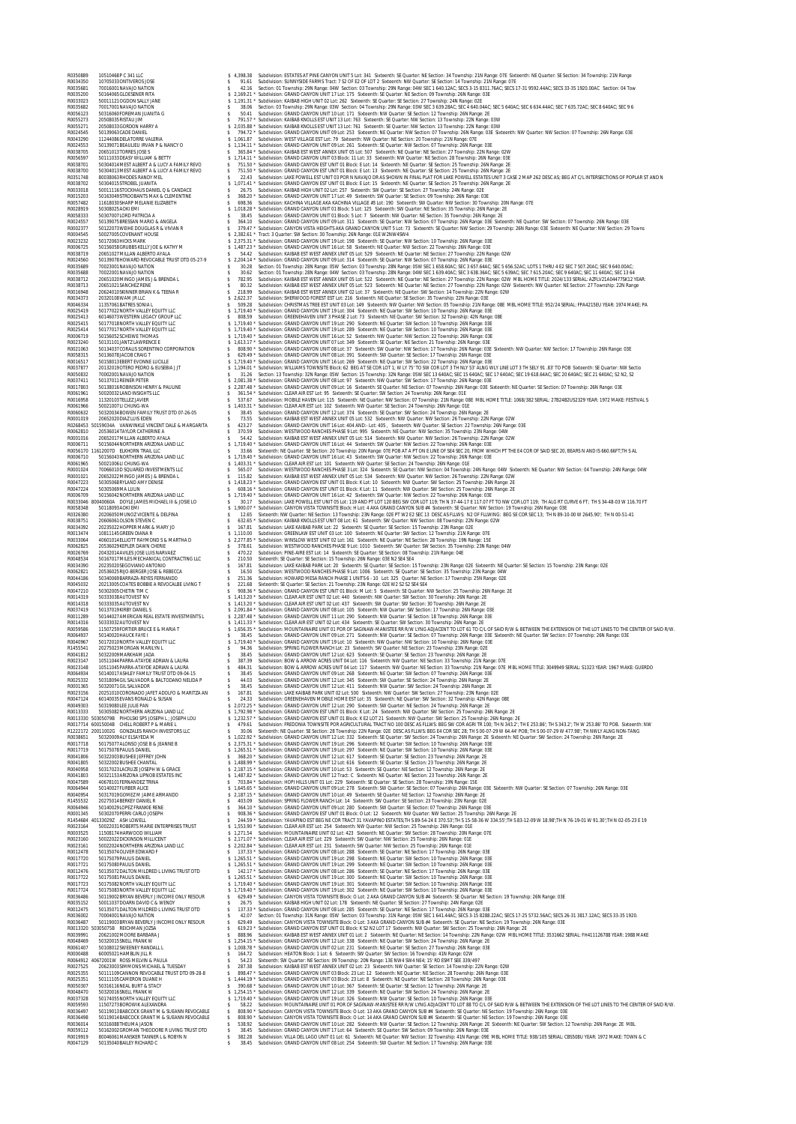**ENGINE FOR CHARACTERIS AND A 1990 MANUAL ESTIMATE CONTRACTED IN A SUBMINATION OF THE SECOND AND CONTRACTED AND CONTRACTED IN A SUBMINATION OF THE SECOND AND CONTRACTED IN A SUBMINATION OF THE SECOND AND CONTRACTED IN A S** ROOSSAGE 70222011 NAVION NATURAL STATES AND A STATE OF THE SECULIAR SURFACE OF THE SECULIAR SURFACE COMPANY AND STATES AND A STATE OF THE SECULIAR STATES AND SERVICE AND A STATE OF THE SECULIAR STATES OF THE SECULIAR STATE R0006719 50156052SCHEIWE THOMAS \$ 1,719.40 \* Subdivision: GRAND CANYON UNIT 16 Lot: 52 Sixteenth: NW Quarter: NW Section: 22 Township: 26N Range: 03E R0023240 50131101JANTZ LAWRENCE E \$ 1,613.17 \* Subdivision: GRAND CANYON UNIT 07 Lot: 349 Sixteenth: SE Quarter: NE Section: 21 Township: 26N Range: 03E R0021063 50134037CORALIS SORENTINO CORPORATION \$ 808.90 \* Subdivision: GRAND CANYON UNIT 08 Lot: 37 Sixteenth: SW Quarter: NW Section: 17 Township: 26N Range: 03E Sixteenth: NW Quarter: NW Section: 17 Township: 26N Range: 03E R0058315 50136078JACOB CRAIG T \$ 629.49 \* Subdivision: GRAND CANYON UNIT 08 Lot: 391 Sixteenth: SW Quarter: SE Section: 17 Township: 26N Range: 03E R0016517 50158013EBERT EVONNE LUCILLE \$ 1,719.40 \* Subdivision: GRAND CANYON UNIT 16 Lot: 269 Sixteenth: NE Quarter: SW Section: 22 Township: 26N Range: 03E R0037877 20132019OTERO PEDRO & EUSEBIA J JT \$ 1,194.01 \* Subdivision: WILLIAMS TOWNSITE Block: 62 BEG AT SE COR LOT 1; W LY 75' TO SW COR LOT 3 TH NLY 53' ALNG WLY LINE LOT 3 TH SELY 91 .83' TO POB Sixteenth: SE Quarter: NW Sectio R0050832 70002001NAVAJO NATION \$ 31.26 Section: 13 Township: 32N Range: 05W Section: 15 Township: 32N Range: 05W SEC 13 640AC; SEC 15 640AC; SEC 17 640AC; SEC 19 618.64AC; SEC 20 640AC; SEC 21 640AC; S2 N2, S2 R0037411 50137011REINER PETER \$ 2,081.38 \* Subdivision: GRAND CANYON UNIT 08 Lot: 97 Sixteenth: NW Quarter: SW Section: 17 Township: 26N Range: 03E R0017803 50138016ROBINSON HENRY & PAULINE \$ 2,287.48 \* Subdivision: GRAND CANYON UNIT 09 Lot: 16 Sixteenth: SE Quarter: NE Section: 07 Township: 26N Range: 03E Sixteenth: NE Quarter: SE Section: 07 Township: 26N Range: 03E R0061961 50020032LAND INSIGHTS LLC \$ 361.54 \* Subdivision: CLEAR AIR EST Lot: 95 Sixteenth: SE Quarter: SW Section: 24 Township: 26N Range: 01E R0016958 11320103TELLEZ JAVIER \$ 537.67 Subdivision: MOBILE HAVEN Lot: 115 Sixteenth: NE Quarter: NW Section: 07 Township: 21N Range: 08E MBL HOME TITLE: 1068/382 SERIAL: 27B24B2US2329 YEAR: 1972 MAKE: FESTIVAL S R0061966 50021007LI CHUNG-WA \$ 1,403.31 \* Subdivision: CLEAR AIR EST Lot: 102 Sixteenth: NW Quarter: SE Section: 24 Township: 26N Range: 01E R0060632 50320034BOWEN FAMILY TRUST DTD 07-26-05 \$ 38.45 Subdivision: GRAND CANYON UNIT 12 Lot: 374 Sixteenth: SE Quarter: SW Section: 24 Township: 26N Range: 2E R0001019 20652020DIAZ LUIS EDEN \$ 73.55 Subdivision: KAIBAB EST WEST ANNEX UNIT 05 Lot: 532 Sixteenth: NW Quarter: NW Section: 26 Township: 22N Range: 02W R0268453 50159034A VANWINKLE VINCENT DALE & MARGARITA \$ 423.27 Subdivision: GRAND CANYON UNIT 16 Lot: 404 AND:- Lot: 405 , Sixteenth: NW Quarter: SE Section: 22 Township: 26N Range: 03E R0062810 20536014TAYLOR CATHERINE A \$ 370.59 Subdivision: WESTWOOD RANCHES PHASE 9 Lot: 995 Sixteenth: NE Quarter: NW Section: 35 Township: 23N Range: 04W R0001016 20652017MILLAN ALBERTO AYALA \$ 54.42 Subdivision: KAIBAB EST WEST ANNEX UNIT 05 Lot: 514 Sixteenth: NW Quarter: NW Section: 26 Township: 22N Range: 02W R0006711 50156044NORTHERN ARIZONA LAND LLC \$ 1,719.40 \* Subdivision: GRAND CANYON UNIT 16 Lot: 44 Sixteenth: SW Quarter: NW Section: 22 Township: 26N Range: 03E R0056170 11612007D ELKHORN TRAIL LLC \$ 33.66 Sixteenth: NE Quarter: SE Section: 20 Township: 20N Range: 07E POB AT A PT ON E LINE OF SE4 SEC 20, FROM WHICH PT THE E4 COR OF SAID SEC 20, BEARS N AND IS 660.66FT;TH S AL R0006710 50156043NORTHERN ARIZONA LAND LLC \$ 1,719.40 \* Subdivision: GRAND CANYON UNIT 16 Lot: 43 Sixteenth: SW Quarter: NW Section: 22 Township: 26N Range: 03E R0061965 50021006LI CHUNG-WA \$ 1,403.31 \* Subdivision: CLEAR AIR EST Lot: 101 Sixteenth: NW Quarter: SE Section: 24 Township: 26N Range: 01E R0001024 70066010D SQUARED INVESTMENTS LLC \$ 565.07 Subdivision: WESTWOOD RANCHES PHASE 3 Lot: 324 Sixteenth: SE Quarter: NW Section: 04 Township: 24N Range: 04W Sixteenth: NE Quarter: NW Section: 04 Township: 24N Range: 04W R0001021 20652022MINGO JAMES J & BRENDA L \$ 115.82 Subdivision: KAIBAB EST WEST ANNEX UNIT 05 Lot: 534 Sixteenth: NW Quarter: NW Section: 26 Township: 22N Range: 02W R0047223 50305068RYLAND AMY DENISE \$ 1,418.23 \* Subdivision: GRAND CANYON EST UNIT 01 Block: K Lot: 10 Sixteenth: NW Quarter: SW Section: 25 Township: 26N Range: 2E R0047224 50305069MA LULIN \$ 608.16 \* Subdivision: GRAND CANYON EST UNIT 01 Block: K Lot: 11 Sixteenth: NW Quarter: SW Section: 25 Township: 26N Range: 2E R0006709 50156042NORTHERN ARIZONA LAND LLC \$ 1,719.40 \* Subdivision: GRAND CANYON UNIT 16 Lot: 42 Sixteenth: SW Quarter: NW Section: 22 Township: 26N Range: 03E R0033046 80040060A DOYLE JAMES MICHAEL III & JOSIE LO \$ 30.17 Subdivision: LAKE POWELL EST UNIT 05 Lot: 119 AND PT LOT 120 BEG SW COR LOT 119; TH N 37-44-17 E 117.07 FT TO NW COR LOT 119; TH ALG RT CURVE 6 FT; TH S 34-48-03 W 116.70 FT R0058348 50118093AOKI EMI \$ 1,900.07 \* Subdivision: CANYON VISTA TOWNSITE Block: H Lot: 4 AKA GRAND CANYON SUB #4 Sixteenth: SE Quarter: NW Section: 19 Township: 26N Range: 03E R0326380 20206050MUNOZ VICENTE & DELFINA \$ 12.65 Sixteenth: NW Quarter: NE Section: 13 Township: 23N Range: 02E PT W2 E2 SEC 13 DESC AS FLLWS: N2 OF FLLWING: BEG SE COR SEC 13; TH N 89-10-00 W 2645.90'; TH N 00-51-41 R0038751 20606061OLSON STEVEN C \$ 632.65 \* Subdivision: KAIBAB KNOLLS EST UNIT 08 Lot: 61 Sixteenth: SW Quarter: NW Section: 08 Township: 22N Range: 02W R0034392 20235022HOPPER MARK & MARY JO \$ 167.81 Subdivision: LAKE KAIBAB PARK Lot: 22 Sixteenth: SE Quarter: SE Section: 15 Township: 23N Range: 02E R0013474 10811145GREEN DIANA R \$ 1,110.00 Subdivision: GREENLAW EST UNIT 03 Lot: 100 Sixteenth: NE Quarter: SW Section: 12 Township: 21N Range: 07E R0033064 40601014ELLIOTT RAYMOND S & MARTHA D \$ 2,277.85 \* Subdivision: WINSLOW WEST UNIT 02 Lot: 161 Sixteenth: NE Quarter: NE Section: 28 Township: 19N Range: 15E R0062825 20536029KEPLER DAWN CHERIE \$ 378.61 Subdivision: WESTWOOD RANCHES PHASE 9 Lot: 1010 Sixteenth: SW Quarter: SW Section: 35 Township: 23N Range: 04W R0026769 20432014AVILES JOSE LUIS NARVAEZ \$ 470.22 Subdivision: PINE-AIRE EST Lot: 14 Sixteenth: SE Quarter: SE Section: 08 Township: 21N Range: 04E R0048534 50167017MILES MECHANICAL CONTRACTING LLC \$ 210.50 Sixteenth: SE Quarter: SE Section: 15 Township: 26N Range: 03E N2 SE4 SE4 R0034390 20235020SEGOVIANO ANTONIO \$ 167.81 Subdivision: LAKE KAIBAB PARK Lot: 20 Sixteenth: SE Quarter: SE Section: 15 Township: 23N Range: 02E Sixteenth: NE Quarter: SE Section: 15 Township: 23N Range: 02E R0062821 20536025RIJO-BERGER JOSE & REBECCA \$ 16.50 Subdivision: WESTWOOD RANCHES PHASE 9 Lot: 1006 Sixteenth: SE Quarter: SE Section: 35 Township: 23N Range: 04W R0044186 50340069BARRAZA-REYES FERNANDO \$ 251.36 Subdivision: HOWARD MESA RANCH PHASE 1 UNITS 6 - 10 Lot: 325 Quarter: NE Section: 17 Township: 25N Range: 02E R0045032 20213005COATES BOBBIE A REVOCALBE LIVING T \$ 221.68 Sixteenth: SE Quarter: SE Section: 21 Township: 23N Range: 02E W2 S2 S2 SE4 SE4 R0047210 50302005CHETIN TIM C \$ 908.36 \* Subdivision: GRAND CANYON EST UNIT 01 Block: M Lot: 5 Sixteenth: SE Quarter: NW Section: 25 Township: 26N Range: 2E R0014319 50333038AUTOVEST NV \$ 1,413.20 \* Subdivision: CLEAR AIR EST UNIT 02 Lot: 440 Sixteenth: NW Quarter: SW Section: 30 Township: 26N Range: 2E R0014318 50333035AUTOVEST NV \$ 1,413.20 \* Subdivision: CLEAR AIR EST UNIT 02 Lot: 437 Sixteenth: SW Quarter: SW Section: 30 Township: 26N Range: 2E R0037419 50137019KIRBY DANIEL S \$ 2,091.84 \* Subdivision: GRAND CANYON UNIT 08 Lot: 105 Sixteenth: NW Quarter: SW Section: 17 Township: 26N Range: 03E R0011289 50144027AMERICAN REAL ESTATE INVESTMENTS L \$ 2,287.48 \* Subdivision: GRAND CANYON UNIT 11 Lot: 290 Sixteenth: NW Quarter: SE Section: 18 Township: 26N Range: 03E R0014316 50333032AUTOVEST NV \$ 1,411.33 \* Subdivision: CLEAR AIR EST UNIT 02 Lot: 434 Sixteenth: SE Quarter: SW Section: 30 Township: 26N Range: 2E R0059586 11507259FORTIER BRUCE E & MARIA T \$ 1,656.35 \* Subdivision: MOUNTAINAIRE UNIT 01 POR OF SAGINAW-MANISTEE RR R/W LYNG ADJACENT TO LOT 61 TO C/L OF SAID R/W & BETWEEN THE EXTENSION OF THE LOT LINES TO THE CENTER OF SAID R/W. R0064937 50140020HAUCK FAYE I \$ 38.45 Subdivision: GRAND CANYON UNIT 09 Lot: 271 Sixteenth: NW Quarter: SE Section: 07 Township: 26N Range: 03E Sixteenth: NE Quarter: SW Section: 07 Township: 26N Range: 03E R0040967 50172010NORTH VALLEY EQUITY LLC \$ 1,719.40 \* Subdivision: GRAND CANYON UNIT 19 Lot: 10 Sixteenth: NW Quarter: NW Section: 10 Township: 26N Range: 03E R1455541 20275023MORGAN MARILYN L \$ 94.36 Subdivision: SPRING FLOWER RANCH Lot: 23 Sixteenth: SW Quarter: NE Section: 23 Township: 23N Range: 02E R0041812 50322009MARKHAM JADA \$ 38.45 Subdivision: GRAND CANYON UNIT 12 Lot: 623 Sixteenth: SE Quarter: SE Section: 23 Township: 26N Range: 2E R0023147 10511044PARRA-ATAYDE ADRIAN & LAURA \$ 387.39 Subdivision: BOW & ARROW ACRES UNIT 04 Lot: 116 Sixteenth: NW Quarter: NE Section: 33 Township: 21N Range: 07E R0023148 10511045PARRA-ATAYDE ADRIAN & LAURA \$ 484.31 Subdivision: BOW & ARROW ACRES UNIT 04 Lot: 117 Sixteenth: NW Quarter: NE Section: 33 Township: 21N Range: 07E MBL HOME TITLE: 3049949 SERIAL: S1323 YEAR: 1967 MAKE: GUERDO R0064934 50140017ASHLEY FAMILY TRUST DTD 09-04-15 \$ 38.45 Subdivision: GRAND CANYON UNIT 09 Lot: 268 Sixteenth: NE Quarter: SW Section: 07 Township: 26N Range: 03E R0025332 50318094GIL SALVADOR & BALTODANO NELIDA P \$ 44.03 Subdivision: GRAND CANYON UNIT 12 Lot: 345 Sixteenth: SW Quarter: SE Section: 24 Township: 26N Range: 2E R0001365 50320071GIL SALVADOR \$ 38.45 Subdivision: GRAND CANYON UNIT 12 Lot: 411 Sixteenth: NW Quarter: SW Section: 24 Township: 26N Range: 2E R0023156 20251010CORONADO JAFET ADOLFO & MARITZA AN \$ 167.81 Subdivision: LAKE KAIBAB PARK UNIT 02 Lot: 500 Sixteenth: NW Quarter: SW Section: 27 Township: 23N Range: 02E R0047124 60140035EVANS RONALD & SUSAN \$ 24.33 Subdivision: GREENEHAVEN MOBILE HOME EST Lot: 35 Sixteenth: NE Quarter: SW Section: 32 Township: 42N Range: 08E R0049303 50319080LEE JULIE PAN \$ 2,072.25 \* Subdivision: GRAND CANYON UNIT 12 Lot: 290 Sixteenth: SW Quarter: NE Section: 24 Township: 26N Range: 2E R0013333 50305082NORTHERN ARIZONA LAND LLC \$ 1,792.98 \* Subdivision: GRAND CANYON EST UNIT 01 Block: K Lot: 24 Sixteenth: NW Quarter: SW Section: 25 Township: 26N Range: 2E R0013330 50305079B PIHOLSKI SP5 JOSEPH L ; JOSEPH LOU \$ 1,232.57 \* Subdivision: GRAND CANYON EST UNIT 01 Block: K E2 LOT 21 Sixteenth: NW Quarter: SW Section: 25 Township: 26N Range: 2E R0017714 60015004B CHELL ROBERT P & MARIE L \$ 479.61 Subdivision: FREDONIA TOWNSITE POR AGRICULTURAL TRACT NO 100 DESC AS FLLWS: BEG SW COR AGRI TR 100; TH N 343.2'; TH E 253.86'; TH S 343.2'; TH W 253.86' TO POB. Sixteenth: NW R1222172 20011002G GONZALES RANCH INVESTORS LLC \$ 30.06 Sixteenth: NE Quarter: SE Section: 28 Township: 22N Range: 02E DESC AS FLLWS: BEG E4 COR SEC 28; TH S 00-07-29 W 64.44' POB; TH S 00-07-29 W 477.98'; TH NWLY ALNG NON-TANG R0038651 50320009ALY ELSAYEDA M \$ 1,022.92 \* Subdivision: GRAND CANYON UNIT 12 Lot: 332 Sixteenth: SE Quarter: SW Section: 24 Township: 26N Range: 2E Sixteenth: NE Quarter: SW Section: 24 Township: 26N Range: 2E R0017718 50175077ALONSO JOSE B & JEANNE B \$ 2,375.31 \* Subdivision: GRAND CANYON UNIT 19 Lot: 296 Sixteenth: NE Quarter: SW Section: 10 Township: 26N Range: 03E R0017719 50175078PAULIS DANIEL \$ 1,265.51 \* Subdivision: GRAND CANYON UNIT 19 Lot: 297 Sixteenth: NE Quarter: SW Section: 10 Township: 26N Range: 03E R0041806 50322003BUSHEE JEFFREY JOHN \$ 368.20 \* Subdivision: GRAND CANYON UNIT 12 Lot: 617 Sixteenth: SE Quarter: SE Section: 23 Township: 26N Range: 2E R0041805 50322002BUSHEE CHANTAL \$ 1,488.99 \* Subdivision: GRAND CANYON UNIT 12 Lot: 616 Sixteenth: SE Quarter: SE Section: 23 Township: 26N Range: 2E R0040958 50317023LACRUZE JOSEPH W & GRACE \$ 2,187.15 \* Subdivision: GRAND CANYON UNIT 10 Lot: 53 Sixteenth: SE Quarter: NE Section: 12 Township: 26N Range: 2E R0041803 50321153ARIZONA LIPNOB ESTATES INC \$ 1,487.82 \* Subdivision: GRAND CANYON UNIT 12 Tract: C Sixteenth: NE Quarter: NE Section: 23 Township: 26N Range: 2E R0047589 40678101FERNANDEZ TRINA \$ 703.84 \* Subdivision: HOPI HILLS UNIT 01 Lot: 229 Sixteenth: SE Quarter: SE Section: 28 Township: 19N Range: 15E R0064944 50140027FURBER ALICE \$ 1,645.65 \* Subdivision: GRAND CANYON UNIT 09 Lot: 278 Sixteenth: SW Quarter: SE Section: 07 Township: 26N Range: 03E Sixteenth: NW Quarter: SE Section: 07 Township: 26N Range: 03E ROMANG FOOT STATP (1990 NORTHAM SAND SALE) 5 2.1715 "Subdivision GRAND CANYON UNIT OLG 49 SIGERET AN EXCHOR T2TOWINDER 2008 2022 20275014 BERREY DANIEL R<br>RIGHARA 1999 2022 100 2008 2022 100 2008 2009 2009 2009 2009 2009 20 1007/21 SUTPARANCHIVALIFY COLOR 1997 - 1007 - 1007 - 1007 - 1007 - 1007 - 1007 - 1007 - 1007 - 1007 - 1007 - 1007 - 1007 - 1007 - 1007 - 1007 - 1007 - 1007 - 1007 - 1007 - 1007 - 1007 - 1007 - 1007 - 1007 - 1007 - 1007 -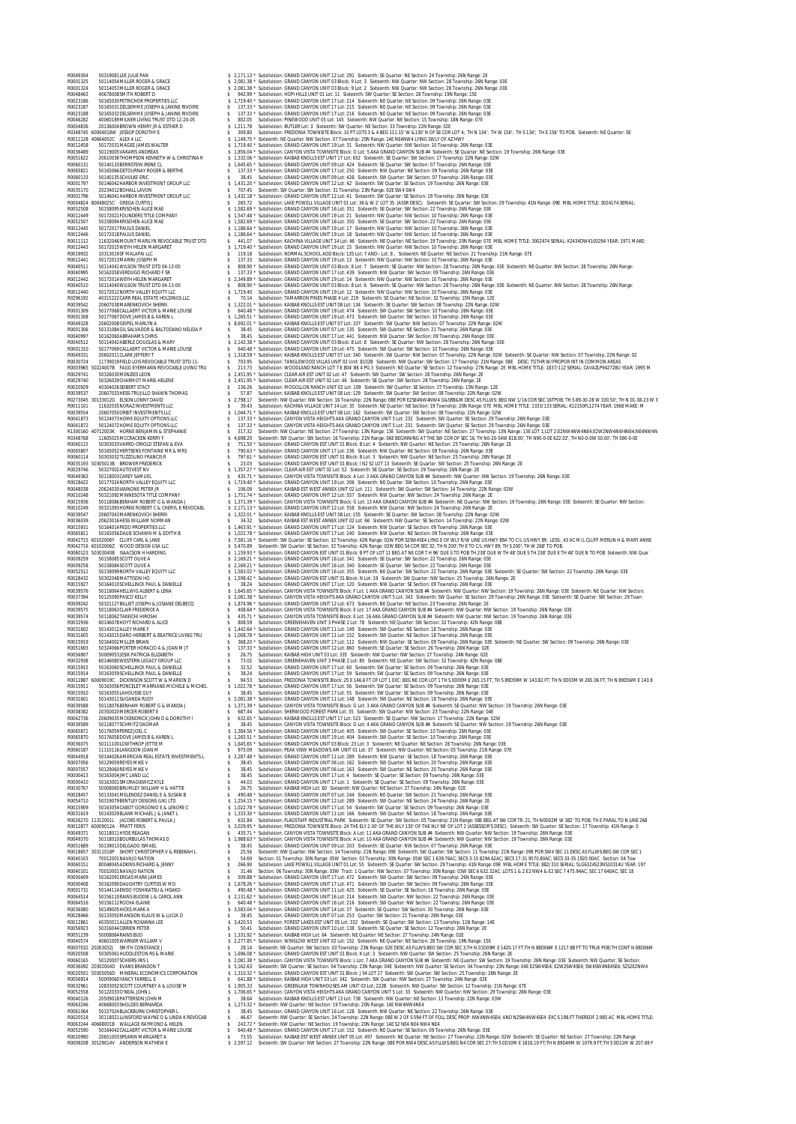ROOFS AND THE FROM THE SECURE STATES A SUBMIT SERVE A CONTROLL IN A SUBMIT AND CONTROLL IN A SUBMIT AND CONTROLL IN A SUBMIT AND CONTROLL IN A SUBMIT AND CONTROLL IN A SUBMIT AND CONTROLL IN A SUBMIT AND CONTROLL IN A SUB ROOTI112 11632046MOUNTMARILYN REVOCABLE TRUST DTD \$ 441.07 Subdivision: KACHINA VILLAGE UNIT 14 Lot. 46 Sixteenth: NE Ouarter: NESCRICHT 9 Township: 2001 Range: 07E MBL HOME TITLE: 3002474 SERIAL: K2434DW410029A YEAR: 1971 R0012441 50172013MARINI JOSEPH M \$ 137.33 Subdivision: GRAND CANYON UNIT 19 Lot: 13 Sixteenth: NW Quarter: NW Section: 10 Township: 26N Range: 03E R0040511 50114041WILSON TRUST DTD 04-13-00 \$ 808.90 \* Subdivision: GRAND CANYON UNIT 03 Block: 8 Lot: 7 Sixteenth: SE Quarter: NW Section: 28 Township: 26N Range: 03E Sixteenth: NE Quarter: NW Section: 28 Township: 26N Range: R0040995 50162058VERDUGO RICHARD F SR \$ 137.33 \* Subdivision: GRAND CANYON UNIT 17 Lot: 439 Sixteenth: NW Quarter: SW Section: 09 Township: 26N Range: 03E R0012442 50172014WEYH HELEN MARGARET \$ 2,349.89 \* Subdivision: GRAND CANYON UNIT 19 Lot: 14 Sixteenth: NW Quarter: NW Section: 10 Township: 26N Range: 03E R0040510 50114040WILSON TRUST DTD 04-13-00 \$ 808.90 \* Subdivision: GRAND CANYON UNIT 03 Block: 8 Lot: 6 Sixteenth: SE Quarter: NW Section: 28 Township: 26N Range: 03E Sixteenth: NE Quarter: NW Section: 28 Township: 26N Range: R0012440 50172012NORTH VALLEY EQUITY LLC \$ 1,719.40 Subdivision: GRAND CANYON UNIT 19 Lot: 12 Sixteenth: NW Quarter: NW Section: 10 Township: 26N Range: 03E R0296192 40315222CARR REAL ESTATE HOLDINGS LLC \$ 70.14 Subdivision: TAMARRON PINES PHASE 4 Lot: 219 Sixteenth: SE Quarter: NE Section: 32 Township: 15N Range: 12E R0039542 20607038MARENKOVICH SHERRI \$ 1,322.01 \* Subdivision: KAIBAB KNOLLS EST UNIT 08 Lot: 134 Sixteenth: SE Quarter: SW Section: 08 Township: 22N Range: 02W R0001309 50177068CALLAERT VICTOR & MARIE LOUISE \$ 640.48 \* Subdivision: GRAND CANYON UNIT 19 Lot: 474 Sixteenth: SW Quarter: SW Section: 10 Township: 26N Range: 03E R0001308 50177067DOVE JAMES B & KAREN L \$ 1,265.51 \* Subdivision: GRAND CANYON UNIT 19 Lot: 473 Sixteenth: SW Quarter: SW Section: 10 Township: 26N Range: 03E R0049328 20602008GEIPEL MARLYN A \$ 8,692.01 \* Subdivision: KAIBAB KNOLLS EST UNIT 07 Lot: 337 Sixteenth: SW Quarter: NW Section: 07 Township: 22N Range: 02W R0001306 50131084GIL SALVADOR & BALTODANO NELIDA P \$ 38.45 Subdivision: GRAND CANYON UNIT 07 Lot: 135 Sixteenth: SW Quarter: NE Section: 21 Township: 26N Range: 03E R0040997 50162060ABRAHAMS CHRIS \$ 38.45 Subdivision: GRAND CANYON UNIT 17 Lot: 441 Sixteenth: NW Quarter: SW Section: 09 Township: 26N Range: 03E R0040512 50114042ABERLE DOUGLAS & MARY \$ 2,142.38 \* Subdivision: GRAND CANYON UNIT 03 Block: 8 Lot: 8 Sixteenth: SE Quarter: NW Section: 28 Township: 26N Range: 03E R0001310 50177069CALLAERT VICTOR & MARIE LOUISE \$ 640.48 \* Subdivision: GRAND CANYON UNIT 19 Lot: 475 Sixteenth: SW Quarter: SW Section: 10 Township: 26N Range: 03E R0049331 20602011CLARK JEFFERY T \$ 1,318.59 \* Subdivision: KAIBAB KNOLLS EST UNIT 07 Lot: 340 Sixteenth: SW Quarter: NW Section: 07 Township: 22N Range: 02W Sixteenth: SE Quarter: NW Section: 07 Township: 22N Range: 02 R0030724 11739019FIELD LOIS REVOCABLE TRUST DTD 11- \$ 703.95 Subdivision: TANGLEWOOD VILLAS UNIT 02 Unit: 8102B Sixteenth: NW Quarter: SW Section: 17 Township: 21N Range: 08E DESC: TGTHR W/PROPOR INT IN COMMON AREAS R0003965 50224007B FAGG EYERMANN REVOCABLE LIVING TRU \$ 213.73 Subdivision: WOODLAND RANCH LOT 7 E 804' BK 4 PG 3 Sixteenth: NE Quarter: SE Section: 12 Township: 27N Range: 2E MBL HOME TITLE: 1837/112 SERIAL: CAVAZLP942728U YEAR: 1995 M R0029741 50326030MENZIES LEON \$ 2,451.95 \* Subdivision: CLEAR AIR EST UNIT 02 Lot: 47 Sixteenth: SW Quarter: SW Section: 28 Township: 26N Range: 2E R0029740 50326029CHARMOT MARIE-HELENE \$ 2,451.95 \* Subdivision: CLEAR AIR EST UNIT 02 Lot: 46 Sixteenth: SE Quarter: SW Section: 28 Township: 26N Range: 2E R0020929 40304026SEIBERT STACY \$ 236.26 Subdivision: MOGOLLON RANCH UNIT 02 Lot: 109 Sixteenth: SW Quarter: SE Section: 27 Township: 15N Range: 12E R0039537 20607033HESS-TRUJILLO SHAWN THOMAS \$ 57.87 Subdivision: KAIBAB KNOLLS EST UNIT 08 Lot: 129 Sixteenth: SW Quarter: SW Section: 08 Township: 22N Range: 02W R0273045 30133012G ELSON LONNY DAVID \$ 2,798.17 Sixteenth: NW Quarter: NW Section: 16 Township: 22N Range: 08E POR E2SE4NW4NW4 G&SRB&M DESC AS FLLWS: BEG NW 1/16 COR SEC 16TPOB; TH S 89-30-28 W 330.50'; TH N 01-38-23 W 3 R0011101 11632035NORAZ INVESTMENTS LLC \$ 39.43 Subdivision: KACHINA VILLAGE UNIT 14 Lot: 35 Sixteenth: NE Quarter: NE Section: 19 Township: 20N Range: 07E MBL HOME TITLE: 1333/133 SERIAL: K12150FL1274 YEAR: 1968 MAKE: M R0039554 20607050ORBIT INVESTMENTS LLC \$ 1,044.71 \* Subdivision: KAIBAB KNOLLS EST UNIT 08 Lot: 162 Sixteenth: SW Quarter: SW Section: 08 Township: 22N Range: 02W R0041873 50124073HOME EQUITY OPTIONS LLC \$ 137.33 \* Subdivision: CANYON VISTA HEIGHTS AKA GRAND CANYON UNIT 5 Lot: 232 Sixteenth: SW Quarter: SE Section: 29 Township: 26N Range: 03E R0041872 50124072HOME EQUITY OPTIONS LLC \$ 137.33 \* Subdivision: CANYON VISTA HEIGHTS AKA GRAND CANYON UNIT 5 Lot: 231 Sixteenth: SW Quarter: SE Section: 29 Township: 26N Range: 03E R1300160 40712003K HORNE BENJAMIN & STEPHANIE \$ 317.32 Sixteenth: NW Quarter: NE Section: 27 Township: 13N Range: 13E Sixteenth: SW Quarter: NE Section: 27 Township: 13N Range: 13E LOT 1;LOT 2;E2NW4NW4NE4;E2W2NW4NW4NE4;NE4NW4N R0348768 11605025MCCRACKEN KERRY F \$ 4,698.20 Sixteenth: SW Quarter: SW Section: 16 Township: 21N Range: 06E BEGINNING AT THE SW COR OF SEC 16, TH N0-20-54W 818.00', TH N90-0-0E 622.02', TH N0-0-0W 50.00', TH S90-0-0E R0060115 50303033VARRO-ORIOLD STEFAN & EVA \$ 751.50 \* Subdivision: GRAND CANYON EST UNIT 01 Block: B Lot: 4 Sixteenth: NW Quarter: NE Section: 25 Township: 26N Range: 2E R0065807 50165052HERTSENS FONTAINE MR & MRS \$ 790.63 \* Subdivision: GRAND CANYON UNIT 17 Lot: 236 Sixteenth: NW Quarter: NE Section: 09 Township: 26N Range: 03E R0060114 50303032TUZZOLINO FRANCIS R \$ 797.61 \* Subdivision: GRAND CANYON EST UNIT 01 Block: B Lot: 3 Sixteenth: NW Quarter: NE Section: 25 Township: 26N Range: 2E R0035193 50305013B BROWER FREDERICK \$ 23.03 Subdivision: GRAND CANYON EST UNIT 01 Block: I N2 S2 LOT 13 Sixteenth: SE Quarter: SW Section: 25 Township: 26N Range: 2E R0029746 50327002AUTOVEST NV \$ 1,357.27 \* Subdivision: CLEAR AIR EST UNIT 02 Lot: 52 Sixteenth: SE Quarter: SE Section: 29 Township: 26N Range: 2E R0049363 50118003CAREY SAMUEL \$ 435.71 \* Subdivision: CANYON VISTA TOWNSITE Block: A Lot: 3 AKA GRAND CANYON SUB #4 Sixteenth: NW Quarter: NW Section: 19 Township: 26N Range: 03E EOLOGY SURVEY STATES AND A SURVEY SURVEY AND A SURVEY SURVEY AND CONSIDENT AND A SURVEY AND A SURVEY AND A SURVEY AND A SURVEY AND A SURVEY AND A SURVEY ON THE COMPART OF SURVEY SURVEY AND A SURVEY ON A SURVEY ON A SURVEY R0015931 50164014PEDO PROPERTIES LLC \$ 1,463.91 \* Subdivision: GRAND CANYON UNIT 17 Lot: 124 Sixteenth: NW Quarter: SE Section: 09 Township: 26N Range: 03E R0065811 50165056DAUB SCHAWN M & EDYTH B \$ 1,022.78 \* Subdivision: GRAND CANYON UNIT 17 Lot: 240 Sixteenth: NW Quarter: NE Section: 09 Township: 26N Range: 03E R0042715 60102006Y CLUFF CARL & JANE \$ 7,581.16 \* Sixteenth: SW Quarter: SE Section: 32 Township: 42N Range: 02W POR S2SW4SE4 LYNG E OF WLY R/W LINE US HWY 89A TO C/L US HWY 89. LESS: .43 AC M/L CLUFF MERLIN H & MARY ANNE R0042716 60102006Z WOOD DESIGN USA LLC \$ 5,470.89 Sixteenth: SW Quarter: SE Section: 32 Township: 42N Range: 02W BEG S4 COR SEC 32; TH N 200';TH E TO C/L HWY 89; TH S 200'; TH W 268' TO POB. R0060123 50303040B ISAACSON H HARDING \$ 1,159.93 \* Subdivision: GRAND CANYON EST UNIT 01 Block: B PT OF LOT 11 BEG AT NE COR T H 96' DUE S TO POB TH 238' DUE W TH 48' DUE S TH 238' DUE E TH 48' DUE N TO POB Sixteenth: NW Quar R0009259 50158085SCOTT OLIVE A \$ 2,169.21 \* Subdivision: GRAND CANYON UNIT 16 Lot: 341 Sixteenth: SE Quarter: SW Section: 22 Township: 26N Range: 03E R0009258 50158084SCOTT OLIVE A \$ 2,169.21 \* Subdivision: GRAND CANYON UNIT 16 Lot: 340 Sixteenth: SE Quarter: SW Section: 22 Township: 26N Range: 03E R0052512 50158099NORTH VALLEY EQUITY LLC \$ 1,583.02 \* Subdivision: GRAND CANYON UNIT 16 Lot: 355 Sixteenth: NE Quarter: SW Section: 22 Township: 26N Range: 03E Sixteenth: SE Quarter: SW Section: 22 Township: 26N Range: 03E R0028432 50302048MATTISON HO \$ 1,598.42 \* Subdivision: GRAND CANYON EST UNIT 01 Block: N Lot: 19 Sixteenth: SW Quarter: NW Section: 25 Township: 26N Range: 2E R0015927 50164010SCHELLINCK PAUL & DANIELLE \$ 38.24 Subdivision: GRAND CANYON UNIT 17 Lot: 120 Sixteenth: NW Quarter: SE Section: 09 Township: 26N Range: 03E R0039576 50118064HELLWIG ALBERT & LENA \$ 1,645.65 \* Subdivision: CANYON VISTA TOWNSITE Block: F Lot: 1 AKA GRAND CANYON SUB #4 Sixteenth: NW Quarter: NW Section: 19 Township: 26N Range: 03E Sixteenth: NE Quarter: NW Section: R0037394 50125090PASCO KELLY \$ 2,081.38 \* Subdivision: CANYON VISTA HEIGHTS AKA GRAND CANYON UNIT 5 Lot: 343 Sixteenth: SW Quarter: SE Section: 29 Township: 26N Range: 03E Sixteenth: SE Quarter: SW Section: 29 Town R0009242 50321127BILLIET JOSEPH & JOSIANE DELBECQ \$ 1,874.96 \* Subdivision: GRAND CANYON UNIT 12 Lot: 673 Sixteenth: NE Quarter: NE Section: 23 Township: 26N Range: 2E R0039575 50118063CLAIR FREDERICK A \$ 408.64 \* Subdivision: CANYON VISTA TOWNSITE Block: E Lot: 17 AKA GRAND CANYON SUB #4 Sixteenth: NW Quarter: NW Section: 19 Township: 26N Range: 03E R0039574 50118062TAKEICHI HIROSHI \$ 435.71 \* Subdivision: CANYON VISTA TOWNSITE Block: E Lot: 16 AKA GRAND CANYON SUB #4 Sixteenth: NW Quarter: NW Section: 19 Township: 26N Range: 03E R0032936 60146078HOYT RICHARD & ALICE \$ 808.59 Subdivision: GREENEHAVEN UNIT 3 PHASE 2 Lot: 78 Sixteenth: NE Quarter: SW Section: 32 Township: 42N Range: 08E R0031602 50143012ALLEY MARK F \$ 1,442.64 \* Subdivision: GRAND CANYON UNIT 11 Lot: 149 Sixteenth: SW Quarter: NE Section: 18 Township: 26N Range: 03E R0031605 50143015DARO HERBERT & BEATRICE LIVING TRU \$ 1,008.78 \* Subdivision: GRAND CANYON UNIT 11 Lot: 152 Sixteenth: SW Quarter: NE Section: 18 Township: 26N Range: 03E R0015919 50164002MILLER BRIAN \$ 368.20 \* Subdivision: GRAND CANYON UNIT 17 Lot: 112 Sixteenth: NW Quarter: SE Section: 09 Township: 26N Range: 03E Sixteenth: NE Quarter: SW Section: 09 Township: 26N Range: 03E R0051693 50324066PORTER HORACIO A & JOAN M JT \$ 137.33 \* Subdivision: GRAND CANYON UNIT 12 Lot: 860 Sixteenth: SE Quarter: SE Section: 26 Township: 26N Range: 02E R0056907 50009053JESIK PATRICIA ELIZABETH \$ 26.75 Subdivision: KAIBAB HIGH UNIT 03 Lot: 335 Sixteenth: NW Quarter: NW Section: 27 Township: 24N Range: 02E R0032938 60146080WESTERN LEGACY GROUP LLC \$ 73.02 Subdivision: GREENEHAVEN UNIT 3 PHASE 2 Lot: 80 Sixteenth: NE Quarter: SW Section: 32 Township: 42N Range: 08E R0015915 50163060SCHELLINCK PAUL & DANIELLE \$ 32.52 Subdivision: GRAND CANYON UNIT 17 Lot: 60 Sixteenth: SW Quarter: SE Section: 09 Township: 26N Range: 03E R0015914 50163059SCHELLINCK PAUL & DANIELLE \$ 38.24 Subdivision: GRAND CANYON UNIT 17 Lot: 59 Sixteenth: SW Quarter: SE Section: 09 Township: 26N Range: 03E R0012887 60009019C DICKINSON SCOTT W & MARION D \$ 94.53 Subdivision: FREDONIA TOWNSITE Block: 25 E 146.6 FT OF LOT 1 EXC: BEG NE COR LOT 1 TH S 0D00M E 265.15 FT; TH S 89D59M W 143.82 FT; TH N 0D03M W 265.06 FT; TH N 89D56M E 143.9 R0015911 50163056PONCELET MARRIANE-MICHELE & MICHEL \$ 1,022.78 \* Subdivision: GRAND CANYON UNIT 17 Lot: 56 Sixteenth: SW Quarter: SE Section: 09 Township: 26N Range: 03E R0015910 50163055LAHOUSSE GUY \$ 38.45 Subdivision: GRAND CANYON UNIT 17 Lot: 55 Sixteenth: SW Quarter: SE Section: 09 Township: 26N Range: 03E R0031601 50143011SUGANDA RUDY \$ 2,081.38 \* Subdivision: GRAND CANYON UNIT 11 Lot: 148 Sixteenth: SW Quarter: NE Section: 18 Township: 26N Range: 03E R0039588 50118076BENHAM ROBERT G & WANDA J \$ 1,371.39 \* Subdivision: CANYON VISTA TOWNSITE Block: G Lot: 3 AKA GRAND CANYON SUB #4 Sixteenth: SE Quarter: NW Section: 19 Township: 26N Range: 03E R0008382 20350020MERCER ROBERT E \$ 687.44 Subdivision: SHERWOOD FOREST PARK Lot: 35 Sixteenth: SW Quarter: NW Section: 23 Township: 22N Range: 04E R0042736 20609035MCKENDRICK JOHN D & DOROTHY I \$ 632.65 \* Subdivision: KAIBAB KNOLLS EST UNIT 17 Lot: 523 Sixteenth: SE Quarter: NW Section: 17 Township: 22N Range: 02W R0039589 50118077SCHMITZ DAGMAR \$ 38.45 Subdivision: CANYON VISTA TOWNSITE Block: G Lot: 4 AKA GRAND CANYON SUB #4 Sixteenth: SE Quarter: NW Section: 19 Township: 26N Range: 03E R0065871 50176059PEREZ JOEL C \$ 1,384.56 \* Subdivision: GRAND CANYON UNIT 19 Lot: 405 Sixteenth: SW Quarter: SE Section: 10 Township: 26N Range: 03E R0065870 50176058DOVE JAMES B & KAREN L \$ 1,265.51 \* Subdivision: GRAND CANYON UNIT 19 Lot: 404 Sixteenth: SW Quarter: SE Section: 10 Township: 26N Range: 03E R0036075 50111100LOWTHROP JETTIE M \$ 1,645.65 \* Subdivision: GRAND CANYON UNIT 03 Block: 23 Lot: 3 Sixteenth: NE Quarter: NE Section: 28 Township: 26N Range: 03E R0060187 11110116LANGDON JOAN M \$ 975.09 Subdivision: PEAK VIEW MEADOWS AM UNIT 01 Lot: 37 Sixteenth: NW Quarter: NE Section: 05 Township: 21N Range: 07E R0044918 50144026AMERICAN REAL ESTATE INVESTMENTS L \$ 2,287.48 \* Subdivision: GRAND CANYON UNIT 11 Lot: 289 Sixteenth: NW Quarter: SE Section: 18 Township: 26N Range: 03E R0007056 50129059REYES MIKE V \$ 38.45 Subdivision: GRAND CANYON UNIT 06 Lot: 162 Sixteenth: SW Quarter: NE Section: 20 Township: 26N Range: 03E R0007057 50129060REYES MIKE V \$ 38.45 Subdivision: GRAND CANYON UNIT 06 Lot: 163 Sixteenth: SW Quarter: NE Section: 20 Township: 26N Range: 03E R0000413 50163004JMC LAND LLC \$ 38.45 Subdivision: GRAND CANYON UNIT 17 Lot: 4 Sixteenth: SE Quarter: SE Section: 09 Township: 26N Range: 03E R0000410 50163001SMORAGIEWICZ KYLE \$ 44.03 Subdivision: GRAND CANYON UNIT 17 Lot: 1 Sixteenth: SE Quarter: SE Section: 09 Township: 26N Range: 03E R0030767 50008060BRUMLEY WILLIAM H & HATTIE \$ 26.75 Subdivision: KAIBAB HIGH Lot: 60 Sixteenth: NW Quarter: NE Section: 27 Township: 24N Range: 02E R0028457 50133041MELENDEZ DANIEL E & SUSAN B \$ 490.48 \* Subdivision: GRAND CANYON UNIT 07 Lot: 244 Sixteenth: NE Quarter: SW Section: 21 Township: 26N Range: 03E R0054710 50319079BENTLEY DESIGNS (UK) LTD \$ 1,254.15 \* Subdivision: GRAND CANYON UNIT 12 Lot: 289 Sixteenth: SW Quarter: NE Section: 24 Township: 26N Range: 2E R0015909 50163054CABOT GORGONIO E & LENORE C \$ 1,022.78 \* Subdivision: GRAND CANYON UNIT 17 Lot: 54 Sixteenth: SW Quarter: SE Section: 09 Township: 26N Range: 03E R0031619 50143029BLANK MICHAEL J & JANET L \$ 1,333.30 \* Subdivision: GRAND CANYON UNIT 11 Lot: 166 Sixteenth: SW Quarter: NE Section: 18 Township: 26N Range: 03E R0026270 11312001L JACOBS ROBERT & PAULA J \$ 632.84 Subdivision: FLAGSTAFF INDUSTRIAL PARK Sixteenth: SE Quarter: SW Section: 05 Township: 21N Range: 08E BEG AT SW COR TR. 21; TH N0D02M W 382' TO POB; TH E PARAL TO N LINE 268 R0012877 60009012A PRATT FERIS \$ 3,029.95 \* Subdivision: FREDONIA TOWNSITE Block: 24 THE ELY 2.00' OF THE WLY 130' OF THE NLY 98' OF LOT 2 (ASSESSOR'S DESC). Sixteenth: SW Quarter: SE Section: 17 Township: 41N Range: 0 R0049371 50118011HYDE REAGAN \$ 435.71 \* Subdivision: CANYON VISTA TOWNSITE Block: A Lot: 11 AKA GRAND CANYON SUB #4 Sixteenth: NW Quarter: NW Section: 19 Township: 26N Range: 03E R0049370 50118010BOURBULAS THOMAS D \$ 1,988.63 \* Subdivision: CANYON VISTA TOWNSITE Block: A Lot: 10 AKA GRAND CANYON SUB #4 Sixteenth: NW Quarter: NW Section: 19 Township: 26N Range: 03E R0051689 50139013DELGADO ISMAEL \$ 38.45 Subdivision: GRAND CANYON UNIT 09 Lot: 203 Sixteenth: SE Quarter: NW Section: 07 Township: 26N Range: 03E R0018657 30311018P SHORT CHRISTOPHER V & REBEKAH L \$ 25.56 Sixteenth: NW Quarter: NW Section: 14 Township: 21N Range: 09E Sixteenth: SW Quarter: SW Section: 11 Township: 21N Range: 09E POR SW4 SEC 11 DESC AS FLLWS:BEG SW COR SEC 1 R0040103 70012001NAVAJO NATION \$ 54.69 Section: 01 Township: 30N Range: 05W Section: 03 Township: 30N Range: 05W SEC 1 639.76AC; SECS 3-15 8294.62AC; SECS 17-31 9570.80AC; SECS 33-35 1920.00AC Section: 04 Tow R0060151 80048045ADKINS RICHARD & JENNY \$ 266.90 Subdivision: LAKE POWELL VILLAGE UNIT 01 Lot: 55 Sixteenth: SE Quarter: SW Section: 29 Township: 41N Range: 09E MBL HOME TITLE: 882/310 SERIAL: 5LG6324S23NS10314U YEAR: 197 R0040101 70010001NAVAJO NATION \$ 31.46 Section: 06 Township: 30N Range: 03W Tract: 1 Quarter: NW Section: 07 Township: 30N Range: 03W SEC 6 632.32AC; LOTS 1 & 2 E2 NW4 & E2 SEC 7 475.94AC; SEC 17 640AC; SEC 18 R0000409 50162091ERGAS MARK JAMES \$ 509.88 \* Subdivision: GRAND CANYON UNIT 17 Lot: 472 Sixteenth: SW Quarter: SW Section: 09 Township: 26N Range: 03E R0000408 50162090DAUGHTRY CURTISS W MD \$ 1,678.26 \* Subdivision: GRAND CANYON UNIT 17 Lot: 471 Sixteenth: SW Quarter: SW Section: 09 Township: 26N Range: 03E R0001731 50144114ENDO YOSHIKATSU & HISAKO \$ 490.48 \* Subdivision: GRAND CANYON UNIT 11 Lot: 425 Sixteenth: SE Quarter: SE Section: 18 Township: 26N Range: 03E R0064514 50156110RAINS BUDDIE L & CAROL ANN \$ 2,131.62 \* Subdivision: GRAND CANYON UNIT 16 Lot: 214 Sixteenth: SW Quarter: NW Section: 22 Township: 26N Range: 03E R0064516 50156112ROCHA ELAINE \$ 640.48 \* Subdivision: GRAND CANYON UNIT 16 Lot: 216 Sixteenth: SW Quarter: NW Section: 22 Township: 26N Range: 03E R0036080 50149005HICKS MARK A \$ 3,583.04 \* Subdivision: GRAND CANYON UNIT 14 Lot: 37 Sixteenth: SE Quarter: SW Section: 30 Township: 26N Range: 03E R0028466 50133050MANSION KLAUS W & LUCIA D \$ 38.45 Subdivision: GRAND CANYON UNIT 07 Lot: 253 Quarter: SW Section: 21 Township: 26N Range: 03E R0012861 40350011ALLEN ROXANNA LEE \$ 3,420.53 Subdivision: FOREST LAKES EST UNIT 05 Lot: 332 Sixteenth: SE Quarter: SW Section: 13 Township: 11N Range: 14E R0056923 50316044OBRIEN PETER \$ 50.41 Subdivision: GRAND CANYON UNIT 10 Lot: 138 Sixteenth: SE Quarter: SE Section: 12 Township: 26N Range: 2E R0051239 50008064RAINS BUD \$ 1,331.92 \* Subdivision: KAIBAB HIGH Lot: 64 Sixteenth: NE Quarter: NE Section: 27 Township: 24N Range: 02E R0040574 40601005WARNER WILLIAM V \$ 2,277.85 \* Subdivision: WINSLOW WEST UNIT 02 Lot: 152 Sixteenth: NE Quarter: NE Section: 28 Township: 19N Range: 15E R0007032 20263032J SMITH CONSTANCE J \$ 28.14 Sixteenth: NE Quarter: SW Section: 03 Township: 23N Range: 02E DESC AS FLLWS:BEG SW COR SEC 3;TH N 01D09M E 1420.17 FT;TH N 88D06M E 1217.88 FT TO TRUE POB;TH CONT N 88D06M R0020508 50305061HUDDLESTON RS & MARIE \$ 1,696.08 \* Subdivision: GRAND CANYON EST UNIT 01 Block: K Lot: 3 Sixteenth: NW Quarter: SW Section: 25 Township: 26N Range: 2E R0060165 50120007SCHIERS IRIS L \$ 2,081.38 \* Subdivision: CANYON VISTA TOWNSITE Block: L Lot: 7 AKA GRAND CANYON SUB #4 Sixteenth: NE Quarter: SW Section: 19 Township: 26N Range: 03E Sixteenth: NW Quarter: SE Section: R0036092 20302004D EVANS BRANDON T \$ 5,162.63 Sixteenth: SW Quarter: SE Section: 04 Township: 23N Range: 04E Sixteenth: NW Quarter: SE Section: 04 Township: 23N Range: 04E E2SW4SE4; E2W2SW4SE4; SW4SW4NE4SE4; S2S2E2NW4 R0020501 50305056D MINERAL ECONOMICS CORPORATION \$ 1,310.32 \* Subdivision: GRAND CANYON EST UNIT 01 Block: J S4 LOT 27 Sixteenth: SW Quarter: SW Section: 25 Township: 26N Range: 2E R0056914 50009060YANCY FARRELL E \$ 641.88 \* Subdivision: KAIBAB HIGH UNIT 03 Lot: 342 Sixteenth: SW Quarter: NW Section: 27 Township: 24N Range: 02E R0032961 10833052SCOTT COURTNEY A & LOUISE M \$ 1,905.33 Subdivision: GREENLAW TOWNHOUSES AM UNIT 03 Lot: 222B Sixteenth: NW Quarter: SW Section: 12 Township: 21N Range: 07E R0052558 50122033O'NEAL JOHN L \$ 1,706.65 \* Subdivision: CANYON VISTA HEIGHTS AKA GRAND CANYON UNIT 5 Lot: 33 Sixteenth: NW Quarter: NW Section: 29 Township: 26N Range: 03E R0040126 20509018PATTERSON JOHN M \$ 38.64 Subdivision: KAIBAB KNOLLS EST UNIT 13 Lot: 738 Sixteenth: NW Quarter: NE Section: 13 Township: 22N Range: 03W ROOGS ADOBROOSS SURVARDA STATES AND A STATE STATES AND COMPART IN SCHOOL SERVIEW AND ARREST AND A STATE STATES ON A STATE AND A STATE AND A STATE AND A STATE AND A STATE AND A STATE AND A STATE AND A STATE OF 2.5 ONE ON A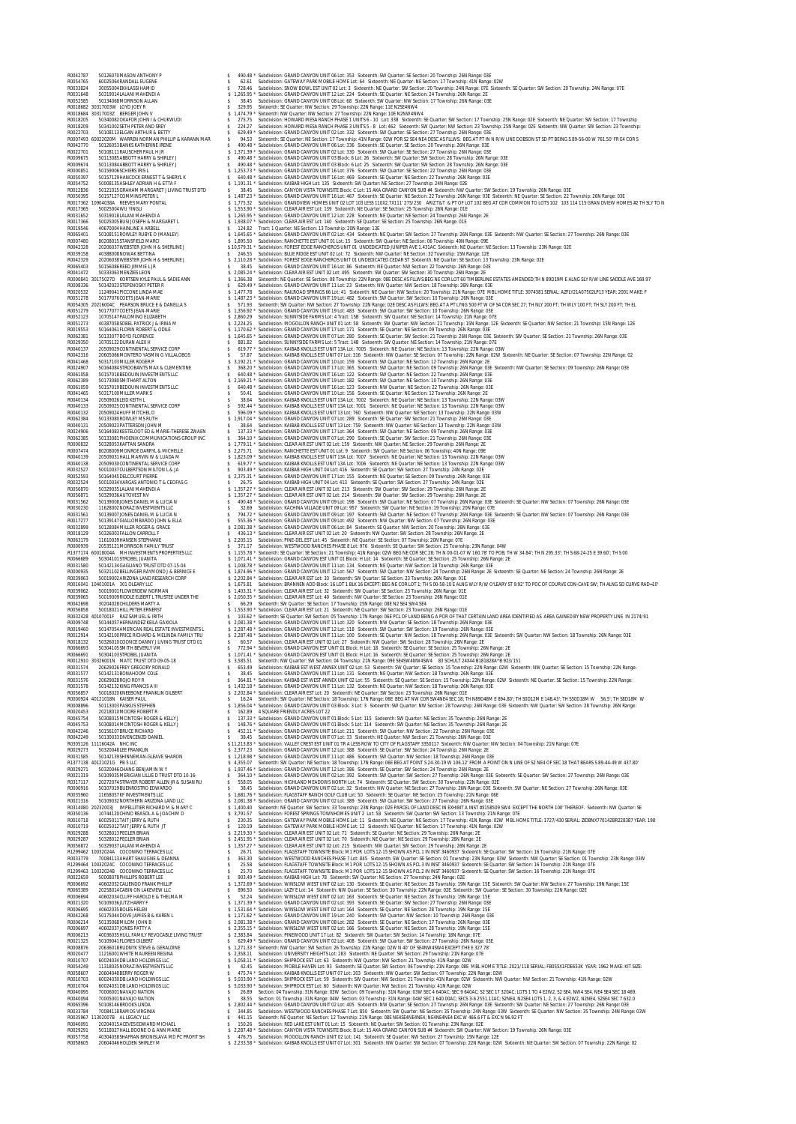R0042787 50126070MASON ANTHONY P \$ 490.48 \* Subdivision: GRAND CANYON UNIT 06 Lot: 353 Sixteenth: SW Quarter: SE Section: 20 Township: 26N Range: 03E R0054765 60025064RANDALL EUGENE \$ 62.61 Subdivision: GATEWAY PARK MOBILE HOME Lot: 64 Sixteenth: NE Quarter: NE Section: 17 Township: 41N Range: 02W R0033824 30055004EKHLASSI HAMID \$ 728.46 Subdivision: SNOW BOWL EST UNIT 02 Lot: 3 Sixteenth: NE Quarter: SW Section: 20 Township: 24N Range: 07E Sixteenth: SE Quarter: SW Section: 20 Township: 24N Range: 07E R0031648 50319014LALANI MAHENDI A \$ 1,265.95 \* Subdivision: GRAND CANYON UNIT 12 Lot: 224 Sixteenth: SE Quarter: NE Section: 24 Township: 26N Range: 2E R0052585 50134068MORRISON ALLAN \$ 38.45 Subdivision: GRAND CANYON UNIT 08 Lot: 68 Sixteenth: SW Quarter: NW Section: 17 Township: 26N Range: 03E R0018682 30317003W LOYD JOEY R \$ 329.95 Sixteenth: SE Quarter: NW Section: 29 Township: 22N Range: 11E N2SE4NW4 R0018684 30317003Z BERGER JOHN V \$ 1,474.79 \* Sixteenth: NW Quarter: NW Section: 27 Township: 22N Range: 10E N2NW4NW4 R0018205 50340082OKAFOR JOHN I & CHUKWUDI \$ 275.75 Subdivision: HOWARD MESA RANCH PHASE 1 UNITS 6 - 10 Lot: 338 Sixteenth: SE Quarter: SW Section: 17 Township: 25N Range: 02E Sixteenth: NE Quarter: SW Section: 17 Township R0018209 50341002SETH PETER AND SREY \$ 224.27 Subdivision: HOWARD MESA RANCH PHASE 3 UNITS 5 - 8 Lot: 462 Sixteenth: SW Quarter: NW Section: 23 Township: 25N Range: 02E Sixteenth: NW Quarter: SW Section: 23 Township: R0022703 50108113ELGAN ARTHUR & BETTY \$ 629.49 \* Subdivision: GRAND CANYON UNIT 02 Lot: 332 Sixteenth: SW Quarter: SE Section: 27 Township: 26N Range: 03E R0007493 60022020M WARREN NORMAN PHILLIP & KARANN MAR \$ 94.53 Sixteenth: SE Quarter: NE Section: 17 Township: 41N Range: 02W POR S2 SE4 NE4 DESC AS FLLWS: BEG AT PT IN N R/W LINE DOBSON ST SD PT BEING S 89-56-00 W 761.50' FR E4 COR S R0042770 50126053BANKS KATHERINE IRENE \$ 490.48 \* Subdivision: GRAND CANYON UNIT 06 Lot: 336 Sixteenth: SE Quarter: SE Section: 20 Township: 26N Range: 03E R0022701 50108111RAUSCHER PAUL H JR \$ 1,371.39 \* Subdivision: GRAND CANYON UNIT 02 Lot: 330 Sixteenth: SW Quarter: SE Section: 27 Township: 26N Range: 03E R0009675 50113085ABBOTT HARRY & SHIRLEY J \$ 490.48 \* Subdivision: GRAND CANYON UNIT 03 Block: 6 Lot: 26 Sixteenth: SW Quarter: SW Section: 28 Township: 26N Range: 03E R0009674 50113084ABBOTT HARRY & SHIRLEY J \$ 490.48 \* Subdivision: GRAND CANYON UNIT 03 Block: 6 Lot: 25 Sixteenth: SW Quarter: SW Section: 28 Township: 26N Range: 03E R0000851 50159006SCHIERS IRIS L \$ 1,253.73 \* Subdivision: GRAND CANYON UNIT 16 Lot: 376 Sixteenth: SW Quarter: SE Section: 22 Township: 26N Range: 03E R0050397 50157129HANCOCK ERNEST T & SHERYL K \$ 640.48 \* Subdivision: GRAND CANYON UNIT 16 Lot: 469 Sixteenth: SE Quarter: NE Section: 22 Township: 26N Range: 03E R0054752 50008135ASHLEY ADRIAN H & ETTA F \$ 1,191.31 \* Subdivision: KAIBAB HIGH Lot: 135 Sixteenth: SW Quarter: NE Section: 27 Township: 24N Range: 02E R0012836 50121015GRAHAM MARGARET J LIVING TRUST DTD \$ 38.45 Subdivision: CANYON VISTA TOWNSITE Block: C Lot: 15 AKA GRAND CANYON SUB #4 Sixteenth: NW Quarter: SW Section: 19 Township: 26N Range: 03E R0050395 50157127COMMINS PETER L \$ 1,487.23 \* Subdivision: GRAND CANYON UNIT 16 Lot: 467 Sixteenth: SE Quarter: NE Section: 22 Township: 26N Range: 03E Sixteenth: NE Quarter: SE Section: 22 Township: 26N Range: 03E R0017362 10904038A REEVES MARY PONTAL \$ 1,775.32 Subdivision: GRANDVIEW HOMES UNIT 02 LOT 103 LESS 110X2.7X111' 275/230 ARIZ T&T & PT OF LOT 102 BEG AT COR COMMON TO LOTS 102 103 114 115 GRAN DVIEW HOMES #2 TH SLY TO N R0017365 50025004WU YINGLI \$ 1,553.90 \* Subdivision: CLEAR AIR EST Lot: 139 Sixteenth: NE Quarter: SE Section: 25 Township: 26N Range: 01E R0031652 50319018LALANI MAHENDI A \$ 1,265.95 \* Subdivision: GRAND CANYON UNIT 12 Lot: 228 Sixteenth: NE Quarter: NE Section: 24 Township: 26N Range: 2E R0017366 50025005BUSI JOSEPH & MARGARET L \$ 1,938.07 \* Subdivision: CLEAR AIR EST Lot: 140 Sixteenth: SE Quarter: SE Section: 25 Township: 26N Range: 01E R0019546 40670004HAINLINE A ARBELL \$ 124.82 Tract: 1 Quarter: NE Section: 13 Township: 20N Range: 13E R0065401 50108151ROWLEY RUBYE O (MANLEY) \$ 1,645.65 \* Subdivision: GRAND CANYON UNIT 02 Lot: 434 Sixteenth: NE Quarter: SW Section: 27 Township: 26N Range: 03E Sixteenth: NW Quarter: SE Section: 27 Township: 26N Range: 03E R0007480 80208015STANSFIELD MARCI \$ 1,895.50 Subdivision: RANCHETTE EST UNIT 01 Lot: 15 Sixteenth: SW Quarter: NE Section: 06 Township: 40N Range: 09E R0042328 20206037WEBSTER JOHN H & SHERLINE J \$ 10,579.31 \* Subdivision: FOREST EDGE RANCHEROS UNIT 01 UNDEDICATED JUNIPER AVE 1.431AC Sixteenth: NE Quarter: NE Section: 13 Township: 23N Range: 02E R0039158 40388008NOWAK BETTINA \$ 246.55 Subdivision: BLUE RIDGE EST UNIT 02 Lot: 72 Sixteenth: NW Quarter: NE Section: 32 Township: 15N Range: 12E **SOLUTARY AND THE SERIENCE SURFAINS AN A SURFAINT COMPRESSION IN THE CONSULTER CONTRACT COMPRESSION CONTRACT COMPRESSION COMPRESSION CONTRACT COMPRESSION CONTRACT COMPRESSION COMPRESSION CONTRACT COMPRESSION CONTRACT COMP** R0040138 20509030CONTINENTAL SERVICE CORP \$ 619.77 \* Subdivision: KAIBAB KNOLLS EST UNIT 13A Lot: 7006 Sixteenth: NE Quarter: NE Section: 13 Township: 22N Range: 03W R0032527 50010037CULBERTSON MILTON L & JA \$ 903.49 \* Subdivision: KAIBAB HIGH UNIT 04 Lot: 416 Sixteenth: SE Quarter: SW Section: 27 Township: 24N Range: 02E R0052593 50164045DELCOURT PIERRE \$ 2,375.31 \* Subdivision: GRAND CANYON UNIT 17 Lot: 155 Sixteenth: NE Quarter: SE Section: 09 Township: 26N Range: 03E R0032524 50010034VARGAS ANTONIO T & CEOFAS G \$ 26.75 Subdivision: KAIBAB HIGH UNIT 04 Lot: 413 Sixteenth: SE Quarter: SW Section: 27 Township: 24N Range: 02E R0056870 50329035LALANI MAHENDI A \$ 1,357.27 \* Subdivision: CLEAR AIR EST UNIT 02 Lot: 213 Sixteenth: SW Quarter: SW Section: 29 Township: 26N Range: 2E R0056871 50329036AUTOVEST NV \$ 1,357.27 \* Subdivision: CLEAR AIR EST UNIT 02 Lot: 214 Sixteenth: SW Quarter: SW Section: 29 Township: 26N Range: 2E R0031562 50139008JONES DANIEL M & LUCIA N \$ 490.48 \* Subdivision: GRAND CANYON UNIT 09 Lot: 198 Sixteenth: SW Quarter: NE Section: 07 Township: 26N Range: 03E Sixteenth: SE Quarter: NW Section: 07 Township: 26N Range: 03E R0030230 11628002NORAZ INVESTMENTS LLC \$ 32.69 Subdivision: KACHINA VILLAGE UNIT 09 Lot: 957 Sixteenth: SW Quarter: NE Section: 19 Township: 20N Range: 07E R0031561 50139007JONES DANIEL M & LUCIA N \$ 794.72 \* Subdivision: GRAND CANYON UNIT 09 Lot: 197 Sixteenth: SW Quarter: NE Section: 07 Township: 26N Range: 03E Sixteenth: SE Quarter: NW Section: 07 Township: 26N Range: 03E R0017277 50139147GIALLOMBARDO JOHN & ELLA \$ 555.36 \* Subdivision: GRAND CANYON UNIT 09 Lot: 492 Sixteenth: NW Quarter: NW Section: 07 Township: 26N Range: 03E R0032899 50128084MILLER ROGER & GRACE \$ 2,081.38 \* Subdivision: GRAND CANYON UNIT 06 Lot: 84 Sixteenth: SE Quarter: NW Section: 20 Township: 26N Range: 03E R0018129 50326003FALLON CARROLL F \$ 436.13 \* Subdivision: CLEAR AIR EST UNIT 02 Lot: 20 Sixteenth: NW Quarter: SW Section: 28 Township: 26N Range: 2E R0063179 11610039HANSEN STEPHANIE \$ 2,205.15 Subdivision: PINE-DEL EST Lot: 45 Sixteenth: NE Quarter: SE Section: 07 Township: 20N Range: 07E R0000939 20535121MORRISON FAMILY TRUST \$ 371.17 Subdivision: WESTWOOD RANCHES PHASE 8 Lot: 976 Sixteenth: SE Quarter: SW Section: 25 Township: 23N Range: 04W R1377174 60018004A MH INVESTMENTS PROPERTIES LLC \$ 1,155.78 \* Sixteenth: SE Quarter: SE Section: 21 Township: 41N Range: 02W BEG NE COR SEC 28; TH N 00-01-07 W 160.78' TO POB; TH W 34.84'; TH N 295.33'; TH S 68-24-25 E 39.60'; TH S 00 R0066689 50304101STROBEL JUANITA \$ 1,071.41 \* Subdivision: GRAND CANYON EST UNIT 01 Block: H Lot: 14 Sixteenth: SE Quarter: SE Section: 25 Township: 26N Range: 2E R0031580 50142134GAGLIANO TRUST DTD 07-15-04 \$ 1,008.78 \* Subdivision: GRAND CANYON UNIT 11 Lot: 134 Sixteenth: NE Quarter: NW Section: 18 Township: 26N Range: 03E R0000935 50321102BELLINGER RAYMOND J & BERNICE E \$ 1,874.96 \* Subdivision: GRAND CANYON UNIT 12 Lot: 567 Sixteenth: SW Quarter: NW Section: 24 Township: 26N Range: 2E Sixteenth: SE Quarter: NE Section: 24 Township: 26N Range: 2E R0039063 50019002ARIZONA LAND RESEARCH CORP \$ 2,202.84 \* Subdivision: CLEAR AIR EST Lot: 33 Sixteenth: SW Quarter: SE Section: 23 Township: 26N Range: 01E R0016041 10401001A 301 OLEARY LLC \$ 1,675.81 Subdivision: BRANNEN ADD Block: 16 LOT 1 BLK 16 EXCEPT: BEG NE COR LOT 1; TH S 00-58-10 E ALNG WLY R/W O'LEARY ST 9.92' TO POC OF COURVE CON-CAVE SW; TH ALNG SD CURVE RAD=10' R0039062 50019001FLOWERDEW NORMAN \$ 1,403.31 \* Subdivision: CLEAR AIR EST Lot: 32 Sixteenth: SW Quarter: SE Section: 23 Township: 26N Range: 01E R0039065 50019009RIDDLE ELBERT L TRUSTEE UNDER THE \$ 2,050.35 \* Subdivision: CLEAR AIR EST Lot: 40 Sixteenth: NW Quarter: SE Section: 23 Township: 26N Range: 01E R0042698 30204028CHILDERS MARTY A \$ 66.29 Sixteenth: SW Quarter: SE Section: 17 Township: 25N Range: 08E N2 SE4 SW4 SE4 R0056858 50018021HILL PETER ERNERST \$ 1,553.90 \* Subdivision: CLEAR AIR EST Lot: 21 Sixteenth: NE Quarter: SW Section: 23 Township: 26N Range: 01E R0032428 40107001F RAZ SAMUEL & IRITH \$ 103.62 \* Sixteenth: SE Quarter: SW Section: 05 Township: 17N Range: 06E PCL OF LAND BEING A POR OF THAT CERTAIN LAND AREA IDENTIFIED AS AREA GAINED BY NEW PROPERTY LINE IN 2174/91 R0009748 50144057HERNANDEZ KEILA GAXIOLA \$ 2,081.38 \* Subdivision: GRAND CANYON UNIT 11 Lot: 320 Sixteenth: NW Quarter: SE Section: 18 Township: 26N Range: 03E R0019460 50147054AMERICAN REAL ESTATE INVESTMENTS L \$ 2,287.48 \* Subdivision: GRAND CANYON UNIT 12 Lot: 118 Sixteenth: SW Quarter: SW Section: 19 Township: 26N Range: 03E R0012914 50142100PRICE RICHARD & MELINDA FAMILY TRU \$ 2,287.48 \* Subdivision: GRAND CANYON UNIT 11 Lot: 100 Sixteenth: SE Quarter: NW Section: 18 Township: 26N Range: 03E Sixteenth: SW Quarter: NW Section: 18 Township: 26N Range: 03E R0018132 50326010COONCE DANNY J LIVING TRUST DTD 01 \$ 60.57 Subdivision: CLEAR AIR EST UNIT 02 Lot: 27 Sixteenth: NW Quarter: SW Section: 28 Township: 26N Range: 2E R0066693 50304105SMITH BEVERLY VM \$ 772.94 \* Subdivision: GRAND CANYON EST UNIT 01 Block: H Lot: 18 Sixteenth: SE Quarter: SE Section: 25 Township: 26N Range: 2E R0066691 50304103STROBEL JUANITA \$ 1,071.41 \* Subdivision: GRAND CANYON EST UNIT 01 Block: H Lot: 16 Sixteenth: SE Quarter: SE Section: 25 Township: 26N Range: 2E R0012910 30326001N MATC TRUST DTD 09-05-18 \$ 3,585.51 Sixteenth: NW Quarter: SW Section: 04 Township: 21N Range: 09E SE4SW4NW4SW4 83 SCHULT 24X44 B181828A\*B 923/151 R0031574 20629026FREY GREGORY RONALD \$ 653.49 Subdivision: KAIBAB EST WEST ANNEX UNIT 02 Lot: 53 Sixteenth: SW Quarter: SE Section: 15 Township: 22N Range: 02W Sixteenth: NW Quarter: SE Section: 15 Township: 22N Range: R0031577 50142131BONAHOOM COLE \$ 38.45 Subdivision: GRAND CANYON UNIT 11 Lot: 131 Sixteenth: NE Quarter: NW Section: 18 Township: 26N Range: 03E R0031576 20629028ROJO ROY R \$ 364.81 \* Subdivision: KAIBAB EST WEST ANNEX UNIT 02 Lot: 55 Sixteenth: SE Quarter: SE Section: 15 Township: 22N Range: 02W Sixteenth: NE Quarter: SE Section: 15 Township: 22N Range: R0031578 50142132KING FRANCIS A III \$ 1,432.18 \* Subdivision: GRAND CANYON UNIT 11 Lot: 132 Sixteenth: NE Quarter: NW Section: 18 Township: 26N Range: 03E R0056857 50018020KNEEBONE FRANKLIN GILBERT \$ 2,202.84 \* Subdivision: CLEAR AIR EST Lot: 20 Sixteenth: NE Quarter: SW Section: 23 Township: 26N Range: 01E R0000924 40121018N KAISER PAUL \$ 16.24 Sixteenth: SW Quarter: NE Section: 18 Township: 17N Range: 06E BEG AT NW COR SW4NE4 SEC 18; TH N89D48M E 894.80'; TH S0D12M E 148.43'; TH S50D18M W 56.5'; TH S8D18M W R0008896 50113003PASKUS STEPHEN \$ 1,856.04 \* Subdivision: GRAND CANYON UNIT 03 Block: 3 Lot: 3 Sixteenth: SW Quarter: NW Section: 28 Township: 26N Range: 03E Sixteenth: NW Quarter: SW Section: 28 Township: 26N Range: R0056857 20011802000KIEBONE FRAMILIN GILBERT R0008896 201113002PAKUS TSTEHENT<br>R0000894 40121018N KASER PAUL<br>R00206954 20218010MOORE ROBERT R<br>R0045753 20218010MOORE ROBERT R<br>R0045753 20308011MONTOSH ROGER & KELLY J<br>R0042246 ROARS #198001500015004 ROGER & RELLY STARES & 1873.2 Subdivision: GRAND CANYON UNITO Block: Sub: 114 Sixteenth: SW Ouarter: ME Section: 35 Township: 26N Range: 2E<br>ROAR 254 SUBDIVISION: SUBDIVISION: STARES AND SUBDIVISION: R003124 HOMAN, WHO SANDAL STATES AND SUBDIVISION CONTINUES IN THAT A LESS ROOM TO LITY OF HAGGING TO THOSTAFT 3000 THE STATES IN THE STATES IN THE STATES ON THE STATES ON THE STATES ON THE STATES AND CONTINUES ARE SUBDIVIS R0021319 50109035MERIGIAN LILLIE D TRUST DTD 10-16- \$ 364.10 \* Subdivision: GRAND CANYON UNIT 02 Lot: 392 Sixteenth: SW Quarter: SW Section: 27 Township: 26N Range: 03E Sixteenth: SE Quarter: SW Section: 27 Township: 26N Range: 03E R0317117 20272074STRAYER ROBERT ALLEN JR & SUSAN RU \$ 558.05 Subdivision: HIGHLAND MEADOWS NORTH Lot: 74 Sixteenth: SE Quarter: SW Section: 30 Township: 22N Range: 02E R0000916 50107019BUENROSTRO EDWARDO \$ 38.45 Subdivision: GRAND CANYON UNIT 02 Lot: 32 Sixteenth: NW Quarter: NE Section: 27 Township: 26N Range: 03E Sixteenth: SW Quarter: NE Section: 27 Township: 26N Range: 03E R0035960 11658057KF INVESTMENTS LLC \$ 1,681.76 \* Subdivision: FLAGSTAFF RANCH GOLF CLUB Lot: 50 Sixteenth: SE Quarter: NE Section: 25 Township: 21N Range: 06E R0021316 50109032NORTHERN ARIZONA LAND LLC \$ 2,081.38 \* Subdivision: GRAND CANYON UNIT 02 Lot: 389 Sixteenth: SW Quarter: SW Section: 27 Township: 26N Range: 03E R0314080 20232003J IMPELLITIER RICHARD M & MARY C \$ 1,400.40 Sixteenth: NE Quarter: SW Section: 33 Township: 23N Range: 02E PARCEL OF LAND DESC IN EXHIBIT A INST #3158509 SW4 EXCEPT THE NORTH 100' THEREOF. Sixteenth: NW Quarter: SE R0350136 10744120CHINO REASOL A & JOACHIM D \$ 3,791.57 Subdivision: FOREST SPRINGS TOWNHOMES UNIT 2 Lot: 58 Sixteenth: SW Quarter: SW Section: 13 Township: 21N Range: 07E R0010718 60025011TAIT JERRY & RUTH \$ 230.35 Subdivision: GATEWAY PARK MOBILE HOME Lot: 11 Sixteenth: NE Quarter: NE Section: 17 Township: 41N Range: 02W MBL HOME TITLE: 1727/430 SERIAL: ZIDBNX770142BR228387 YEAR: 198 R0010719 60025012TAIT JERRY & RUTH JT \$ 120.19 Subdivision: GATEWAY PARK MOBILE HOME Lot: 12 Sixteenth: NE Quarter: NE Section: 17 Township: 41N Range: 02W R0029288 50328013PEGLER BRIAN \$ 2,219.30 \* Subdivision: CLEAR AIR EST UNIT 02 Lot: 71 Sixteenth: SE Quarter: NE Section: 29 Township: 26N Range: 2E R0029287 50328012PEGLER BRIAN \$ 2,451.95 \* Subdivision: CLEAR AIR EST UNIT 02 Lot: 70 Sixteenth: NE Quarter: NE Section: 29 Township: 26N Range: 2E R0056872 50329037LALANI MAHENDI A \$ 1,357.27 \* Subdivision: CLEAR AIR EST UNIT 02 Lot: 215 Sixteenth: NW Quarter: SW Section: 29 Township: 26N Range: 2E R1299462 10032024A COCONINO TERRACES LLC \$ 26.71 Subdivision: FLAGSTAFF TOWNSITE Block: M1 POR LOTS 12-15 SHOWN AS PCL 1 IN INST 3460937 Sixteenth: SE Quarter: SW Section: 16 Township: 21N Range: 07E R0033779 70084113AHART SHAUGNE & DEANNA \$ 363.30 Subdivision: WESTWOOD RANCHES PHASE 7 Lot: 845 Sixteenth: SW Quarter: SE Section: 01 Township: 23N Range: 03W Sixteenth: NW Quarter: SE Section: 01 Township: 23N Range: 03W R1299464 10032024C COCONINO TERRACES LLC \$ 25.58 Subdivision: FLAGSTAFF TOWNSITE Block: M1 POR LOTS 12-15 SHOWN AS PCL 3 IN INST 3460937 Sixteenth: SE Quarter: SW Section: 16 Township: 21N Range: 07E R1299463 10032024B COCONINO TERRACES LLC \$ 25.70 Subdivision: FLAGSTAFF TOWNSITE Block: M1 POR LOTS 12-15 SHOWN AS PCL 2 IN INST 3460937 Sixteenth: SE Quarter: SW Section: 16 Township: 21N Range: 07E R0022659 50008078PHILLIPS ROBERT LEE \$ 903.49 \* Subdivision: KAIBAB HIGH Lot: 78 Sixteenth: SW Quarter: NE Section: 27 Township: 24N Range: 02E R0006692 40602032CALIENDO FRANK PHILLIP \$ 1,372.69 \* Subdivision: WINSLOW WEST UNIT 02 Lot: 130 Sixteenth: SE Quarter: NE Section: 28 Township: 19N Range: 15E Sixteenth: SW Quarter: NW Section: 27 Township: 19N Range: 15E R0065389 20258014CABIN ON LAKEVIEW LLC \$ 896.50 Subdivision: LAZY E Lot: 14 Sixteenth: NW Quarter: SE Section: 30 Township: 22N Range: 02E Sixteenth: SW Quarter: SE Section: 30 Township: 22N Range: 02E R0006694 40602034CLUFF HAROLD E & THELMA M \$ 52.24 Subdivision: WINSLOW WEST UNIT 02 Lot: 163 Sixteenth: SE Quarter: NE Section: 28 Township: 19N Range: 15E R0021320 50109036JUTZ HARRY F \$ 1,371.39 \* Subdivision: GRAND CANYON UNIT 02 Lot: 393 Sixteenth: SE Quarter: SW Section: 27 Township: 26N Range: 03E R0006695 40602035BOLES HELEN \$ 1,531.64 \* Subdivision: WINSLOW WEST UNIT 02 Lot: 164 Sixteenth: SE Quarter: NE Section: 28 Township: 19N Range: 15E R0042268 50175044DOVE JAMES B & KAREN L \$ 1,171.62 \* Subdivision: GRAND CANYON UNIT 19 Lot: 240 Sixteenth: SW Quarter: NW Section: 10 Township: 26N Range: 03E R0006214 50135068MILOM JOHN B \$ 2,081.38 \* Subdivision: GRAND CANYON UNIT 08 Lot: 282 Sixteenth: SE Quarter: NE Section: 17 Township: 26N Range: 03E R0006697 40602037JONES PATTY A \$ 2,355.15 \* Subdivision: WINSLOW WEST UNIT 02 Lot: 166 Sixteenth: SE Quarter: NE Section: 28 Township: 19N Range: 15E R0006213 40036035HULL FAMILY REVOCABLE LIVING TRUST \$ 2,383.84 Subdivision: PINEWOOD UNIT 17 Lot: 82 Sixteenth: SW Quarter: SW Section: 14 Township: 18N Range: 07E R0021325 50109041FLORES GILBERT \$ 629.49 \* Subdivision: GRAND CANYON UNIT 02 Lot: 408 Sixteenth: SW Quarter: SW Section: 27 Township: 26N Range: 03E R0008876 20636018RUDNYK STEVE & GERALDINE \$ 1,271.33 \* Sixteenth: NW Quarter: SW Section: 26 Township: 22N Range: 02W N 40' OF SE4NW4SW4 EXCEPT:THE E 327.78' R0020477 11216001WHITE MAUREEN REGINA \$ 2,358.11 Subdivision: UNIVERSITY HEIGHTS Lot: 283 Sixteenth: NE Quarter: SW Section: 29 Township: 21N Range: 07E R0010707 60024034DB LAND HOLDINGS LLC \$ 5,058.11 \* Subdivision: SHIPROCK EST Lot: 63 Sixteenth: NW Quarter: NW Section: 21 Township: 41N Range: 02W R0054249 11318035NORAZ INVESTMENTS LLC \$ 42.45 Subdivision: MOBILE HAVEN Lot: 93 Sixteenth: SE Quarter: SW Section: 06 Township: 21N Range: 08E MBL HOME TITLE: 2021/118 SERIAL: FB055X1FDE653K YEAR: 1962 MAKE: KIT SIZE: R0058607 20604048BERRY ROGER W \$ 475.74 \* Subdivision: KAIBAB KNOLLS EST UNIT 07 Lot: 303 Sixteenth: NW Quarter: SW Section: 07 Township: 22N Range: 02W R0010703 60024030DB LAND HOLDINGS LLC \$ 5,033.90 \* Subdivision: SHIPROCK EST Lot: 59 Sixteenth: SW Quarter: NW Section: 21 Township: 41N Range: 02W Sixteenth: NW Quarter: NW Section: 21 Township: 41N Range: 02W RODION BOOKING HONDING LINE SECTION AND SALE OF A SUBMISION SHARE AND RESULTED TOWER IN A SUBMISION AND RESULTED AND RESULTED AND RESULTED AND RESULTED AND RESULTED AND RESULTED AND RESULTED AND RESULTED AND RESULTED AND R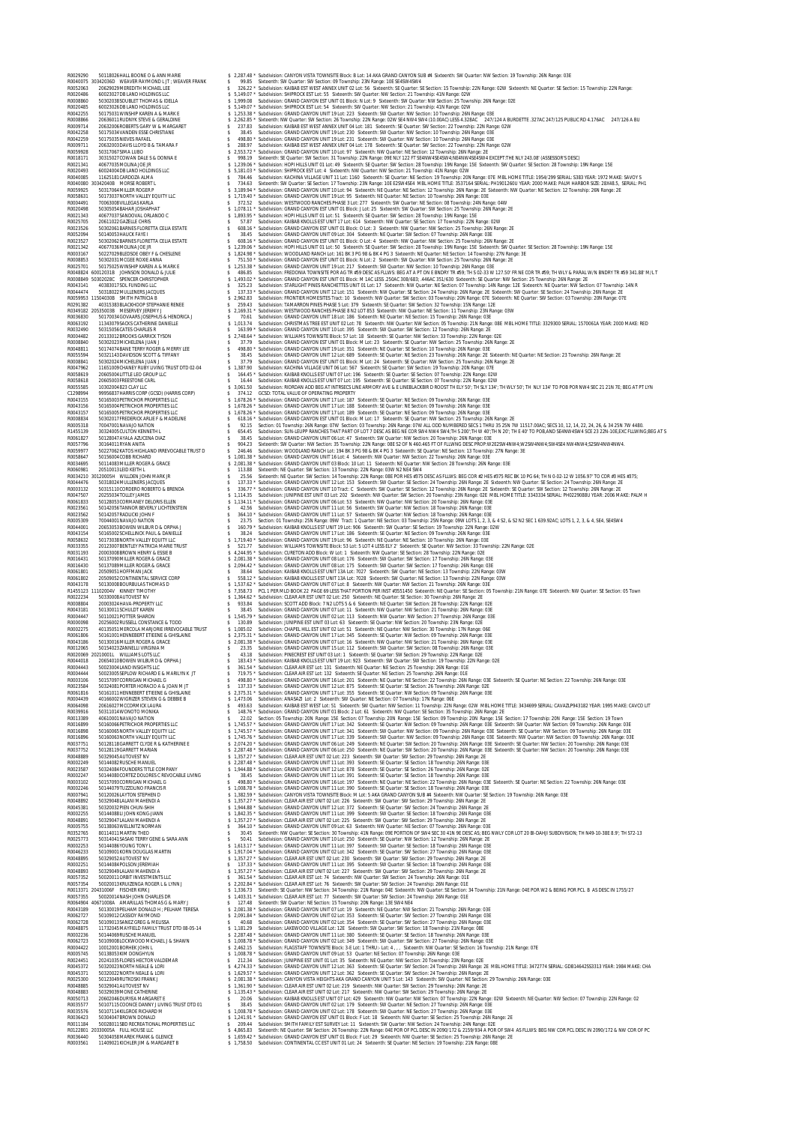R0029290 50118026HALL BOONE O & ANN MARIE \$ 2,287.48 \* Subdivision: CANYON VISTA TOWNSITE Block: B Lot: 14 AKA GRAND CANYON SUB #4 Sixteenth: SW Quarter: NW Section: 19 Township: 26N Range: 03E R0040075 30342036D WEAVER RAYMOND L JT ; WEAVER FRANK \$ 99.85 Sixteenth: SW Quarter: SW Section: 09 Township: 23N Range: 10E SE4SW4SW4 R0052063 20629029MEREDITH MICHAEL LEE \$ 326.22 \* Subdivision: KAIBAB EST WEST ANNEX UNIT 02 Lot: 56 Sixteenth: SE Quarter: SE Section: 15 Township: 22N Range: 02W Sixteenth: NE Quarter: SE Section: 15 Township: 22N Range: R0020486 60023027DB LAND HOLDINGS LLC \$ 5,149.07 \* Subdivision: SHIPROCK EST Lot: 55 Sixteenth: SW Quarter: NW Section: 21 Township: 41N Range: 02W R0008860 50302038SOUBLET THOMAS & IDELLA \$ 1,999.08 Subdivision: GRAND CANYON EST UNIT 01 Block: N Lot: 9 Sixteenth: SW Quarter: NW Section: 25 Township: 26N Range: 02E R0020485 60023026DB LAND HOLDINGS LLC \$ 5,149.07 \* Subdivision: SHIPROCK EST Lot: 54 Sixteenth: SW Quarter: NW Section: 21 Township: 41N Range: 02W R0042255 50175031WINSHIP KAREN A & MARK E \$ 1,253.38 \* Subdivision: GRAND CANYON UNIT 19 Lot: 223 Sixteenth: SW Quarter: NW Section: 10 Township: 26N Range: 03E R0008866 20636011RUDNYK STEVE & GERALDINE \$ 2,262.85 \* Sixteenth: NW Quarter: SW Section: 26 Township: 22N Range: 02W SE4 NW4 SW4 (10.00AC) LESS 4.328AC 247/124 A BURDETTE .327AC 247/125 PUBLIC RD 4.176AC 247/126 A BU R0009714 20632006ROBERTS GARY W & MARGARET \$ 237.83 Subdivision: KAIBAB EST WEST ANNEX UNIT 04 Lot: 181 Sixteenth: SE Quarter: SW Section: 22 Township: 22N Range: 02W R0042258 50175034VANDEN ESSE CHRISTIANE \$ 38.45 Subdivision: GRAND CANYON UNIT 19 Lot: 230 Sixteenth: SW Quarter: NW Section: 10 Township: 26N Range: 03E R0042259 50175035NIEVES RAFAEL \$ 498.80 \* Subdivision: GRAND CANYON UNIT 19 Lot: 231 Sixteenth: SW Quarter: NW Section: 10 Township: 26N Range: 03E R0009711 20632003DAVIS LLOYD B & TAMARA F \$ 288.97 Subdivision: KAIBAB EST WEST ANNEX UNIT 04 Lot: 178 Sixteenth: SE Quarter: SW Section: 22 Township: 22N Range: 02W R0059928 50317067SIMA LUBO \$ 2,553.72 \* Subdivision: GRAND CANYON UNIT 10 Lot: 97 Sixteenth: NW Quarter: NE Section: 12 Township: 26N Range: 2E R0018171 30315027COWAN DALE S & DONNA E \$ 998.19 Sixteenth: SE Quarter: SW Section: 31 Township: 22N Range: 09E NLY 122 FT SE4NW4SE4SW4;NE4NW4SE4SW4 EXCEPT:THE NLY 243.08' (ASSESSOR'S DESC) R0021341 40677035MOLINA JOE JR \$ 1,239.06 \* Subdivision: HOPI HILLS UNIT 01 Lot: 49 Sixteenth: SE Quarter: SW Section: 28 Township: 19N Range: 15E Sixteenth: SW Quarter: SE Section: 28 Township: 19N Range: 15E R0020493 60024004DB LAND HOLDINGS LLC \$ 5,181.03 \* Subdivision: SHIPROCK EST Lot: 4 Sixteenth: NW Quarter: NW Section: 21 Township: 41N Range: 02W R0040085 11625181CARDOZA ALMA \$ 784.46 Subdivision: KACHINA VILLAGE UNIT 11 Lot: 1160 Sixteenth: SE Quarter: NE Section: 19 Township: 20N Range: 07E MBL HOME TITLE: 1954/299 SERIAL: S383 YEAR: 1972 MAKE: SAVOY S R0040080 30342040B MORSE ROBERT L \$ 734.63 Sixteenth: SW Quarter: SE Section: 17 Township: 23N Range: 10E E2SW4SE4 MBL HOME TITLE: 3537164 SERIAL: PH1901260U YEAR: 2000 MAKE: PALM HARBOR SIZE: 28X48.5, SERIAL: PH1 R0059925 50317064MILLER ROGER P \$ 3,189.94 \* Subdivision: GRAND CANYON UNIT 10 Lot: 94 Sixteenth: NE Quarter: NE Section: 12 Township: 26N Range: 2E Sixteenth: NW Quarter: NE Section: 12 Township: 26N Range: 2E R0058631 50173037NORTH VALLEY EQUITY LLC \$ 1,719.40 \* Subdivision: GRAND CANYON UNIT 19 Lot: 95 Sixteenth: NE Quarter: NE Section: 10 Township: 26N Range: 03E R0004491 70063008VILLEGAS KARLA \$ 372.52 Subdivision: WESTWOOD RANCHES PHASE 3 Lot: 277 Sixteenth: SW Quarter: NE Section: 08 Township: 24N Range: 04W R0020498 50305054BAHAR JOSHAPHAT \$ 1,078.11 \* Subdivision: GRAND CANYON EST UNIT 01 Block: J Lot: 25 Sixteenth: SW Quarter: SW Section: 25 Township: 26N Range: 2E R0021343 40677037SANDOVAL ORLANDO C \$ 1,893.95 \* Subdivision: HOPI HILLS UNIT 01 Lot: 51 Sixteenth: SE Quarter: SW Section: 28 Township: 19N Range: 15E R0025705 20611022GAZELLE CHRIS \$ 57.87 Subdivision: KAIBAB KNOLLS EST UNIT 17 Lot: 614 Sixteenth: NW Quarter: SE Section: 17 Township: 22N Range: 02W R0023526 50302061BARNES FLORETTA CELIA ESTATE \$ 608.16 \* Subdivision: GRAND CANYON EST UNIT 01 Block: O Lot: 3 Sixteenth: NW Quarter: NW Section: 25 Township: 26N Range: 2E R0052094 50140053HAUCK FAYE I \$ 38.45 Subdivision: GRAND CANYON UNIT 09 Lot: 304 Sixteenth: NE Quarter: SW Section: 07 Township: 26N Range: 03E R0023527 50302062BARNES FLORETTA CELIA ESTATE \$ 608.16 \* Subdivision: GRAND CANYON EST UNIT 01 Block: O Lot: 4 Sixteenth: NW Quarter: NW Section: 25 Township: 26N Range: 2E R0021342 40677036MOLINA JOE JR \$ 1,239.06 \* Subdivision: HOPI HILLS UNIT 01 Lot: 50 Sixteenth: SE Quarter: SW Section: 28 Township: 19N Range: 15E Sixteenth: SW Quarter: SE Section: 28 Township: 19N Range: 15E R0003167 50227029BLEDSOE OBEY F & CHESLENE \$ 1,824.98 \* Subdivision: WOODLAND RANCH Lot: 161 BK 3 PG 98 & BK 4 PG 3 Sixteenth: NE Quarter: NE Section: 14 Township: 27N Range: 3E R0008853 50302031MCGEE ROXIE ANNA \$ 751.50 \* Subdivision: GRAND CANYON EST UNIT 01 Block: N Lot: 2 Sixteenth: SW Quarter: NW Section: 25 Township: 26N Range: 2E R0025701 50175025WINSHIP KAREN A & MARK E \$ 1,253.38 \* Subdivision: GRAND CANYON UNIT 19 Lot: 217 Sixteenth: SW Quarter: NW Section: 10 Township: 26N Range: 03E R0048824 60012031B JOHNSON DONALD & JULIE \$ 486.85 Subdivision: FREDONIA TOWNSITE POR AG TR #59 DESC AS FLLWS: BEG AT A PT ON E BNDRY TR #59; TH S 02-33 W 127.50' FR NE COR TR #59; TH WLY & PARAL W/N BNDRY TR #59 341.88' M/L T R0008849 50302028C SPENCER CHRISTOPHER \$ 1,493.02 \* Subdivision: GRAND CANYON EST UNIT 01 Block: M 1AC LESS .250AC 308/683; .446AC 351/630 Sixteenth: SE Quarter: NW Section: 25 Township: 26N Range: 2E R0043141 40383017SOL FUNDING LLC \$ 325.23 Subdivision: STARLIGHT PINES RANCHETTES UNIT 01 Lot: 17 Sixteenth: NW Quarter: NE Section: 07 Township: 14N Range: 12E Sixteenth: NE Quarter: NW Section: 07 Township: 14N R R0044474 50318022MULLENERS JACQUES \$ 137.33 \* Subdivision: GRAND CANYON UNIT 12 Lot: 151 Sixteenth: NW Quarter: SE Section: 24 Township: 26N Range: 2E Sixteenth: SW Quarter: SE Section: 24 Township: 26N Range: 2E R0059953 11504030B SMITH PATRICIA B \$ 2,962.83 Subdivision: FRONTIER HOMESITES Tract: 10 Sixteenth: NW Quarter: SW Section: 03 Township: 20N Range: 07E Sixteenth: NE Quarter: SW Section: 03 Township: 20N Range: 07E R0291382 40315383BLACKHOOP STEPHANIE RENEE \$ 259.43 Subdivision: TAMARRON PINES PHASE 5 Lot: 379 Sixteenth: SE Quarter: SW Section: 32 Township: 15N Range: 12E R0349182 20535003B MESERVEY JEREMY J \$ 2,169.31 \* Subdivision: WESTWOOD RANCHES PHASE 8 N2 LOT 853 Sixteenth: NW Quarter: NE Section: 11 Township: 23N Range: 03W R0036830 50170034GOVAARS JOSEPHUS & HENDRICA J \$ 70.61 Subdivision: GRAND CANYON UNIT 18 Lot: 186 Sixteenth: NE Quarter: NE Section: 15 Township: 26N Range: 03E R0063192 11343079SACKS CATHERINE DANIELLE \$ 1,013.74 Subdivision: CHRISTMAS TREE EST UNIT 02 Lot: 78 Sixteenth: NW Quarter: NW Section: 05 Township: 21N Range: 08E MBL HOME TITLE: 3329300 SERIAL: 1570061A YEAR: 2000 MAKE: RED R0032490 50315056CATES CHARLES R \$ 163.99 \* Subdivision: GRAND CANYON UNIT 10 Lot: 395 Sixteenth: SW Quarter: SW Section: 12 Township: 26N Range: 2E R0004482 20133012BROOKS GARRICK TYSON \$ 2,748.64 \* Subdivision: WILLIAMS TOWNSITE Block: 57 Lot: 18 Sixteenth: SE Quarter: NW Section: 33 Township: 22N Range: 02E ROOBSHONGER AN UNIVERSIDENT ENGINE SOMEONO CRANO CHORO IN THE CETTER SOMETHE WAS CONSIDERED AN ABOVE AND THE CETTER SOMETHEAD AND A CONSIDERATION OF THE CETTER OF THE CETTER AND THE CETTER OF THE CETTER AND THE CETTER OF T RO34210 3013002614 WILLEN JOHN MARK IRL SALES AND SUITABLE STATE OF THE STATE OF THE STATE OF THE STATE OF THE STATE OF THE STATE OF THE STATE OF THE STATE OF THE STATE OF THE STATE OF THE STATE OF THE STATE OF THE STATE O R0043154 50165002SCHELLINCK PAUL & DANIELLE \$ 38.24 Subdivision: GRAND CANYON UNIT 17 Lot: 186 Sixteenth: SE Quarter: NE Section: 09 Township: 26N Range: 03E R0058632 50173038NORTH VALLEY EQUITY LLC \$ 1,719.40 \* Subdivision: GRAND CANYON UNIT 19 Lot: 96 Sixteenth: NE Quarter: NE Section: 10 Township: 26N Range: 03E R0033355 20123007BENTLEY PATRICIA MARIE TRUST \$ 521.77 Subdivision: WILLIAMS TOWNSITE Block: 53 Lot: 5 LOT 4 LESS ELY 2' Sixteenth: SE Quarter: NW Section: 33 Township: 22N Range: 02E R0031193 20003008BROWN HENRY & ESSIE B \$ 4,244.95 \* Subdivision: CURETON ADD Block: W Lot: 1 Sixteenth: NW Quarter: SE Section: 28 Township: 22N Range: 02E R0016431 50137090MILLER ROGER & GRACE \$ 2,081.38 \* Subdivision: GRAND CANYON UNIT 08 Lot: 176 Sixteenth: SW Quarter: SW Section: 17 Township: 26N Range: 03E R0016430 50137089MILLER ROGER & GRACE \$ 2,094.42 \* Subdivision: GRAND CANYON UNIT 08 Lot: 175 Sixteenth: SW Quarter: SW Section: 17 Township: 26N Range: 03E R0061801 20509051HOFFMAN JACK \$ 38.64 Subdivision: KAIBAB KNOLLS EST UNIT 13A Lot: 7027 Sixteenth: SW Quarter: NE Section: 13 Township: 22N Range: 03W R0061802 20509052CONTINENTAL SERVICE CORP \$ 558.12 \* Subdivision: KAIBAB KNOLLS EST UNIT 13A Lot: 7028 Sixteenth: SW Quarter: NE Section: 13 Township: 22N Range: 03W R0043178 50130008BOURBULAS THOMAS D \$ 1,537.62 \* Subdivision: GRAND CANYON UNIT 07 Lot: 8 Sixteenth: NW Quarter: NW Section: 21 Township: 26N Range: 03E R1455123 11102004V KINNEY TIMOTHY \$ 7,358.73 PCL 1 PER MLD BOOK 22 PAGE 69 LESS THAT PORTION PER INST #3551450 Sixteenth: NE Quarter: SE Section: 05 Township: 21N Range: 07E Sixteenth: NW Quarter: SE Section: 05 Town R0022234 50330008AUTOVEST NV \$ 1,364.62 \* Subdivision: CLEAR AIR EST UNIT 02 Lot: 250 Sixteenth: NE Quarter: SE Section: 30 Township: 26N Range: 2E R0008804 20003024HAVA-PROPERTY LLC \$ 933.84 Subdivision: SCOTT ADD Block: 7 N2 LOTS 5 & 6 Sixteenth: NE Quarter: SW Section: 28 Township: 22N Range: 02E R0043181 50130011SCHULDT KAREN \$ 38.45 Subdivision: GRAND CANYON UNIT 07 Lot: 11 Sixteenth: NW Quarter: NW Section: 21 Township: 26N Range: 03E R0004447 50110021POTTER SHARON \$ 1,545.79 \* Subdivision: GRAND CANYON UNIT 02 Lot: 113 Sixteenth: NW Quarter: NW Section: 27 Township: 26N Range: 03E R0000098 20256002RUSSELL CONSTANCE & TODD \$ 130.89 Subdivision: JUNIPINE EST UNIT 03 Lot: 63 Sixteenth: SE Quarter: NW Section: 20 Township: 23N Range: 02E R0002275 40135051MERCOLA MARJORIE IRREVOCABLE TRUST \$ 1,085.02 Subdivision: CHAPEL HILL EST UNIT 02 Lot: 51 Sixteenth: NE Quarter: NW Section: 30 Township: 17N Range: 06E R0061806 50161001HENNEBERT ETIEENE & GHISLAINE \$ 2,375.31 \* Subdivision: GRAND CANYON UNIT 17 Lot: 345 Sixteenth: SE Quarter: NW Section: 09 Township: 26N Range: 03E R0043186 50130016MILLER ROGER & GRACE \$ 2,081.38 \* Subdivision: GRAND CANYON UNIT 07 Lot: 16 Sixteenth: NW Quarter: NW Section: 21 Township: 26N Range: 03E R0012065 50154023ZANNELLI VIRGINIA M \$ 23.35 Subdivision: GRAND CANYON UNIT 15 Lot: 112 Sixteenth: SW Quarter: SW Section: 08 Township: 26N Range: 03E R0020069 20210001L WILLIAMS LOTS LLC \$ 43.18 Subdivision: PINECREST EST UNIT 03 Lot: 1 Sixteenth: SE Quarter: SW Section: 29 Township: 22N Range: 02E R0044018 20654010BOWEN WILBUR D & ORPHA J \$ 183.43 \* Subdivision: KAIBAB KNOLLS EST UNIT 19 Lot: 923 Sixteenth: SW Quarter: SW Section: 19 Township: 22N Range: 02E R0004443 50023004LAND INSIGHTS LLC \$ 361.54 \* Subdivision: CLEAR AIR EST Lot: 131 Sixteenth: NE Quarter: NE Section: 25 Township: 26N Range: 01E R0004444 50023005SEPLOW RICHARD E & MARILYN K JT \$ 719.75 \* Subdivision: CLEAR AIR EST Lot: 132 Sixteenth: SE Quarter: NE Section: 25 Township: 26N Range: 01E R0003106 50157097CORRIGAN MICHAEL G \$ 498.80 \* Subdivision: GRAND CANYON UNIT 16 Lot: 201 Sixteenth: NE Quarter: NE Section: 22 Township: 26N Range: 03E Sixteenth: SE Quarter: NE Section: 22 Township: 26N Range: 03E R0023584 50324081PORTER HORACIO A & JOAN M JT \$ 137.33 \* Subdivision: GRAND CANYON UNIT 12 Lot: 875 Sixteenth: SE Quarter: SE Section: 26 Township: 26N Range: 02E R0061816 50161011HENNEBERT ETIEENE & GHISLAINE \$ 2,375.31 \* Subdivision: GRAND CANYON UNIT 17 Lot: 355 Sixteenth: SE Quarter: NW Section: 09 Township: 26N Range: 03E R0004439 40166002WIGRIZER STEVEN G & DEBBIE B \$ 1,473.06 Subdivision: ANASAZI Lot: 2 Sixteenth: SW Quarter: NE Section: 07 Township: 17N Range: 06E R0064098 20616027MCCORMICK LAURA \$ 493.63 Subdivision: KAIBAB EST WEST Lot: 51 Sixteenth: SW Quarter: NW Section: 11 Township: 22N Range: 02W MBL HOME TITLE: 3434699 SERIAL: CAVAZLP943182 YEAR: 1995 MAKE: CAVCO LIT R0039916 50311014WONOTO MONIKA \$ 148.76 \* Subdivision: GRAND CANYON UNIT 01 Block: 2 Lot: 61 Sixteenth: NW Quarter: SE Section: 35 Township: 26N Range: 2E R0013389 40610001NAVAJO NATION \$ 22.02 Section: 05 Township: 20N Range: 15E Section: 07 Township: 20N Range: 15E Section: 09 Township: 20N Range: 15E Section: 17 Township: 20N Range: 15E Section: 19 Town R0016899 50160066PETRICHOR PROPERTIES LLC \$ 1,745.57 \* Subdivision: GRAND CANYON UNIT 17 Lot: 342 Sixteenth: SE Quarter: NW Section: 09 Township: 26N Range: 03E Sixteenth: SW Quarter: NW Section: 09 Township: 26N Range: 03E R0016898 50160065NORTH VALLEY EQUITY LLC \$ 1,745.57 \* Subdivision: GRAND CANYON UNIT 17 Lot: 341 Sixteenth: SW Quarter: NW Section: 09 Township: 26N Range: 03E Sixteenth: SE Quarter: NW Section: 09 Township: 26N Range: 03E R0016896 50160063NORTH VALLEY EQUITY LLC \$ 1,745.76 \* Subdivision: GRAND CANYON UNIT 17 Lot: 339 Sixteenth: SW Quarter: NW Section: 09 Township: 26N Range: 03E Sixteenth: NW Quarter: NW Section: 09 Township: 26N Range: 03E R0037751 50128118GARRETT CLYDE R & KATHERINE E \$ 2,074.20 \* Subdivision: GRAND CANYON UNIT 06 Lot: 249 Sixteenth: NE Quarter: SW Section: 20 Township: 26N Range: 03E Sixteenth: SE Quarter: NW Section: 20 Township: 26N Range: 03E R0037752 50128119GARRETT MARIAN \$ 2,287.48 \* Subdivision: GRAND CANYON UNIT 06 Lot: 250 Sixteenth: NE Quarter: SW Section: 20 Township: 26N Range: 03E Sixteenth: SE Quarter: NW Section: 20 Township: 26N Range: 03E R0048889 50329045AUTOVEST NV \$ 1,357.27 \* Subdivision: CLEAR AIR EST UNIT 02 Lot: 223 Sixteenth: SW Quarter: SW Section: 29 Township: 26N Range: 2E R0002249 50144082RUSCHE MANUEL \$ 2,287.48 \* Subdivision: GRAND CANYON UNIT 11 Lot: 393 Sixteenth: SE Quarter: SE Section: 18 Township: 26N Range: 03E R0023587 50324084FOUNDERS TITLE COMPANY \$ 1,944.88 \* Subdivision: GRAND CANYON UNIT 12 Lot: 878 Sixteenth: SE Quarter: SE Section: 26 Township: 26N Range: 02E R0002247 50144080CORTEZ DOLORES C REVOCABLE LIVING \$ 38.45 Subdivision: GRAND CANYON UNIT 11 Lot: 391 Sixteenth: SE Quarter: SE Section: 18 Township: 26N Range: 03E R0003102 50157093CORRIGAN MICHAEL G \$ 498.80 \* Subdivision: GRAND CANYON UNIT 16 Lot: 197 Sixteenth: NE Quarter: NE Section: 22 Township: 26N Range: 03E Sixteenth: SE Quarter: NE Section: 22 Township: 26N Range: 03E R0002246 50144079TUZZOLINO FRANCIS R \$ 1,008.78 \* Subdivision: GRAND CANYON UNIT 11 Lot: 390 Sixteenth: SE Quarter: SE Section: 18 Township: 26N Range: 03E R0007941 50120026LAYTON STEPHEN D \$ 1,382.59 \* Subdivision: CANYON VISTA TOWNSITE Block: M Lot: 5 AKA GRAND CANYON SUB #4 Sixteenth: NW Quarter: SE Section: 19 Township: 26N Range: 03E R0048892 50329048LALANI MAHENDI A \$ 1,357.27 \* Subdivision: CLEAR AIR EST UNIT 02 Lot: 226 Sixteenth: SW Quarter: SW Section: 29 Township: 26N Range: 2E R0045381 50320032PIEN CHUN-SHIH \$ 1,944.88 \* Subdivision: GRAND CANYON UNIT 12 Lot: 372 Sixteenth: SE Quarter: SW Section: 24 Township: 26N Range: 2E R0002255 50144088LI JOHN KONG-JIANN \$ 1,842.35 \* Subdivision: GRAND CANYON UNIT 11 Lot: 399 Sixteenth: SW Quarter: SE Section: 18 Township: 26N Range: 03E R0048891 50329047LALANI MAHENDI A \$ 1,357.27 \* Subdivision: CLEAR AIR EST UNIT 02 Lot: 225 Sixteenth: SW Quarter: SW Section: 29 Township: 26N Range: 2E R0005755 50138063WELLNITZ NORMAN \$ 364.10 \* Subdivision: GRAND CANYON UNIT 09 Lot: 63 Sixteenth: NW Quarter: NE Section: 07 Township: 26N Range: 03E R0352765 80114011MARTIN THEO \$ 30.45 Sixteenth: NW Quarter: SE Section: 30 Township: 41N Range: 09E PORTION OF SW4 SEC 30 41N 9E DESC AS; BEG NWLY COR LOT 20 BI-DAHJI SUBDIVISION; TH N49-10-38E 8.9'; TH S72-13 R0025773 50314041SASAKI TERRY GENE & SARA ANN \$ 50.41 Subdivision: GRAND CANYON UNIT 10 Lot: 250 Sixteenth: SE Quarter: NW Section: 12 Township: 26N Range: 2E R0002253 50144086YOUNG TONY L \$ 1,613.17 \* Subdivision: GRAND CANYON UNIT 11 Lot: 397 Sixteenth: SW Quarter: SE Section: 18 Township: 26N Range: 03E R0046233 50109001KORN DOUGLAS MARTIN \$ 1,917.04 \* Subdivision: GRAND CANYON UNIT 02 Lot: 342 Sixteenth: SE Quarter: SW Section: 27 Township: 26N Range: 03E R0048895 50329052AUTOVEST NV \$ 1,357.27 \* Subdivision: CLEAR AIR EST UNIT 02 Lot: 230 Sixteenth: SW Quarter: SW Section: 29 Township: 26N Range: 2E R0002251 50144084POLSON JEREMIAH \$ 137.33 \* Subdivision: GRAND CANYON UNIT 11 Lot: 395 Sixteenth: SW Quarter: SE Section: 18 Township: 26N Range: 03E R0048893 50329049LALANI MAHENDI A \$ 1,357.27 \* Subdivision: CLEAR AIR EST UNIT 02 Lot: 227 Sixteenth: SW Quarter: SW Section: 29 Township: 26N Range: 2E R0057352 50020011ORBIT INVESTMENTS LLC \$ 361.54 \* Subdivision: CLEAR AIR EST Lot: 74 Sixteenth: NW Quarter: SW Section: 24 Township: 26N Range: 01E R0057354 50020013KRUIZENGA ROGER L & LYNN J \$ 2,202.84 \* Subdivision: CLEAR AIR EST Lot: 76 Sixteenth: SW Quarter: SW Section: 24 Township: 26N Range: 01E R0013371 20431006F FISCHER KIRK J \$ 1,336.73 Sixteenth: SE Quarter: NW Section: 34 Township: 21N Range: 04E Sixteenth: NW Quarter: SE Section: 34 Township: 21N Range: 04E POR W2 & BEING POR PCL B AS DESC IN 1755/27 RODS-2355 5002001 ANAPHARIES DR (14031 - 1512) 145 STAR ESTIMATION COMPRESS SURFAIT SURFAITS IN A CONSIDERATION CONTRESS SURFAITS IN A CONSIDERATION OF CONSIDERATION CONTRESS SURFAITS IN A CONSIDERATION OF CONSIDERATION OF R0048885 50329041AUTOVEST NV \$ 1,361.90 \* Subdivision: CLEAR AIR EST UNIT 02 Lot: 219 Sixteenth: NW Quarter: SW Section: 29 Township: 26N Range: 2E R0048883 50329039MONE CATHERINE \$ 1,135.43 \* Subdivision: CLEAR AIR EST UNIT 02 Lot: 217 Sixteenth: NW Quarter: SW Section: 29 Township: 26N Range: 2E R0050713 20602046DURYEA MARGARET E \$ 20.06 Subdivision: KAIBAB KNOLLS EST UNIT 07 Lot: 429 Sixteenth: NW Quarter: NW Section: 07 Township: 22N Range: 02W Sixteenth: NE Quarter: NW Section: 07 Township: 22N Range: 02 R0035577 50107115COONCE DANNY J LIVING TRUST DTD 01 \$ 38.45 Subdivision: GRAND CANYON UNIT 02 Lot: 179 Sixteenth: SW Quarter: NE Section: 27 Township: 26N Range: 03E R0035576 50107114KILGROE RICHARD M \$ 1,008.78 \* Subdivision: GRAND CANYON UNIT 02 Lot: 178 Sixteenth: SW Quarter: NE Section: 27 Township: 26N Range: 03E R0036423 50304047BROWN DONALD \$ 1,241.91 \* Subdivision: GRAND CANYON EST UNIT 01 Block: F Lot: 18 Sixteenth: NW Quarter: SE Section: 25 Township: 26N Range: 2E R0011184 50028011SBD RECREATIONAL PROPERTIES LLC \$ 209.44 Subdivision: SMITH FAMILY EST SURVEY Lot: 11 Sixteenth: SW Quarter: NW Section: 24 Township: 24N Range: 02E R0122801 20330005A FULL HOUSE LLC \$ 4,865.83 Sixteenth: NE Quarter: SW Section: 26 Township: 22N Range: 04E POR OF PCL DESC IN 2090/172 & 2159/934 A POR OF SW4 AS FLLWS: BEG NW COR PCL DESC IN 2090/172 & NW COR OF PC R0036440 50304058MAREK FRANK & GLENICE \$ 1,659.42 \* Subdivision: GRAND CANYON EST UNIT 01 Block: F Lot: 29 Sixteenth: NW Quarter: SE Section: 25 Township: 26N Range: 2E R0003561 11409021KICHLER JIM & MARGARET B \$ 1,758.50 Subdivision: CONTINENTAL CC EST UNIT 01 Lot: 24 Sixteenth: SE Quarter: NE Section: 19 Township: 21N Range: 08E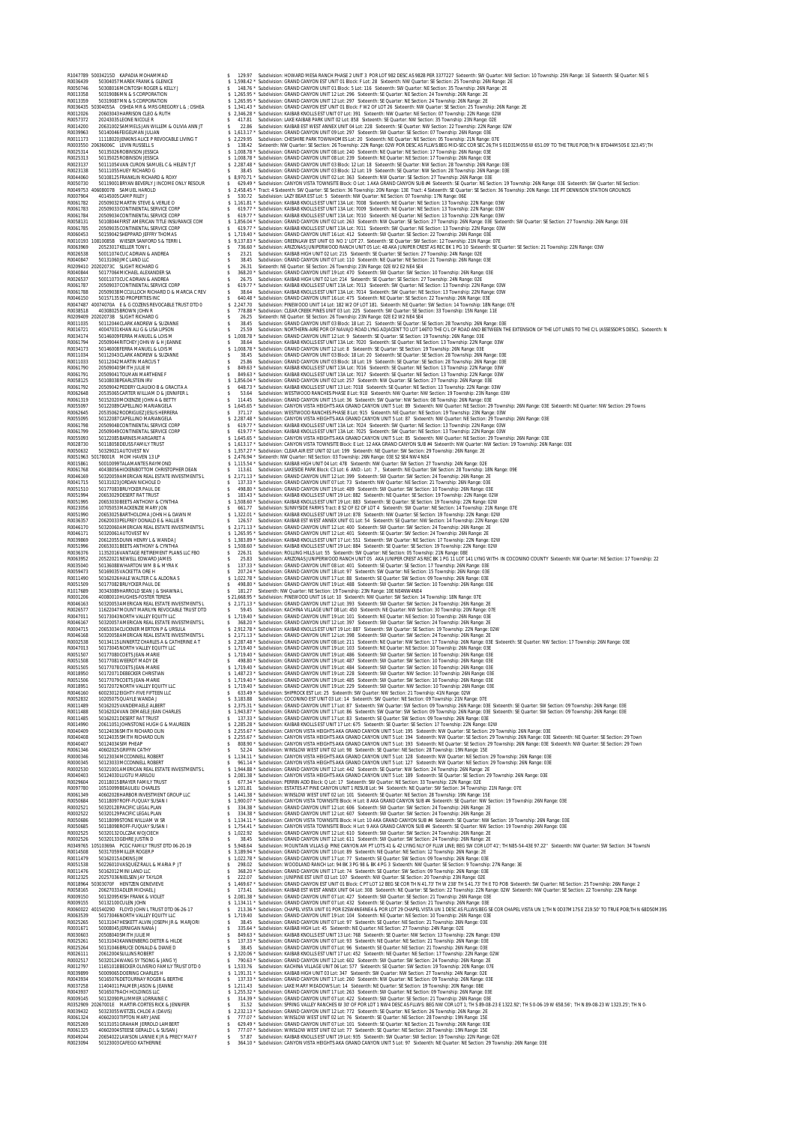R1047789 50034215D KAPADIA MOHAMMAD \$ 129.97 Subdivision: HOWARD MESA RANCH PHASE 2 UNIT 3 POR LOT 982 DESC AS 982B PER 3377227 Sixteenth: SW Quarter: NW Section: 10 Township: 25N Range: 1E Sixteenth: SE Quarter: NE S R0036439 50304057MAREK FRANK & GLENICE \$ 1,598.42 \* Subdivision: GRAND CANYON EST UNIT 01 Block: F Lot: 28 Sixteenth: NW Quarter: SE Section: 25 Township: 26N Range: 2E R0050746 50308016MCINTOSH ROGER & KELLY J \$ 148.76 \* Subdivision: GRAND CANYON UNIT 01 Block: 5 Lot: 116 Sixteenth: SW Quarter: NE Section: 35 Township: 26N Range: 2E R0013358 50319086MN & S CORPORATION \$ 1,265.95 \* Subdivision: GRAND CANYON UNIT 12 Lot: 296 Sixteenth: SE Quarter: NE Section: 24 Township: 26N Range: 2E R0013359 50319087MN & S CORPORATION \$ 1,265.95 \* Subdivision: GRAND CANYON UNIT 12 Lot: 297 Sixteenth: SE Quarter: NE Section: 24 Township: 26N Range: 2E R0036435 50304055A OSHEA MR & MRS GREGORY L & ; OSHEA \$ 1,341.43 \* Subdivision: GRAND CANYON EST UNIT 01 Block: F W2 OF LOT 26 Sixteenth: NW Quarter: SE Section: 25 Township: 26N Range: 2E R0012026 20603043HARRISON CLEO & RUTH \$ 2,346.28 \* Subdivision: KAIBAB KNOLLS EST UNIT 07 Lot: 391 Sixteenth: NW Quarter: NE Section: 07 Township: 22N Range: 02W R0057372 20243035LEONE NICOLE R \$ 417.81 Subdivision: LAKE KAIBAB PARK UNIT 02 Lot: 858 Sixteenth: SE Quarter: NW Section: 35 Township: 23N Range: 02E R0014200 20631002SAMMELS JAN WILLEM & OLIVIA ANN JT \$ 22.86 Subdivision: KAIBAB EST WEST ANNEX UNIT 04 Lot: 228 Sixteenth: SE Quarter: NW Section: 22 Township: 22N Range: 02W R0039963 50140046FEIGELMAN JULIAN \$ 1,613.17 \* Subdivision: GRAND CANYON UNIT 09 Lot: 297 Sixteenth: SW Quarter: SE Section: 07 Township: 26N Range: 03E R0011173 11118020JENKINS ALICE P REVOCABLE LIVING T \$ 2,229.95 Subdivision: CHESHIRE PARK TOWNHOMES Lot: 20 Sixteenth: NE Quarter: NE Section: 05 Township: 21N Range: 07E R0003550 20636006C LEVIN RUSSELL S \$ 138.42 Sixteenth: NW Quarter: SE Section: 26 Township: 22N Range: 02W POR DESC AS FLLWS:BEG MID-SEC COR SEC 26;TH S 01D31M05S W 651.09' TO THE TRUE POB;TH N 87D44M50S E 323.45';TH R0025314 50135026ROBINSON JESSICA \$ 1,008.78 \* Subdivision: GRAND CANYON UNIT 08 Lot: 240 Sixteenth: NE Quarter: NE Section: 17 Township: 26N Range: 03E R0025313 50135025ROBINSON JESSICA \$ 1,008.78 \* Subdivision: GRAND CANYON UNIT 08 Lot: 239 Sixteenth: NE Quarter: NE Section: 17 Township: 26N Range: 03E R0023137 50111054VAN CURON SAMUEL C & HELEN T JT \$ 2,287.48 \* Subdivision: GRAND CANYON UNIT 03 Block: 12 Lot: 18 Sixteenth: SE Quarter: NW Section: 28 Township: 26N Range: 03E R0023138 50111055HUEY RICHARD G \$ 38.45 Subdivision: GRAND CANYON UNIT 03 Block: 12 Lot: 19 Sixteenth: SE Quarter: NW Section: 28 Township: 26N Range: 03E R0044060 50108125FRANKLIN RICHARD & ROXY \$ 8,970.71 \* Subdivision: GRAND CANYON UNIT 02 Lot: 363 Sixteenth: NW Quarter: SE Section: 27 Township: 26N Range: 03E R0050730 50119001BRYAN BEVERLY J INCOME ONLY RESOUR \$ 629.49 \* Subdivision: CANYON VISTA TOWNSITE Block: O Lot: 1 AKA GRAND CANYON SUB #4 Sixteenth: SE Quarter: NE Section: 19 Township: 26N Range: 03E Sixteenth: SW Quarter: NE Section: R0049753 40608007B SAMUEL HAROLD \$ 2,458.45 \* Tract: 4 Sixteenth: SW Quarter: SE Section: 36 Township: 20N Range: 13E Tract: 4 Sixteenth: SE Quarter: SE Section: 36 Township: 20N Range: 13E PT DENNISON STATION GROUNDS R0007904 40145005CAMP RILEY J \$ 530.72 Subdivision: LAZY BEAR EST Lot: 5 Sixteenth: NW Quarter: NE Section: 07 Township: 17N Range: 06E R0061782 20509032MARTIN STEVE & VERLIE O \$ 1,161.81 \* Subdivision: KAIBAB KNOLLS EST UNIT 13A Lot: 7008 Sixteenth: NE Quarter: NE Section: 13 Township: 22N Range: 03W R0061783 20509033CONTINENTAL SERVICE CORP \$ 619.77 \* Subdivision: KAIBAB KNOLLS EST UNIT 13A Lot: 7009 Sixteenth: NE Quarter: NE Section: 13 Township: 22N Range: 03W R0061784 20509034CONTINENTAL SERVICE CORP \$ 619.77 \* Subdivision: KAIBAB KNOLLS EST UNIT 13A Lot: 7010 Sixteenth: NE Quarter: NE Section: 13 Township: 22N Range: 03W R0058131 50108044FIRST AMERICAN TITLE INSURANCE COM \$ 1,856.04 \* Subdivision: GRAND CANYON UNIT 02 Lot: 263 Sixteenth: NW Quarter: SE Section: 27 Township: 26N Range: 03E Sixteenth: SW Quarter: SE Section: 27 Township: 26N Range: 03E R0061785 20509035CONTINENTAL SERVICE CORP \$ 619.77 \* Subdivision: KAIBAB KNOLLS EST UNIT 13A Lot: 7011 Sixteenth: SW Quarter: NE Section: 13 Township: 22N Range: 03W R0060453 50159042SHEPPARD JEFFRY THOMAS \$ 1,719.40 \* Subdivision: GRAND CANYON UNIT 16 Lot: 412 Sixteenth: SW Quarter: SE Section: 22 Township: 26N Range: 03E R0010193 10810085B WIESER SANFORD S & TERRI L \$ 9,137.83 \* Subdivision: GREENLAW EST UNIT 03 NO 1' LOT 27. Sixteenth: SE Quarter: SW Section: 12 Township: 21N Range: 07E R0063969 20523017KELLER TONY L \$ 736.60 \* Subdivision: ARIZONAS JUNIPERWOOD RANCH UNIT 05 Lot: 48 AKA JUNIPER CREST AS REC BK 1 PG 10 Sixteenth: SE Quarter: SE Section: 21 Township: 22N Range: 03W R0026538 50011074CUC ADRIAN & ANDREA \$ 23.21 Subdivision: KAIBAB HIGH UNIT 02 Lot: 215 Sixteenth: SE Quarter: SE Section: 27 Township: 24N Range: 02E R0040847 50131060JMC LAND LLC \$ 38.45 Subdivision: GRAND CANYON UNIT 07 Lot: 110 Sixteenth: NE Quarter: NE Section: 21 Township: 26N Range: 03E R0209410 20202073C SLIGHT RICHARD G \$ 26.31 Sixteenth: NE Quarter: SE Section: 26 Township: 23N Range: 02E W2 E2 NE4 SE4 R0040844 50177064MICHAEL ALEXANDER SA \$ 368.20 \* Subdivision: GRAND CANYON UNIT 19 Lot: 470 Sixteenth: SW Quarter: SW Section: 10 Township: 26N Range: 03E R0026537 50011073CUC ADRIAN & ANDREA \$ 26.75 Subdivision: KAIBAB HIGH UNIT 02 Lot: 214 Sixteenth: SE Quarter: SE Section: 27 Township: 24N Range: 02E R0061787 20509037CONTINENTAL SERVICE CORP \$ 619.77 \* Subdivision: KAIBAB KNOLLS EST UNIT 13A Lot: 7013 Sixteenth: SW Quarter: NE Section: 13 Township: 22N Range: 03W R0061788 20509038MCCULLOCH RICHARD D & MARCIA C REV \$ 38.64 Subdivision: KAIBAB KNOLLS EST UNIT 13A Lot: 7014 Sixteenth: SW Quarter: NE Section: 13 Township: 22N Range: 03W R0046150 50157135SD PROPERTIES INC \$ 640.48 \* Subdivision: GRAND CANYON UNIT 16 Lot: 475 Sixteenth: NE Quarter: SE Section: 22 Township: 26N Range: 03E R0047487 40074070A E & G COZENS REVOCABLE TRUST DTD 0 \$ 2,247.70 Subdivision: PINEWOOD UNIT 14 Lot: 182 W2 OF LOT 181. Sixteenth: NE Quarter: SW Section: 14 Township: 18N Range: 07E R0038518 40308025BROWN JOHN R \$ 778.88 \* Subdivision: CLEAR CREEK PINES UNIT 03 Lot: 225 Sixteenth: SW Quarter: SE Section: 33 Township: 15N Range: 11E R0209409 20202073B SLIGHT RICHARD G \$ 26.25 Sixteenth: NE Quarter: SE Section: 26 Township: 23N Range: 02E E2 W2 NE4 SE4 R0011035 50112044CLARK ANDREW & SUZANNE \$ 38.45 Subdivision: GRAND CANYON UNIT 03 Block: 18 Lot: 21 Sixteenth: SE Quarter: SE Section: 28 Township: 26N Range: 03E R0016721 40047031KHAN ALI G & LISA LIPSON \$ 25.59 Subdivision: NORTHERN-AIRE POR OF NAVAJO ROAD LYNG ADJACENT TO LOT 146TO THE C/L OF ROAD AND BETWEEN THE EXTENSION OF THE LOT LINES TO THE C/L (ASSESSOR'S DESC). Sixteenth: N R0034174 50146009FERRA MANUEL & LOIS M \$ 1,008.78 \* Subdivision: GRAND CANYON UNIT 12 Lot: 9 Sixteenth: SE Quarter: SE Section: 19 Township: 26N Range: 03E R0061794 20509044RITCHEY JOHN W & H JEANNE \$ 38.64 Subdivision: KAIBAB KNOLLS EST UNIT 13A Lot: 7020 Sixteenth: SE Quarter: NE Section: 13 Township: 22N Range: 03W R0034173 50146008FERRA MANUEL & LOIS M \$ 1,008.78 \* Subdivision: GRAND CANYON UNIT 12 Lot: 8 Sixteenth: SE Quarter: SE Section: 19 Township: 26N Range: 03E R0011034 50112043CLARK ANDREW & SUZANNE \$ 38.45 Subdivision: GRAND CANYON UNIT 03 Block: 18 Lot: 20 Sixteenth: SE Quarter: SE Section: 28 Township: 26N Range: 03E R0011033 50112042MARTIN MARCUS T \$ 25.86 Subdivision: GRAND CANYON UNIT 03 Block: 18 Lot: 19 Sixteenth: SE Quarter: SE Section: 28 Township: 26N Range: 03E R0061790 20509040SMITH JULIE M \$ 849.63 \* Subdivision: KAIBAB KNOLLS EST UNIT 13A Lot: 7016 Sixteenth: SE Quarter: NE Section: 13 Township: 22N Range: 03W R0061791 20509041TOLMAN MARTHENE F \$ 849.63 \* Subdivision: KAIBAB KNOLLS EST UNIT 13A Lot: 7017 Sixteenth: SE Quarter: NE Section: 13 Township: 22N Range: 03W R0058125 50108038PEARLSTEIN IRV \$ 1,856.04 \* Subdivision: GRAND CANYON UNIT 02 Lot: 257 Sixteenth: NW Quarter: SE Section: 27 Township: 26N Range: 03E R0061792 20509042PEDERY CLAUDIO B & GRACITA A \$ 648.73 \* Subdivision: KAIBAB KNOLLS EST UNIT 13 Lot: 7018 Sixteenth: SE Quarter: NE Section: 13 Township: 22N Range: 03W R0062648 20535065CARTER WILLIAM D & JENNIFER L \$ 53.64 Subdivision: WESTWOOD RANCHES PHASE 8 Lot: 918 Sixteenth: NW Quarter: NW Section: 19 Township: 23N Range: 03W R0061319 50152020MCKENZIE JOHN A & BETTY \$ 114.45 Subdivision: GRAND CANYON UNIT 15 Lot: 36 Sixteenth: SW Quarter: NW Section: 08 Township: 26N Range: 03E R0055097 50122089CAPELLINO MARIANGELA \$ 1,645.65 \* Subdivision: CANYON VISTA HEIGHTS AKA GRAND CANYON UNIT 5 Lot: 89 Sixteenth: NW Quarter: NE Section: 29 Township: 26N Range: 03E Sixteenth: NE Quarter: NW Section: 29 Towns R0062645 20535062RODRIGUEZ JESUS HERRERA \$ 371.17 Subdivision: WESTWOOD RANCHES PHASE 8 Lot: 915 Sixteenth: NE Quarter: NE Section: 19 Township: 23N Range: 03W R0055095 50122087CAPELLINO MARIANGELA \$ 2,287.48 \* Subdivision: CANYON VISTA HEIGHTS AKA GRAND CANYON UNIT 5 Lot: 87 Sixteenth: NW Quarter: NE Section: 29 Township: 26N Range: 03E R0061798 20509048CONTINENTAL SERVICE CORP \$ 619.77 \* Subdivision: KAIBAB KNOLLS EST UNIT 13A Lot: 7024 Sixteenth: SW Quarter: NE Section: 13 Township: 22N Range: 03W R0061799 20509049CONTINENTAL SERVICE CORP \$ 619.77 \* Subdivision: KAIBAB KNOLLS EST UNIT 13A Lot: 7025 Sixteenth: SW Quarter: NE Section: 13 Township: 22N Range: 03W R0055093 50122085BARNES MARGARET A \$ 1,645.65 \* Subdivision: CANYON VISTA HEIGHTS AKA GRAND CANYON UNIT 5 Lot: 85 Sixteenth: NW Quarter: NE Section: 29 Township: 26N Range: 03E R0028730 50118058DEUSS FAMILY TRUST \$ 1,613.17 \* Subdivision: CANYON VISTA TOWNSITE Block: E Lot: 12 AKA GRAND CANYON SUB #4 Sixteenth: NW Quarter: NW Section: 19 Township: 26N Range: 03E **ENGINE MANUSING THE RELEASE REPORT TO A CONSUMER CONTINUES IN A CONSUMERATION OF THE RELEASE PROPERTY OF THE RELEASE PROPERTY AND A CONSUMER CONTINUES IN A CONSUMER CONTINUES IN A CONSUMER CONTINUES IN A CONSUMER CONTINU** RODAMERICAN REALESTATE INVESTIMENTS 19.1948 \* Subdivision: GRAND CANYON UNIT STATE INTERNATION AND SUBDAMERICAN REALEST SUBDAMERICAN REALEST SUBDAMERICAN REALEST SUBDAMERICAN REALEST SUBDAMERICAN REALEST SUBDAMERICAN REAL R0018964 50303070F HENTZEN GENEVIEVE \$ 1,469.67 \* Subdivision: GRAND CANYON EST UNIT 01 Block: C PT LOT 12 BEG SE COR TH N 41.73' TH W 238' TH S 41.73' TH E TO POB Sixteenth: SW Quarter: NE Section: 25 Township: 26N Range: 2 R0058165 20627033ADLER MICHAEL J \$ 173.41 Subdivision: KAIBAB EST WEST ANNEX UNIT 04 Lot: 308 Sixteenth: NE Quarter: SE Section: 22 Township: 22N Range: 02W Sixteenth: NW Quarter: SE Section: 22 Township: 22N Range R0009150 50132095KISH FRANK & VIOLET \$ 2,081.38 \* Subdivision: GRAND CANYON UNIT 07 Lot: 427 Sixteenth: SW Quarter: SE Section: 21 Township: 26N Range: 03E R0009155 50132100CULEN JOHN \$ 1,134.11 \* Subdivision: GRAND CANYON UNIT 07 Lot: 432 Sixteenth: SE Quarter: SE Section: 21 Township: 26N Range: 03E R0060022 40154029D FLOYD JOHN L TRUST DTD 06-26-17 \$ 213.36 \* Subdivision: CHAPEL VISTA UNIT 01 POR E2SW4NE4NE4 & POR LOT 29 CHAPEL VISTA UN 1 DESC AS FLLWS:BEG SE COR CHAPEL VISTA UN 1;TH N 0D37M17S E 219.50' TO TRUE POB;TH N 68D50M39S R0063539 50173046NORTH VALLEY EQUITY LLC \$ 1,719.40 Subdivision: GRAND CANYON UNIT 19 Lot: 104 Sixteenth: NE Quarter: NE Section: 10 Township: 26N Range: 03E R0025265 50131047HESKETT ALVIN JOSEPH JR & MARJORI \$ 38.45 Subdivision: GRAND CANYON UNIT 07 Lot: 97 Sixteenth: SE Quarter: NE Section: 21 Township: 26N Range: 03E R0001671 50008045JERNIGAN NANA J \$ 335.64 \* Subdivision: KAIBAB HIGH Lot: 45 Sixteenth: NE Quarter: NE Section: 27 Township: 24N Range: 02E R0030603 20508040SMITH JULIE M \$ 849.63 \* Subdivision: KAIBAB KNOLLS EST UNIT 13 Lot: 768 Sixteenth: SE Quarter: NW Section: 13 Township: 22N Range: 03W R0025261 50131043KANNENBERG DIETER & HILDE \$ 137.33 \* Subdivision: GRAND CANYON UNIT 07 Lot: 93 Sixteenth: NE Quarter: NE Section: 21 Township: 26N Range: 03E R0025264 50131046BRUCE DONALD & DIANE D \$ 38.45 Subdivision: GRAND CANYON UNIT 07 Lot: 96 Sixteenth: SE Quarter: NE Section: 21 Township: 26N Range: 03E R0026111 20612004SULLINS ROBERT \$ 2,320.06 \* Subdivision: KAIBAB KNOLLS EST UNIT 17 Lot: 452 Sixteenth: NE Quarter: NE Section: 17 Township: 22N Range: 02W R0002517 50320124WANG SY TSONG & JANG YJ \$ 790.63 \* Subdivision: GRAND CANYON UNIT 12 Lot: 602 Sixteenth: SW Quarter: SW Section: 24 Township: 26N Range: 2E R0012797 11651018BECKER OLIVERIO FAMILY TRUST DTD 0 \$ 1,533.76 Subdivision: KACHINA VILLAGE UNIT 06 Lot: 577 Sixteenth: SE Quarter: SW Section: 19 Township: 20N Range: 07E R0039899 50009065DOERING CHARLES H \$ 1,191.31 \* Subdivision: KAIBAB HIGH UNIT 03 Lot: 347 Sixteenth: SW Quarter: NW Section: 27 Township: 24N Range: 02E R0043934 50165076DETOURNAY ROGER & BERTHE \$ 137.33 \* Subdivision: GRAND CANYON UNIT 17 Lot: 260 Sixteenth: NW Quarter: NE Section: 09 Township: 26N Range: 03E R0037258 11404011PALMER JASON & JEANNE \$ 1,211.43 Subdivision: LAKE MARY MEADOWS Lot: 14 Sixteenth: NE Quarter: SE Section: 19 Township: 20N Range: 08E R0043937 50165079ACH HOLDINGS LLC \$ 1,255.32 \* Subdivision: GRAND CANYON UNIT 17 Lot: 263 Sixteenth: SW Quarter: NE Section: 09 Township: 26N Range: 03E R0009145 50132090PLUMMER LORRAINE C \$ 314.39 \* Subdivision: GRAND CANYON UNIT 07 Lot: 422 Sixteenth: SW Quarter: SE Section: 21 Township: 26N Range: 03E R0352097 2022/001E MARTIR-CORRESS MANNER STAND STATES AND A STATE ON THE SERVICES ON CONTROLLER AND A STATE ON<br>R0039432 50323055WETZEL CHIDEA (WAVIS) STATES STATES AND STATES ON A STATE ON A STATE ON A STATE ON A STATE ON<br> R0061325 40602004STEESE GERALD L& SUSAN J \$777.07 \* Subdivision: WINSLOW WEST UNIT 02 Lot: 77 Sixteenth: SE Ouarter: NE Section: 28 Township: 19N Range: 15E<br>R0049244 20654022LAWSON LAWNE K. R. REPREY MANYE \$57.87 \$ubdivisi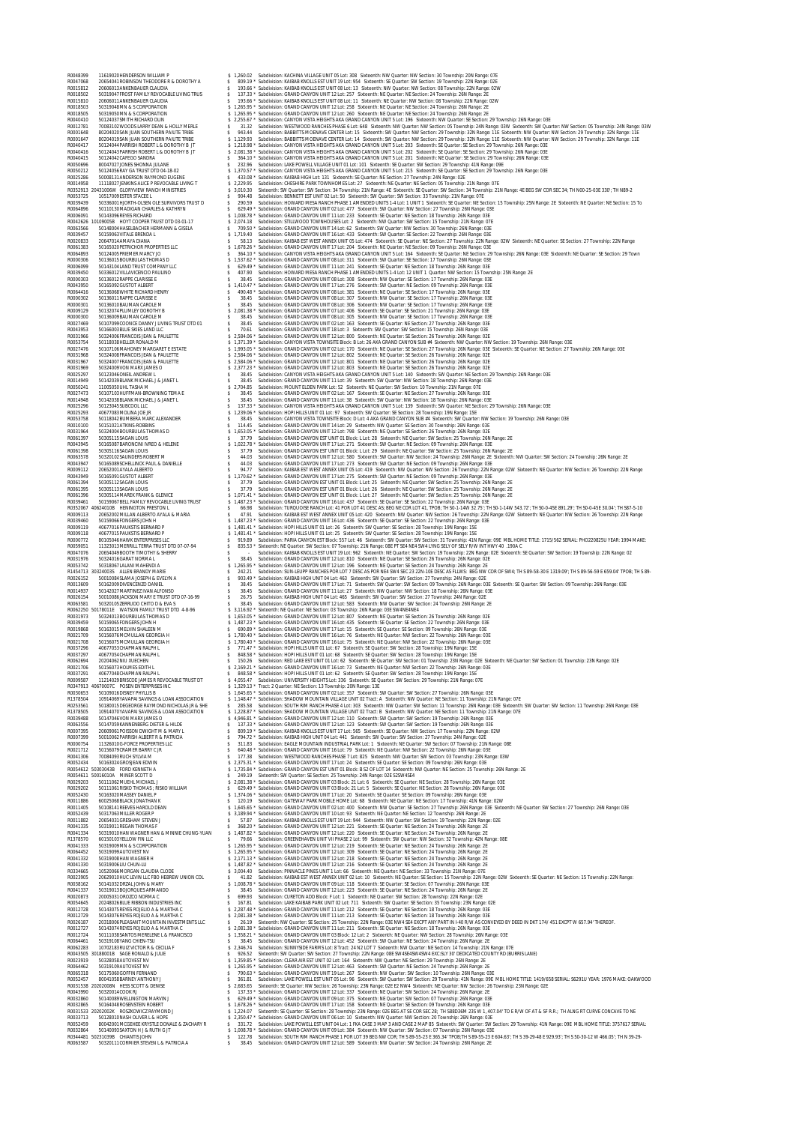**ROUND THE CONSULTION WANTER A CONTRACT 1999 SUBMINGTON CONTRACT SUBMINGTION CONSULTION CONTRACT SUBMINGTION CONTRACT SUBMINGTION CONTRACT SUBMINGTION CONTRACT SUBMINGTION CONTRACT SUBMINGTION CONTRACT SUBMINGTION CONTRAC** R0039450 50336012VILLAVICENCIO PAULINO \$ 407.90 Subdivision: HOWARD MESA RANCH PHASE 1 AMENDED UNITS 1-4 Lot: 12 UNIT 1 Quarter: NW Section: 15 Township: 25N Range: 2E R0000303 50136012RAPPE CLARISSE E \$ 38.45 Subdivision: GRAND CANYON UNIT 08 Lot: 308 Sixteenth: NW Quarter: SE Section: 17 Township: 26N Range: 03E R0043950 50165092GUSTOT ALBERT \$ 1,410.47 \* Subdivision: GRAND CANYON UNIT 17 Lot: 276 Sixteenth: SW Quarter: NE Section: 09 Township: 26N Range: 03E R0064416 50136068WHITE RICHARD HENRY \$ 490.48 \* Subdivision: GRAND CANYON UNIT 08 Lot: 381 Sixteenth: NE Quarter: SE Section: 17 Township: 26N Range: 03E R0000302 50136011RAPPE CLARISSE E \$ 38.45 Subdivision: GRAND CANYON UNIT 08 Lot: 307 Sixteenth: NW Quarter: SE Section: 17 Township: 26N Range: 03E R0000301 50136010BAUMAN CAROLE M \$ 38.45 Subdivision: GRAND CANYON UNIT 08 Lot: 306 Sixteenth: NW Quarter: SE Section: 17 Township: 26N Range: 03E R0009129 50132074PLUMLEY DOROTHY B \$ 2,081.38 \* Subdivision: GRAND CANYON UNIT 07 Lot: 406 Sixteenth: SE Quarter: SE Section: 21 Township: 26N Range: 03E R0000300 50136009BAUMAN CAROLE M \$ 38.45 Subdivision: GRAND CANYON UNIT 08 Lot: 305 Sixteenth: NW Quarter: SE Section: 17 Township: 26N Range: 03E R0027469 50107099COONCE DANNY J LIVING TRUST DTD 01 \$ 38.45 Subdivision: GRAND CANYON UNIT 02 Lot: 163 Sixteenth: SE Quarter: NE Section: 27 Township: 26N Range: 03E R0043953 50166003BLUE SKIES LAND LLC \$ 70.61 Subdivision: GRAND CANYON UNIT 18 Lot: 3 Sixteenth: SW Quarter: SW Section: 15 Township: 26N Range: 03E R0031966 50324006FRANCOIS JEAN & PAULETTE \$ 2,584.06 \* Subdivision: GRAND CANYON UNIT 12 Lot: 800 Sixteenth: NE Quarter: SE Section: 26 Township: 26N Range: 02E R0053754 50118038HELLER RONALD M \$ 1,371.39 \* Subdivision: CANYON VISTA TOWNSITE Block: B Lot: 26 AKA GRAND CANYON SUB #4 Sixteenth: NW Quarter: NW Section: 19 Township: 26N Range: 03E R0027476 50107106MAHONEY MARGARET E ESTATE \$ 1,993.05 \* Subdivision: GRAND CANYON UNIT 02 Lot: 170 Sixteenth: NE Quarter: SE Section: 27 Township: 26N Range: 03E Sixteenth: SE Quarter: NE Section: 27 Township: 26N Range: 03E ROUND ADMONDER ARA SPARTING 1 2.2000 AN ALL COMPUTER CONTROLL AND SERVE RESERVE A CONTROLL AND CONTROLL AND CONTROLL AND SERVE A CONTROLL AND CONTROLL AND CONTROLL AND CONTROLL AND CONTROLL AND CONTROLL AND CONTROLL AND R1454713 30324003S ALLEN BRANDY MARIE \$ 242.21 Subdivision: SUN-LEUPP RANCHES POR LOT 7 DESC AS POR NE4 SW4 SEC 23 22N-10E DESC AS FLLWS: BEG NW COR OF SW4; TH S 89-58-30 E 1319.09'; TH S 89-56-59 E 659.04' TPOB; TH S 89- R0026152 50010084SLAMA JOSEPH & EVELYN A \$ 903.49 \* Subdivision: KAIBAB HIGH UNIT 04 Lot: 463 Sixteenth: SW Quarter: SW Section: 27 Township: 24N Range: 02E R0013609 50162009DIVENCENZO DANIEL \$ 38.45 Subdivision: GRAND CANYON UNIT 17 Lot: 71 Sixteenth: SW Quarter: SW Section: 09 Township: 26N Range: 03E Sixteenth: SE Quarter: SW Section: 09 Township: 26N Range: 03E R0014937 50142027MARTINEZ IVAN ALFONSO \$ 38.45 Subdivision: GRAND CANYON UNIT 11 Lot: 27 Sixteenth: NW Quarter: NW Section: 18 Township: 26N Range: 03E R0026154 50010086JACKSON MARY E TRUST DTD 07-16-99 \$ 26.75 Subdivision: KAIBAB HIGH UNIT 04 Lot: 465 Sixteenth: SW Quarter: SW Section: 27 Township: 24N Range: 02E R0063581 50320105ZERRUDO CHITO D & EVA S \$ 38.45 Subdivision: GRAND CANYON UNIT 12 Lot: 583 Sixteenth: NW Quarter: SW Section: 24 Township: 26N Range: 2E R0062250 50178011E WATSON FAMILY TRUST DTD 4-8-96 \$ 3,116.92 \* Sixteenth: NE Quarter: NE Section: 03 Township: 26N Range: 03E SW4NE4NE4 R0031973 50324013BOURBULAS THOMAS D \$ 1,653.05 \* Subdivision: GRAND CANYON UNIT 12 Lot: 807 Sixteenth: NE Quarter: SE Section: 26 Township: 26N Range: 02E R0039459 50159065FONGERS JOHN H \$ 1,487.23 \* Subdivision: GRAND CANYON UNIT 16 Lot: 435 Sixteenth: SE Quarter: SE Section: 22 Township: 26N Range: 03E R0019868 50163015MELVIN SHALEEN M \$ 690.89 \* Subdivision: GRAND CANYON UNIT 17 Lot: 15 Sixteenth: SE Quarter: SE Section: 09 Township: 26N Range: 03E R0021709 50156076MCMULLAN GEORGIA H \$ 1,780.40 \* Subdivision: GRAND CANYON UNIT 16 Lot: 76 Sixteenth: NE Quarter: NW Section: 22 Township: 26N Range: 03E R0021708 50156075MCMULLAN GEORGIA H \$ 1,780.40 \* Subdivision: GRAND CANYON UNIT 16 Lot: 75 Sixteenth: NE Quarter: NW Section: 22 Township: 26N Range: 03E R0037296 40677053CHAPMAN RALPH L \$ 771.47 \* Subdivision: HOPI HILLS UNIT 01 Lot: 67 Sixteenth: SE Quarter: SW Section: 28 Township: 19N Range: 15E R0037297 40677054CHAPMAN RALPH L \$ 848.58 \* Subdivision: HOPI HILLS UNIT 01 Lot: 68 Sixteenth: SE Quarter: SW Section: 28 Township: 19N Range: 15E R0062694 20204062NIU XUECHEN \$ 150.26 Subdivision: RED LAKE EST UNIT 01 Lot: 62 Sixteenth: SE Quarter: SW Section: 01 Township: 23N Range: 02E Sixteenth: NE Quarter: SW Section: 01 Township: 23N Range: 02E R0021706 50156073HOLMES EDITH L \$ 2,169.21 \* Subdivision: GRAND CANYON UNIT 16 Lot: 73 Sixteenth: NE Quarter: NW Section: 22 Township: 26N Range: 03E R0037291 40677048CHAPMAN RALPH L \$ 848.58 \* Subdivision: HOPI HILLS UNIT 01 Lot: 62 Sixteenth: SE Quarter: SW Section: 28 Township: 19N Range: 15E R0009587 11214029BRISCOE JAMES R REVOCABLE TRUST DT \$ 4,055.47 Subdivision: UNIVERSITY HEIGHTS Lot: 336 Sixteenth: SE Quarter: SW Section: 29 Township: 21N Range: 07E R0347913 40670007C POSEN ENTERPRISES INC \$ 1,329.13 \* Tract: 2 Quarter: NE Section: 13 Township: 20N Range: 13E R0030653 50109016DISNEY PHYLLIS B \$ 1,645.65 \* Subdivision: GRAND CANYON UNIT 02 Lot: 357 Sixteenth: SW Quarter: SW Section: 27 Township: 26N Range: 03E R1378504 10914069YAVAPAI SAVINGS & LOAN ASSOCIATION \$ 1,148.47 \* Subdivision: SHADOW MOUNTAIN VILLAGE UNIT 02 Tract: A Sixteenth: NW Quarter: NE Section: 11 Township: 21N Range: 07E R0253561 50180015DEGEORGE RAYMOND NICHOLAS JR & SHE \$ 285.58 Subdivision: SOUTH RIM RANCH PHASE 4 Lot: 303 Sixteenth: NW Quarter: SW Section: 11 Township: 26N Range: 03E Sixteenth: SW Quarter: SW Section: 11 Township: 26N Range: 03E R1378505 10914070YAVAPAI SAVINGS & LOAN ASSOCIATION \$ 1,228.87 \* Subdivision: SHADOW MOUNTAIN VILLAGE UNIT 02 Tract: B Sixteenth: NW Quarter: NE Section: 11 Township: 21N Range: 07E R0039488 50147046VON MARX JAMES O \$ 4,946.81 \* Subdivision: GRAND CANYON UNIT 12 Lot: 110 Sixteenth: SW Quarter: SW Section: 19 Township: 26N Range: 03E R0063556 50147059KANNENBERG DIETER & HILDE \$ 137.33 \* Subdivision: GRAND CANYON UNIT 12 Lot: 123 Sixteenth: SW Quarter: SW Section: 19 Township: 26N Range: 03E R0007395 20609061POISSON DWIGHT M & MARY L \$ 809.19 \* Subdivision: KAIBAB KNOLLS EST UNIT 17 Lot: 565 Sixteenth: SE Quarter: NW Section: 17 Township: 22N Range: 02W R0007399 50010062PARRISH ALBERT R & PATRICIA \$ 794.72 \* Subdivision: KAIBAB HIGH UNIT 04 Lot: 441 Sixteenth: SW Quarter: SW Section: 27 Township: 24N Range: 02E R0000754 11326010G-FORCE PROPERTIES LLC \$ 311.83 Subdivision: EAGLE MOUNTAIN INDUSTRIAL PARK Lot: 1 Sixteenth: NE Quarter: SW Section: 07 Township: 21N Range: 08E R0021712 50156079CRAMER BARRY C JR \$ 640.48 \* Subdivision: GRAND CANYON UNIT 16 Lot: 79 Sixteenth: NE Quarter: NW Section: 22 Township: 26N Range: 03E R0041306 70084093RUCH SYLVIA M \$ 177.38 Subdivision: WESTWOOD RANCHES PHASE 7 Lot: 825 Sixteenth: NW Quarter: SW Section: 03 Township: 23N Range: 03W R0052434 50163024GROSJEAN EDWIN \$ 2,375.31 \* Subdivision: GRAND CANYON UNIT 17 Lot: 24 Sixteenth: SE Quarter: SE Section: 09 Township: 26N Range: 03E R0054612 50303043B FORD KENNETH A \$ 1,735.84 \* Subdivision: GRAND CANYON EST UNIT 01 Block: B S2 OF LOT 14 Sixteenth: NW Quarter: NE Section: 25 Township: 26N Range: 2E R0054611 50016010A MINER SCOTT D \$ 249.19 Sixteenth: SW Quarter: SE Section: 25 Township: 24N Range: 02E S2SW4SE4 R0029203 50111062MUEHL MICHAEL J \$ 2,081.38 \* Subdivision: GRAND CANYON UNIT 03 Block: 21 Lot: 6 Sixteenth: SE Quarter: NE Section: 28 Township: 26N Range: 03E R0029202 50111061RISKO THOMAS ; RISKO WILLIAM \$ 629.49 \* Subdivision: GRAND CANYON UNIT 03 Block: 21 Lot: 5 Sixteenth: SE Quarter: NE Section: 28 Township: 26N Range: 03E R0052430 50163020MASSEY DANIEL P \$ 1,374.06 \* Subdivision: GRAND CANYON UNIT 17 Lot: 20 Sixteenth: SE Quarter: SE Section: 09 Township: 26N Range: 03E R0011886 60025068BLACK JONATHAN K \$ 120.19 Subdivision: GATEWAY PARK MOBILE HOME Lot: 68 Sixteenth: NE Quarter: NE Section: 17 Township: 41N Range: 02W R0011405 50108141REEVES HAROLD DEAN \$ 1,645.65 \* Subdivision: GRAND CANYON UNIT 02 Lot: 400 Sixteenth: NW Quarter: SE Section: 27 Township: 26N Range: 03E Sixteenth: NE Quarter: SW Section: 27 Township: 26N Range: 03E R0052439 50317063MILLER ROGER P \$ 3,189.94 \* Subdivision: GRAND CANYON UNIT 10 Lot: 93 Sixteenth: NE Quarter: NE Section: 12 Township: 26N Range: 2E R0011882 20654031GRESHAM STEVEN J \$ 57.87 Subdivision: KAIBAB KNOLLS EST UNIT 19 Lot: 944 Sixteenth: NW Quarter: SW Section: 19 Township: 22N Range: 02E ROO41335 50319011REGAM THOMAS FROM THE SAME AND STATE IN A SAME ARREST SURFACE IN A SURFACE OWN ON TRIGATION S<br>ROM 1334 50319010HAN WAGNER HAN & MINNIE CHUNG-YUAN \$ 1,487.82 \* Subdivision: GRAND CANYON UNIT 12 Lot: 220 Sxi R0041332 50319008HAN WAGNER H \$ 2,171.13 \* Subdivision: GRAND CANYON UNIT 12 Lot: 218 Sixteenth: SE Quarter: NE Section: 24 Township: 26N Range: 2E R0041330 50319006LIU CHUN-LU \$ 1,487.82 \* Subdivision: GRAND CANYON UNIT 12 Lot: 216 Sixteenth: SE Quarter: NE Section: 24 Township: 26N Range: 2E R0334665 10520066MORGAN CLAUDIA CLODE \$ 3,004.40 Subdivision: PINNACLE PINES UNIT 1 Lot: 66 Sixteenth: NE Quarter: NE Section: 33 Township: 21N Range: 07E R0023905 20629010HUC LEVIN LLC FBO HEBREW UNION COL \$ 41.82 Subdivision: KAIBAB EST WEST ANNEX UNIT 02 Lot: 10 Sixteenth: NE Quarter: SE Section: 15 Township: 22N Range: 02W Sixteenth: SE Quarter: NE Section: 15 Township: 22N Range: R0038162 50141032DRZAL JOHN & MARY \$ 1,008.78 \* Subdivision: GRAND CANYON UNIT 09 Lot: 118 Sixteenth: SE Quarter: SE Section: 07 Township: 26N Range: 03E R0041337 50319013BOJORQUES ARMANDO \$ 38.45 Subdivision: GRAND CANYON UNIT 12 Lot: 223 Sixteenth: SE Quarter: NE Section: 24 Township: 26N Range: 2E R0020873 20005031OROZCO NORMA C \$ 699.93 Subdivision: CURETON ADD Block: F Lot: 1 Sixteenth: NE Quarter: SW Section: 28 Township: 22N Range: 02E R0054645 20248026BLUE RIBBON INDUSTRIES INC \$ 167.81 Subdivision: LAKE KAIBAB PARK UNIT 02 Lot: 711 Sixteenth: SW Quarter: SE Section: 35 Township: 23N Range: 02E R0012728 50143075REYES ROJELIO A & MARTHA C \$ 2,287.48 \* Subdivision: GRAND CANYON UNIT 11 Lot: 212 Sixteenth: SE Quarter: NE Section: 18 Township: 26N Range: 03E R0012729 50143076REYES ROJELIO A & MARTHA C \$ 2,081.38 \* Subdivision: GRAND CANYON UNIT 11 Lot: 213 Sixteenth: SE Quarter: NE Section: 18 Township: 26N Range: 03E R0026187 20318006PLEASANT MOUNTAIN INVESTMENTS LLC \$ 26.19 Sixteenth: NW Quarter: SE Section: 25 Township: 22N Range: 03E NW4 SE4 EXCPT ANY PART IN I-40 R/W AS CONVEYED BY DEED IN DKT 174/ 451 EXCPT W 657.94' THEREOF. R0012727 50143074REYES ROJELIO A & MARTHA C \$ 2,081.38 \* Subdivision: GRAND CANYON UNIT 11 Lot: 211 Sixteenth: SE Quarter: NE Section: 18 Township: 26N Range: 03E R0012724 50111038SANTOS MERELENE L & FRANCISCO \$ 1,358.21 \* Subdivision: GRAND CANYON UNIT 03 Block: 12 Lot: 2 Sixteenth: NE Quarter: NW Section: 28 Township: 26N Range: 03E R0064461 50319108YANG CHIEN-TSU \$ 38.45 Subdivision: GRAND CANYON UNIT 12 Lot: 452 Sixteenth: SW Quarter: NE Section: 24 Township: 26N Range: 2E R0062283 10702183RUIZ VICTOR R & CECILIA F \$ 2,346.74 Subdivision: SUNNYSIDE FARMS Lot: 8 Tract: 24 N2 LOT 7 Sixteenth: NW Quarter: NE Section: 14 Township: 21N Range: 07E R0043505 30188001B SAGE RONALD & JULIE \$ 926.52 Sixteenth: SW Quarter: SW Section: 27 Township: 22N Range: 08E SW4SE4SW4SW4 EXC:SLY 30' DEDICATED COUNTY RD (BURRIS LANE) R0023919 50328058AUTOVEST NV \$ 1,359.85 \* Subdivision: CLEAR AIR EST UNIT 02 Lot: 164 Sixteenth: NW Quarter: NE Section: 29 Township: 26N Range: 2E R0064462 50319109AUTOVEST NV \$ 1,265.95 \* Subdivision: GRAND CANYON UNIT 12 Lot: 463 Sixteenth: SW Quarter: NE Section: 24 Township: 26N Range: 2E R0065318 50175060GOFFIN FERNAND \$ 790.63 \* Subdivision: GRAND CANYON UNIT 19 Lot: 267 Sixteenth: NW Quarter: SW Section: 10 Township: 26N Range: 03E R0052457 80041058BARNEY ANTHONY J \$ 361.81 Subdivision: LAKE POWELL EST UNIT 05 Lot: 96 Sixteenth: SW Quarter: SW Section: 29 Township: 41N Range: 09E MBL HOME TITLE: 1419/658 SERIAL: S6291U YEAR: 1976 MAKE: OAKWOOD R0031538 20202008N HESS SCOTT & DENISE \$ 2,683.65 Sixteenth: SE Quarter: NW Section: 26 Township: 23N Range: 02E E2 NW4 Sixteenth: NE Quarter: NW Section: 26 Township: 23N Range: 02E R0043990 50320014COOK RJ \$ 137.33 \* Subdivision: GRAND CANYON UNIT 12 Lot: 337 Sixteenth: NE Quarter: SW Section: 24 Township: 26N Range: 2E R0032860 50140089WELLINGTON MARVIN J \$ 629.49 \* Subdivision: GRAND CANYON UNIT 09 Lot: 375 Sixteenth: NE Quarter: SW Section: 07 Township: 26N Range: 03E R0032865 50164048ROSENSTEIN ROBERT \$ 1,678.26 \* Subdivision: GRAND CANYON UNIT 17 Lot: 158 Sixteenth: NE Quarter: SE Section: 09 Township: 26N Range: 03E R0031533 20202002K ROSZKOWICZ RAYMOND J \$ 1,224.07 Sixteenth: SE Quarter: SE Section: 28 Township: 23N Range: 02E BEG AT SE COR SEC 28; TH S88D36M 23S W 1, 407.04' TO E R/W OF AT & SF R.R.; TH ALNG RT CURVE CONCAVE TO NE R0033713 50128010NASH OLIVER L & HOPE \$ 2,350.47 \* Subdivision: GRAND CANYON UNIT 06 Lot: 10 Sixteenth: NW Quarter: NW Section: 20 Township: 26N Range: 03E R0052459 80042001MCGEHEE KRYSTLE DONALE & ZACHARY R \$ 331.72 Subdivision: LAKE POWELL EST UNIT 04 Lot: 1 FKA CASE 3 MAP 3 AND CASE 2 MAP 85 Sixteenth: SW Quarter: SW Section: 29 Township: 41N Range: 09E MBL HOME TITLE: 3757617 SERIAL: R0032864 50140093SAXTON H J & RUTH G JT \$ 1,008.78 \* Subdivision: GRAND CANYON UNIT 09 Lot: 384 Sixteenth: NW Quarter: SW Section: 07 Township: 26N Range: 03E R0344481 50231039B CHIANTIS JOHN \$ 122.78 Subdivision: SOUTH RIM RANCH PHASE 1 POR LOT 39 BEG NW COR; TH S 89-55-23 E 365.34' TPOB;TH S 89-55-23 E 604.63'; TH S 39-29-48 E 929.93'; TH S 50-30-12 W 466.05'; TH N 39-29- R0063587 50320111CORMIER STEVEN L & PATRICIA A \$ 38.45 Subdivision: GRAND CANYON UNIT 12 Lot: 589 Sixteenth: NW Quarter: SW Section: 24 Township: 26N Range: 2E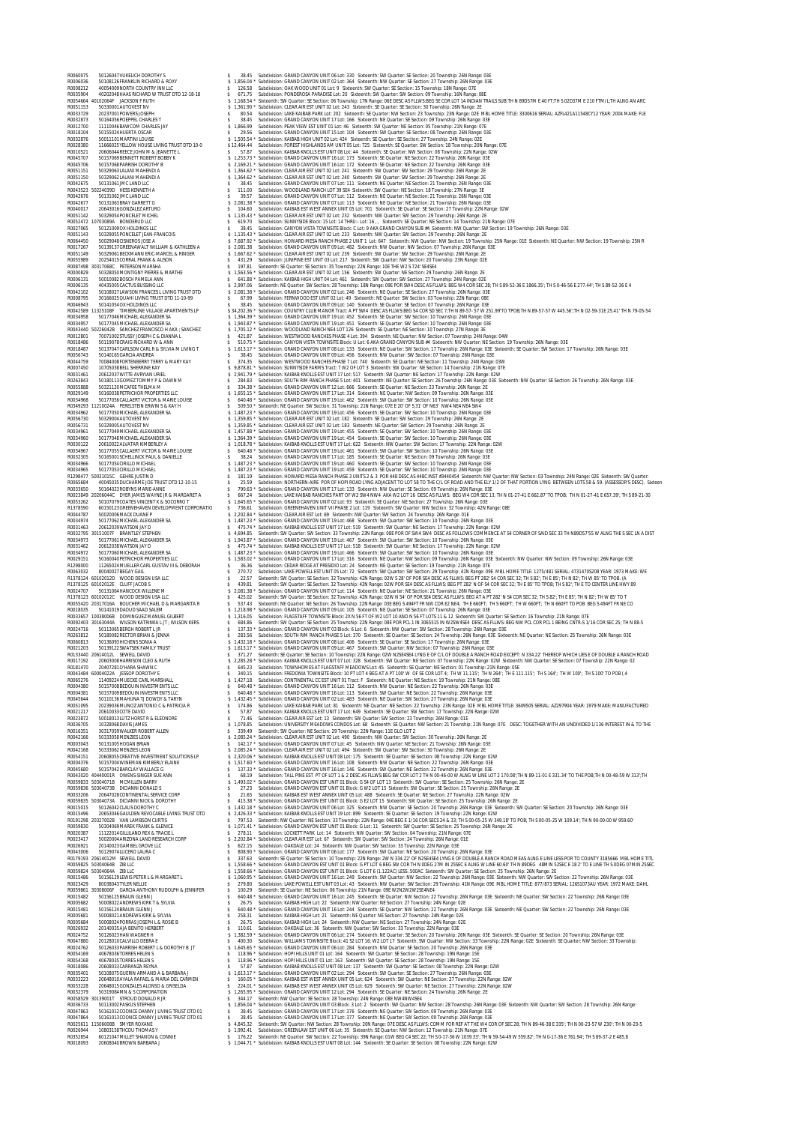R0060075 50126047VUKELICH DOROTHY S \$ 38.45 Subdivision: GRAND CANYON UNIT 06 Lot: 330 Sixteenth: SW Quarter: SE Section: 20 Township: 26N Range: 03E R0006036 50108126FRANKLIN RICHARD & ROXY \$ 1,856.04 \* Subdivision: GRAND CANYON UNIT 02 Lot: 364 Sixteenth: NW Quarter: SE Section: 27 Township: 26N Range: 03E R0008212 40054009NORTH COUNTRY INN LLC \$ 126.58 Subdivision: OAK WOOD UNIT 01 Lot: 9 Sixteenth: SW Quarter: SE Section: 15 Township: 18N Range: 07E R0035904 40202048HAAS RICHARD W TRUST DTD 12-18-18 \$ 671.75 Subdivision: PONDEROSA PARADISE Lot: 20 Sixteenth: SW Quarter: SW Section: 09 Township: 16N Range: 08E R0054664 40102064F JACKSON F RUTH \$ 1,168.54 \* Sixteenth: SW Quarter: SE Section: 06 Township: 17N Range: 06E DESC AS FLLWS:BEG SE COR LOT 14 INDIAN TRAILS SUB:TH N 89D57M E 40 FT;TH S 02D37M E 210 FTM/L;TH ALNG AN ARC R0051153 50330001AUTOVEST NV \$ 1,361.90 \* Subdivision: CLEAR AIR EST UNIT 02 Lot: 243 Sixteenth: SE Quarter: SE Section: 30 Township: 26N Range: 2E R0033729 20237001POWERS JOSEPH \$ 80.54 Subdivision: LAKE KAIBAB PARK Lot: 202 Sixteenth: SE Quarter: NW Section: 23 Township: 23N Range: 02E MBL HOME TITLE: 3300616 SERIAL: AZFL421A11548CY12 YEAR: 2004 MAKE: FLE R0032873 50164056POEPPEL CHARLES T \$ 38.45 Subdivision: GRAND CANYON UNIT 17 Lot: 166 Sixteenth: NE Quarter: SE Section: 09 Township: 26N Range: 03E R0012700 11110046BAWCOM CHARLES JAY \$ 1,866.99 Subdivision: PEAK VIEW EST UNIT 01 Lot: 46 Sixteenth: SW Quarter: NE Section: 05 Township: 21N Range: 07E R0018104 50155024HUERTA OSCAR \$ 29.56 Subdivision: GRAND CANYON UNIT 15 Lot: 104 Sixteenth: SW Quarter: SE Section: 08 Township: 26N Range: 03E R0032876 50011101MARTINI LOUISE \$ 1,505.54 \* Subdivision: KAIBAB HIGH UNIT 02 Lot: 424 Sixteenth: SE Quarter: SE Section: 27 Township: 24N Range: 02E R0028380 11666025YELLOW HOUSE LIVING TRUST DTD 10-0 \$ 12,464.44 Subdivision: FOREST HIGHLANDS AM UNIT 05 Lot: 725 Sixteenth: SE Quarter: SW Section: 18 Township: 20N Range: 07E R0010521 20606044REECE JOHN M & JEANETTE L \$ 57.87 Subdivision: KAIBAB KNOLLS EST UNIT 08 Lot: 44 Sixteenth: SE Quarter: NW Section: 08 Township: 22N Range: 02W R0045707 50157069BENNETT ROBERT BOBBY K \$ 1,253.73 \* Subdivision: GRAND CANYON UNIT 16 Lot: 173 Sixteenth: SE Quarter: NE Section: 22 Township: 26N Range: 03E R0045706 50157068PARRISH DOROTHY B \$ 2,169.21 \* Subdivision: GRAND CANYON UNIT 16 Lot: 172 Sixteenth: SE Quarter: NE Section: 22 Township: 26N Range: 03E R0051151 50329063LALANI MAHENDI A \$ 1,364.62 \* Subdivision: CLEAR AIR EST UNIT 02 Lot: 241 Sixteenth: SW Quarter: SW Section: 29 Township: 26N Range: 2E R0051150 50329062LALANI MAHENDI A \$ 1,364.62 \* Subdivision: CLEAR AIR EST UNIT 02 Lot: 240 Sixteenth: SW Quarter: SW Section: 29 Township: 26N Range: 2E R0042675 50131061JMC LAND LLC \$ 38.45 Subdivision: GRAND CANYON UNIT 07 Lot: 111 Sixteenth: NE Quarter: NE Section: 21 Township: 26N Range: 03E R0043523 50224039D HESS KENNETH A \$ 111.00 Subdivision: WOODLAND RANCH LOT 39 SE4 Sixteenth: SW Quarter: NE Section: 18 Township: 27N Range: 3E R0042676 50131062JMC LAND LLC \$ 39.57 Subdivision: GRAND CANYON UNIT 07 Lot: 112 Sixteenth: NE Quarter: NE Section: 21 Township: 26N Range: 03E R0042677 50131063BRAY GARRETT G \$ 2,081.38 \* Subdivision: GRAND CANYON UNIT 07 Lot: 113 Sixteenth: NE Quarter: NE Section: 21 Township: 26N Range: 03E R0040017 20643016GONZALEZ ARTURO \$ 104.60 Subdivision: KAIBAB EST WEST ANNEX UNIT 05 Lot: 701 Sixteenth: SE Quarter: SE Section: 27 Township: 22N Range: 02W R0051142 50329054PONCELET MICHEL \$ 1,135.43 \* Subdivision: CLEAR AIR EST UNIT 02 Lot: 232 Sixteenth: NW Quarter: SW Section: 29 Township: 26N Range: 2E R0052472 10703089A BONDERUD LLC \$ 619.70 Subdivision: SUNNYSIDE Block: 15 Lot: 14 THRU:- Lot: 16 , , Sixteenth: SE Quarter: NE Section: 14 Township: 21N Range: 07E R0027065 50121009OX HOLDINGS LLC \$ 38.45 Subdivision: CANYON VISTA TOWNSITE Block: C Lot: 9 AKA GRAND CANYON SUB #4 Sixteenth: NW Quarter: SW Section: 19 Township: 26N Range: 03E R0051143 50329055PONCELET JEAN-FRANCOIS \$ 1,135.43 \* Subdivision: CLEAR AIR EST UNIT 02 Lot: 233 Sixteenth: NW Quarter: SW Section: 29 Township: 26N Range: 2E R0064450 50029048CISNEROS JOSE A \$ 7,687.92 \* Subdivision: HOWARD MESA RANCH PHASE 2 UNIT 1 Lot: 647 Sixteenth: NW Quarter: NW Section: 19 Township: 25N Range: 01E Sixteenth: NE Quarter: NW Section: 19 Township: 25N R R0017267 50139137GREENAWALT WILLIAM & KATHLEEN A \$ 2,081.38 Subdivision: GRAND CANYON UNIT 09 Lot: 482 Sixteenth: NW Quarter: NW Section: 07 Township: 26N Range: 03E R0051149 50329061BECKMANN ERIC-MARCEL & RINGER \$ 1,667.62 \* Subdivision: CLEAR AIR EST UNIT 02 Lot: 239 Sixteenth: SW Quarter: SW Section: 29 Township: 26N Range: 2E R0055989 20254015CORRAL FRANK & ALISON \$ 431.29 Subdivision: JUNIPINE EST UNIT 03 Lot: 217 Sixteenth: SW Quarter: NW Section: 20 Township: 23N Range: 02E R0087498 30317068C PETERSON MARSHA \$ 197.81 Sixteenth: SE Quarter: SE Section: 35 Township: 22N Range: 10E THE W2 S 724' SE4SE4 R0000829 50328050MONTIGNY PIERRE & MARTHE \$ 1,563.56 \* Subdivision: CLEAR AIR EST UNIT 02 Lot: 156 Sixteenth: SW Quarter: NE Section: 29 Township: 26N Range: 2E R0006131 50010082BOSCH PAMELA ANN \$ 641.88 \* Subdivision: KAIBAB HIGH UNIT 04 Lot: 461 Sixteenth: SW Quarter: SW Section: 27 Township: 24N Range: 02E R0006135 40435005CACTUS BUSSING LLC \$ 2,997.06 Sixteenth: NE Quarter: SW Section: 28 Township: 18N Range: 09E POR SW4 DESC AS FLLWS: BEG W4 COR SEC 28; TH S 89-52-36 E 1866.35'; TH S 0-46-56 E 277.44'; TH S 89-52-36 E 4 R0042102 50108027LAWSON FRANCES L LIVING TRUST DTD \$ 2,081.38 \* Subdivision: GRAND CANYON UNIT 02 Lot: 246 Sixteenth: NE Quarter: SE Section: 27 Township: 26N Range: 03E R0008795 30166025QUAHI LIVING TRUST DTD 11-10-99 \$ 67.99 Subdivision: FERNWOOD EST UNIT 02 Lot: 49 Sixteenth: NE Quarter: SW Section: 03 Township: 22N Range: 08E R0046943 50141054OX HOLDINGS LLC \$ 38.45 Subdivision: GRAND CANYON UNIT 09 Lot: 140 Sixteenth: SE Quarter: SE Section: 07 Township: 26N Range: 03E R0042589 11325108F TIMBERLINE VILLAGE APARTMENTS LP \$ 34,202.36 \* Subdivision: COUNTRY CLUB MANOR Tract: A PT SW4 DESC AS FLLWS:BEG S4 COR SD SEC 7;TH N 89-57- 57 W 251.99'TO TPOB;TH N 89-57-57 W 445.56';TH N 02-59-31E 25.41' TH N 79-05-54 R0034958 50177046MICHAEL ALEXANDER SA \$ 1,364.39 \* Subdivision: GRAND CANYON UNIT 19 Lot: 452 Sixteenth: SE Quarter: SW Section: 10 Township: 26N Range: 03E R0034957 50177045MICHAEL ALEXANDER SA \$ 1,943.87 \* Subdivision: GRAND CANYON UNIT 19 Lot: 451 Sixteenth: SE Quarter: SW Section: 10 Township: 26N Range: 03E R0043440 50226042B SANCHEZ FRANCISCO H AKA ; SANCHEZ \$ 1,705.12 \* Subdivision: WOODLAND RANCH NE4 LOT 126 Sixteenth: SE Quarter: NE Section: 10 Township: 27N Range: 3E R0012801 70071002STUSSY JOSEPH C & DIANNA L \$ 421.87 Subdivision: WESTWOOD RANCHES PHASE 4 Lot: 394 Sixteenth: NE Quarter: NW Section: 07 Township: 24N Range: 04W R0018486 50119078CRAIG RICHARD W & ANN \$ 510.75 \* Subdivision: CANYON VISTA TOWNSITE Block: U Lot: 6 AKA GRAND CANYON SUB #4 Sixteenth: NW Quarter: NE Section: 19 Township: 26N Range: 03E R0018487 50137047CARLSON CARL R & SYLVIA M LIVING T \$ 1,613.17 \* Subdivision: GRAND CANYON UNIT 08 Lot: 133 Sixteenth: NE Quarter: SW Section: 17 Township: 26N Range: 03E Sixteenth: SE Quarter: SW Section: 17 Township: 26N Range: 03E R0056743 50140165GARCIA ANDREA \$ 38.45 Subdivision: GRAND CANYON UNIT 09 Lot: 456 Sixteenth: NW Quarter: SW Section: 07 Township: 26N Range: 03E R0044759 70084008FORTENBERRY TERRY & MARY KAY \$ 374.35 Subdivision: WESTWOOD RANCHES PHASE 7 Lot: 740 Sixteenth: SE Quarter: NE Section: 11 Township: 24N Range: 03W R0007450 10705038BELL SHERRINE KAY \$ 9,878.81 \* Subdivision: SUNNYSIDE FARMS Tract: 7 W2 OF LOT 3 Sixteenth: SW Quarter: NE Section: 14 Township: 21N Range: 07E R02036461 20012037WITE AVRIONAL RIBLE MAN S 28,483 Subdivision: SOUTH RIM RANCH PHASE SLO: 401 Sitesenth: NV Quarter: SE Section: 26 Township: 20N Range: 03E<br>R0203843 50180113COMEZ TOMAN S 284.89 Subdivision: SOUTH RIM RAN R0034967 50177055CALLAERT VICTOR & MARIE LOUISE \$ 640.48 \* Subdivision: GRAND CANYON UNIT 19 Lot: 461 Sixteenth: SW Quarter: SW Section: 10 Township: 26N Range: 03E R0032305 50165001SCHELLINCK PAUL & DANIELLE \$ 38.24 Subdivision: GRAND CANYON UNIT 17 Lot: 185 Sixteenth: SE Quarter: NE Section: 09 Township: 26N Range: 03E R0034966 50177054CIRILLO MICHAEL \$ 1,487.23 \* Subdivision: GRAND CANYON UNIT 19 Lot: 460 Sixteenth: SE Quarter: SW Section: 10 Township: 26N Range: 03E R0034965 50177053CIRILLO MICHAEL \$ 1,487.23 \* Subdivision: GRAND CANYON UNIT 19 Lot: 459 Sixteenth: SE Quarter: SW Section: 10 Township: 26N Range: 03E R1298477 50031015C GEHRE JUSTIN D \$ 181.19 Subdivision: HOWARD MESA RANCH PHASE 3 UNITS 2 & 3 POR 448 DESC AS 448C INST #3440454 Sixteenth: NW Quarter: NW Section: 03 Township: 24N Range: 02E Sixteenth: SW Quarter: R0065684 40045035DUCHARME JOE TRUST DTD 12-10-15 \$ 25.59 Subdivision: NORTHERN-AIRE POR OF HOPI ROAD LYNG ADJACENT TO LOT 58 TO THE C/L OF ROAD AND THE ELY 1/2 OF THAT PORTION LYNG BETWEEN LOTS 58 & 59. (ASSESSOR'S DESC). Sixteen R0033650 50164023ROBYNS MARIE-ANNE \$ 790.63 \* Subdivision: GRAND CANYON UNIT 17 Lot: 133 Sixteenth: NW Quarter: SE Section: 09 Township: 26N Range: 03E R0023849 20206044C DYER JAMES WAYNE JR & MARGARET A \$ 667.24 Subdivision: LAKE KAIBAB RANCHES PART OF W2 SW4 NW4 AKA W2 LOT 16 DESC AS FLLWS: BEG W4 COR SEC 13; TH N 01-27-41 E 662.87' TO TPOB; TH N 01-27-41 E 657.39'; TH S 89-21-30 R0053262 50107079COATES VINCENT K & SOCORRO T \$ 1,645.65 \* Subdivision: GRAND CANYON UNIT 02 Lot: 93 Sixteenth: SE Quarter: NE Section: 27 Township: 26N Range: 03E R1378590 60150123GREENEHAVEN DEVELOPMENT CORPORATIO \$ 736.61 Subdivision: GREENEHAVEN UNIT VII PHASE 2 Lot: 119 Sixteenth: SW Quarter: NW Section: 32 Township: 42N Range: 08E R0044787 50020006MACK DUANE P \$ 2,202.84 \* Subdivision: CLEAR AIR EST Lot: 69 Sixteenth: NW Quarter: SW Section: 24 Township: 26N Range: 01E R0034974 50177062MICHAEL ALEXANDER SA \$ 1,487.23 \* Subdivision: GRAND CANYON UNIT 19 Lot: 468 Sixteenth: SW Quarter: SW Section: 10 Township: 26N Range: 03E R0031463 20612039WATSON JAY D \$ 475.74 \* Subdivision: KAIBAB KNOLLS EST UNIT 17 Lot: 519 Sixteenth: SW Quarter: NE Section: 17 Township: 22N Range: 02W R0032795 30151007F BRANTLEY STEPHEN \$ 4,694.85 Sixteenth: SW Quarter: SW Section: 33 Township: 23N Range: 08E POR OF SW4 SW4 DESC AS FOLLOWS COMMENCE AT S4 CORNER OF SAID SEC 33 TH N89D57'55 W ALNG THE S SEC LN A DIST R0034973 50177061MICHAEL ALEXANDER SA \$ 1,943.87 \* Subdivision: GRAND CANYON UNIT 19 Lot: 467 Sixteenth: SW Quarter: SW Section: 10 Township: 26N Range: 03E R0031462 20612038WATSON JAY D \$ 475.74 \* Subdivision: KAIBAB KNOLLS EST UNIT 17 Lot: 518 Sixteenth: SW Quarter: NE Section: 17 Township: 22N Range: 02W R0034972 50177060MICHAEL ALEXANDER SA \$ 1,487.23 \* Subdivision: GRAND CANYON UNIT 19 Lot: 466 Sixteenth: SW Quarter: SW Section: 10 Township: 26N Range: 03E R0029151 50160040PETRICHOR PROPERTIES LLC \$ 1,583.02 \* Subdivision: GRAND CANYON UNIT 17 Lot: 316 Sixteenth: NE Quarter: NW Section: 09 Township: 26N Range: 03E Sixteenth: NW Quarter: NW Section: 09 Township: 26N Range: 03E R1298000 11265024MUELLER CARL GUSTAV III & DEBORAH \$ 36.36 Subdivision: CEDAR RIDGE AT PRESIDIO Lot: 24 Sixteenth: NE Quarter: SE Section: 19 Township: 21N Range: 07E R0063032 80040027BEGAY GAIL \$ 270.72 Subdivision: LAKE POWELL EST UNIT 05 Lot: 72 Sixteenth: SW Quarter: SW Section: 29 Township: 41N Range: 09E MBL HOME TITLE: 1275/481 SERIAL: 4731470S208 YEAR: 1973 MAKE: WE R1378124 60102012D WOOD DESIGN USA LLC \$ 22.57 Sixteenth: SW Quarter: SE Section: 32 Township: 42N Range: 02W S 28' OF POR SE4 DESC AS FLLWS: BEG PT 282' S4 COR SEC 32; TH S 82'; TH E 85'; TH N 82'; TH W 85' TO TPOB. (A R1378125 60102012E CLUFF JACOB S \$ 439.81 Sixteenth: SW Quarter: SE Section: 32 Township: 42N Range: 02W POR SE4 DESC AS FLLWS: BEG PT 282' N OF S4 COR SEC 32; TH E 85' TO TPOB; TH S 82'; TH E TO CENTER LINE HWY 89 R0024707 50131064HANCOCK WILLENE M \$ 2,081.38 \* Subdivision: GRAND CANYON UNIT 07 Lot: 114 Sixteenth: NE Quarter: NE Section: 21 Township: 26N Range: 03E R1378123 60102012C WOOD DESIGN USA LLC \$ 425.02 Sixteenth: SW Quarter: SE Section: 32 Township: 42N Range: 02W N 54' OF POR SE4 DESC AS FLLWS: BEG AT A PT 282' N S4 COR SEC 32; TH S 82'; TH E 85'; TH N 82'; TH W 85' TO T R0055420 20317016A BOUCHER MICHAEL D & MARGARITA R \$ 537.43 Sixteenth: NE Quarter: NE Section: 26 Township: 22N Range: 03E BEG S 494FT FR NW COR E2 NE4; TH E 660FT; TH S 660FT; TH W 660FT; TH N 660FT TO POB BEG S 494FT FR NE CO R0018035 50141019DAOUD SAAD SALEM \$ 1,218.98 \* Subdivision: GRAND CANYON UNIT 09 Lot: 105 Sixteenth: NE Quarter: SE Section: 07 Township: 26N Range: 03E R0033657 10038006B DOMINGUEZ MANUEL GILBERT \$ 1,316.05 Subdivision: FLAGSTAFF TOWNSITE Block: 2X N 56 FT OF W2 LOT 10 AND N 56 FT LOTS 11 & 12 Sixteenth: SW Quarter: SE Section: 16 Township: 21N Range: 07E R0092403 30163044A WILSON KATRINKA L JT ; WILSON KERS \$ 684.86 Sixteenth: SW Quarter: SE Section: 25 Township: 22N Range: 08E POR PCL 1 IN 3065515 IN W2SW4SE4 DESC AS FLLWS: BEG NW PCL COR PCL 1 BEING CNTR-S 1/16 COR SEC 25; TH N 88-5 R0024716 50113065BERGH ROBERT L JR \$ 137.33 \* Subdivision: GRAND CANYON UNIT 03 Block: 6 Lot: 6 Sixteenth: NW Quarter: SW Section: 28 Township: 26N Range: 03E R0263812 50180082RECTOR BRIAN & JENNA \$ 283.56 Subdivision: SOUTH RIM RANCH PHASE 5 Lot: 370 Sixteenth: SE Quarter: SE Section: 24 Township: 26N Range: 03E Sixteenth: NE Quarter: NE Section: 25 Township: 26N Range: 03E R0060813 50136093HICHENS SONIA A \$ 1,432.18 \* Subdivision: GRAND CANYON UNIT 08 Lot: 406 Sixteenth: SE Quarter: SE Section: 17 Township: 26N Range: 03E R0021203 50139122SWATSEK FAMILY TRUST \$ 1,613.17 \* Subdivision: GRAND CANYON UNIT 09 Lot: 467 Sixteenth: SW Quarter: NW Section: 07 Township: 26N Range: 03E R0133440 20614012L SEWELL DAVID \$ 371.27 Sixteenth: SE Quarter: SE Section: 10 Township: 22N Range: 02W N2SE4SE4 LYNG E OF C/L OF DOUBLE A RANCH ROAD EXCEPT: N 334.22' THEREOF WHICH LIES E OF DOUBLE A RANCH ROAD R0017192 20603008HARRISON CLEO & RUTH \$ 2,285.28 \* Subdivision: KAIBAB KNOLLS EST UNIT 07 Lot: 328 Sixteenth: SW Quarter: NE Section: 07 Township: 22N Range: 02W Sixteenth: NW Quarter: SE Section: 07 Township: 22N Range: 02 R0181470 20407281O'HARA SHAWN C \$ 645.23 Subdivision: TOWNHOMES AT FLAGSTAFF MEADOWS Lot: 45 Sixteenth: SE Quarter: NE Section: 01 Township: 21N Range: 05E R0043484 60004022A JESSOP DOROTHY E \$ 340.15 Subdivision: FREDONIA TOWNSITE Block: 10 PT LOT 4 BEG AT A PT 100' W OF SE COR LOT 4; TH W 11.115'; TH N 264'; TH E 111.115'; TH S 164'; TH W 100'; TH S 100' TO POB (.4 R0065276 11409224MUECKE CARL MARSHALL \$ 1,427.18 Subdivision: CONTINENTAL CC EST UNIT 01 Tract: F Sixteenth: NE Quarter: NE Section: 19 Township: 21N Range: 08E R0004380 50157008BEDOUIN INVESTMENTS LLC \$ 640.48 \* Subdivision: GRAND CANYON UNIT 16 Lot: 112 Sixteenth: NW Quarter: NE Section: 22 Township: 26N Range: 03E R0004381 50157009BEDOUIN INVESTMENTS LLC \$ 640.48 \* Subdivision: GRAND CANYON UNIT 16 Lot: 113 Sixteenth: SW Quarter: NE Section: 22 Township: 26N Range: 03E R0045644 50110136MAHUNA TJ DOWDY & TARYN \$ 1,432.45 \* Subdivision: GRAND CANYON UNIT 02 Lot: 483 Sixteenth: NE Quarter: SW Section: 27 Township: 26N Range: 03E R0051095 20239036MUNOZ ANTONIO C & PATRICIA R \$ 174.86 Subdivision: LAKE KAIBAB PARK Lot: 81 Sixteenth: NE Quarter: NE Section: 22 Township: 23N Range: 02E MBL HOME TITLE: 3609505 SERIAL: AZ297904 YEAR: 1979 MAKE: MANUFACTURED R0021217 20610033COTE DAVID \$ 57.87 Subdivision: KAIBAB KNOLLS EST UNIT 17 Lot: 649 Sixteenth: SE Quarter: SW Section: 17 Township: 22N Range: 02W R0023872 50018013LUTZ HORST R & ELEONORE \$ 71.46 Subdivision: CLEAR AIR EST Lot: 13 Sixteenth: SW Quarter: SW Section: 23 Township: 26N Range: 01E R0036705 10328068DAVIS JAMES \$ 1,078.85 Subdivision: UNIVERSITY MEADOWS CONDOS Lot: 68 Sixteenth: SE Quarter: NW Section: 21 Township: 21N Range: 07E DESC: TOGETHER WITH AN UNDIVIDED 1/136 INTEREST IN & TO THE R0016351 30317059WALKER ROBERT ALLEN \$ 339.49 Sixteenth: SW Quarter: NE Section: 29 Township: 22N Range: 11E GLO LOT 2 R0042166 50333058MENZIES LEON \$ 2,085.24 \* Subdivision: CLEAR AIR EST UNIT 02 Lot: 490 Sixteenth: NW Quarter: SW Section: 30 Township: 26N Range: 2E R0003043 50131005HOGAN BRIAN \$ 142.17 \* Subdivision: GRAND CANYON UNIT 07 Lot: 45 Sixteenth: NW Quarter: NE Section: 21 Township: 26N Range: 03E R0042168 50333062MENZIES LEON \$ 2,085.24 \* Subdivision: CLEAR AIR EST UNIT 02 Lot: 494 Sixteenth: SW Quarter: SW Section: 30 Township: 26N Range: 2E R0054151 20608055CREATIVE INVESTMENT SOLUTIONS LP \$ 2,320.06 \* Subdivision: KAIBAB KNOLLS EST UNIT 08 Lot: 175 Sixteenth: SE Quarter: SE Section: 08 Township: 22N Range: 02W R0004376 50157004WINEMAN KIMBERLY ELAINE \$ 1,517.60 \* Subdivision: GRAND CANYON UNIT 16 Lot: 108 Sixteenth: NW Quarter: NE Section: 22 Township: 26N Range: 03E R0045680 50157042BARCLAY WALLACE G \$ 137.33 \* Subdivision: GRAND CANYON UNIT 16 Lot: 146 Sixteenth: SW Quarter: NE Section: 22 Township: 26N Range: 03E R0043020 40440001R OWENS-SINGER SUE ANN \$ 68.19 Subdivision: TALL PINE EST PT OF LOT 1 & 2 DESC AS FLLWS:BEG SW COR LOT 2 TH N 00-46-00 W ALNG W LINE LOT 2 170.08';TH N 89-11-01 E 331.34' TO THE POB;TH N 00-48-59 W 313';TH R0059833 50304071B MCMILLEN BARRY \$ 1,493.02 \* Subdivision: GRAND CANYON EST UNIT 01 Block: G S4 OF LOT 13 Sixteenth: SW Quarter: SE Section: 25 Township: 26N Range: 2E R0059836 50304073B DICIANNI DONALD S \$ 27.23 Subdivision: GRAND CANYON EST UNIT 01 Block: G W2 LOT 15 Sixteenth: SW Quarter: SE Section: 25 Township: 26N Range: 2E R0033206 20647028CONTINENTAL SERVICE CORP \$ 21.65 Subdivision: KAIBAB EST WEST ANNEX UNIT 05 Lot: 488 Sixteenth: SE Quarter: NE Section: 27 Township: 22N Range: 02W R0059835 50304073A DICIANNI NICK & DOROTHY \$ 415.38 \* Subdivision: GRAND CANYON EST UNIT 01 Block: G E2 LOT 15 Sixteenth: SW Quarter: SE Section: 25 Township: 26N Range: 2E R0015015 50126042CLAUS DOROTHY C \$ 1,432.18 \* Subdivision: GRAND CANYON UNIT 06 Lot: 325 Sixteenth: NW Quarter: SE Section: 20 Township: 26N Range: 03E Sixteenth: SW Quarter: SE Section: 20 Township: 26N Range: 03E R0015496 20653046GAULDEN REVOCABLE LIVING TRUST DTD \$ 2,426.33 \* Subdivision: KAIBAB KNOLLS EST UNIT 19 Lot: 899 Sixteenth: SE Quarter: SE Section: 19 Township: 22N Range: 02W R0191298 20327002B VAN LAMBSON CURTIS \$ 797.53 Sixteenth: NW Quarter: NE Section: 33 Township: 22N Range: 04E BEG E 1/16 COR SECS 24 & 33; TH S 00-05-25 W 349.18' TO POB; TH S 00-05-25 W 109.14'; TH N 90-00-00 W 959.60' R0059830 50304069MAREK FRANK & GLENICE \$ 1,071.41 \* Subdivision: GRAND CANYON EST UNIT 01 Block: G Lot: 11 Sixteenth: SW Quarter: SE Section: 25 Township: 26N Range: 2E R0020387 11122014GILLILAND REX & TRACIE L \$ 278.11 Subdivision: LOCKETT PARK Lot: 14 Sixteenth: NW Quarter: SW Section: 04 Township: 21N Range: 07E R0023417 50020004ARIZONA LAND RESEARCH CORP \$ 2,202.84 \* Subdivision: CLEAR AIR EST Lot: 67 Sixteenth: SW Quarter: SW Section: 24 Township: 26N Range: 01E R0026921 20140023GAMBEL GROVE LLC \$ 622.15 Subdivision: OAKDALE Lot: 24 Sixteenth: NW Quarter: SW Section: 33 Township: 22N Range: 03E R0043006 50129074LUCERO LAURA C \$ 808.90 \* Subdivision: GRAND CANYON UNIT 06 Lot: 177 Sixteenth: SW Quarter: NE Section: 20 Township: 26N Range: 03E R0179193 20614012M SEWELL DAVID \$ 337.63 Sixteenth: SE Quarter: SE Section: 10 Township: 22N Range: 2W N 334.22' OF N2SE4SE4 LYNG E OF DOUBLE A RANCH ROAD MEAS ALNG E LINE LESS POR TO COUNTY 3185666 MBL HOME TITL R0059825 50304064B ZIB LLC \$ 1,558.66 \* Subdivision: GRAND CANYON EST UNIT 01 Block: G PT LOT 6 BEG SW COR TH N 0DEG 27M IN 25SEC E ALNG W LINE 60.60' TH N 89DEG 48MIN 52SEC E 18 2' TO E LINE TH S 0DEG 07MIN 25SEC R0059824 50304064A ZIB LLC \$ 1,558.66 \* Subdivision: GRAND CANYON EST UNIT 01 Block: G LOT 6 (1.122AC) LESS .500AC Sixteenth: SW Quarter: SE Section: 25 Township: 26N Range: 2E R0015486 50156129LEWIS PETER L & MARGARET L \$ 1,060.95 \* Subdivision: GRAND CANYON UNIT 16 Lot: 249 Sixteenth: SW Quarter: NW Section: 22 Township: 26N Range: 03E Sixteenth: NW Quarter: SW Section: 22 Township: 26N Range: 03E R0023429 80038043TYLER NELLIE \$ 279.80 Subdivision: LAKE POWELL EST UNIT 03 Lot: 43 Sixteenth: NW Quarter: SW Section: 29 Township: 41N Range: 09E MBL HOME TITLE: 877/873 SERIAL: 126S1073AU YEAR: 1972 MAKE: DAHL R0059861 30308006F GARCIA ANTHONY RUDOLPH & JENNIFER \$ 100.29 Sixteenth: SE Quarter: NE Section: 06 Township: 21N Range: 09E W2N2W2W2SE4NE4 R0015482 50156125BRAUN GLENN J \$ 640.48 \* Subdivision: GRAND CANYON UNIT 16 Lot: 245 Sixteenth: SE Quarter: NW Section: 22 Township: 26N Range: 03E Sixteenth: NE Quarter: SW Section: 22 Township: 26N Range: 03E R0005682 50008022ANDREWS KIRK T & SYLVIA \$ 26.75 Subdivision: KAIBAB HIGH Lot: 22 Sixteenth: NW Quarter: NE Section: 27 Township: 24N Range: 02E R0015481 50156124BRAUN GLENN J \$ 640.48 \* Subdivision: GRAND CANYON UNIT 16 Lot: 244 Sixteenth: SE Quarter: NW Section: 22 Township: 26N Range: 03E Sixteenth: NE Quarter: SW Section: 22 Township: 26N Range: 03E R0005681 50008021ANDREWS KIRK & SYLVIA \$ 258.31 Subdivision: KAIBAB HIGH Lot: 21 Sixteenth: NE Quarter: NE Section: 27 Township: 24N Range: 02E R0005684 50008024PORRAS JOSEPH L & ROSIE B \$ 26.75 Subdivision: KAIBAB HIGH Lot: 24 Sixteenth: NW Quarter: NE Section: 27 Township: 24N Range: 02E R0026932 20140035AJA BENITO HERBERT \$ 110.61 Subdivision: OAKDALE Lot: 36 Sixteenth: NW Quarter: SW Section: 33 Township: 22N Range: 03E R0024752 50126023HAN WAGNER H \$ 1,382.59 \* Subdivision: GRAND CANYON UNIT 06 Lot: 274 Sixteenth: NE Quarter: SE Section: 20 Township: 26N Range: 03E Sixteenth: SE Quarter: SE Section: 20 Township: 26N Range: 03E R0047880 20128010CALVILLO DEBRA E \$ 400.30 Subdivision: WILLIAMS TOWNSITE Block: 41 S2 LOT 16; W2 LOT 17 Sixteenth: SW Quarter: NW Section: 33 Township: 22N Range: 02E Sixteenth: SE Quarter: NW Section: 33 Township: R0024762 50126033PARRISH ROBERT L & DOROTHY B JT \$ 1,645.65 \* Subdivision: GRAND CANYON UNIT 06 Lot: 284 Sixteenth: NW Quarter: SE Section: 20 Township: 26N Range: 03E R0054169 40678036TORRES HELEN S \$ 118.96 \* Subdivision: HOPI HILLS UNIT 01 Lot: 164 Sixteenth: SW Quarter: SE Section: 28 Township: 19N Range: 15E R0054168 40678035TORRES HELEN S \$ 118.96 \* Subdivision: HOPI HILLS UNIT 01 Lot: 163 Sixteenth: SW Quarter: SE Section: 28 Township: 19N Range: 15E R0018086 20608033CARRANZA REYNA \$ 57.87 Subdivision: KAIBAB KNOLLS EST UNIT 08 Lot: 137 Sixteenth: SW Quarter: SE Section: 08 Township: 22N Range: 02W R0035401 50108075GUERIN ARMAND A & BARBARA J \$ 1,613.17 \* Subdivision: GRAND CANYON UNIT 02 Lot: 294 Sixteenth: SW Quarter: SE Section: 27 Township: 26N Range: 03E R0033223 20648010AYALA RAFAEL & MARIA DEL CARMEN \$ 160.05 \* Subdivision: KAIBAB EST WEST ANNEX UNIT 05 Lot: 624 Sixteenth: SW Quarter: NE Section: 27 Township: 22N Range: 02W R0033228 20648015GONZALES ALONSO & GRISELDA \$ 224.01 \* Subdivision: KAIBAB EST WEST ANNEX UNIT 05 Lot: 629 Sixteenth: SW Quarter: NE Section: 27 Township: 22N Range: 02W R0032379 50319084MN & S CORPORATION \$ 1,265.95 \* Subdivision: GRAND CANYON UNIT 12 Lot: 294 Sixteenth: SE Quarter: NE Section: 24 Township: 26N Range: 2E R0058529 30139001T STROUD DONALD R JR \$ 344.17 Sixteenth: NW Quarter: SE Section: 28 Township: 24N Range: 08E NW4NW4SE4 R0036733 50113002PASKUS STEPHEN \$ 1,856.04 \* Subdivision: GRAND CANYON UNIT 03 Block: 3 Lot: 2 Sixteenth: SW Quarter: NW Section: 28 Township: 26N Range: 03E Sixteenth: NW Quarter: SW Section: 28 Township: 26N Range: R0047863 50161012COONCE DANNY J LIVING TRUST DTD 01 \$ 38.45 Subdivision: GRAND CANYON UNIT 17 Lot: 376 Sixteenth: NE Quarter: SW Section: 09 Township: 26N Range: 03E R0047864 50161013COONCE DANNY J LIVING TRUST DTD 01 \$ 38.45 Subdivision: GRAND CANYON UNIT 17 Lot: 377 Sixteenth: NE Quarter: SW Section: 09 Township: 26N Range: 03E R0025611 11506008B SMYER ROXANE \$ 4,845.32 Sixteenth: SW Quarter: NW Section: 28 Township: 20N Range: 07E DESC AS FLLWS: COMM FOR REF AT THE W4 COR OF SEC 28; TH N 89-46-38 E 335'; TH N 00-23-57 W 230'; TH N 00-23-5 R0026944 10803158THCOU THOMAS Y \$ 1,992.41 Subdivision: GREENLAW EST UNIT 06 Lot: 35 Sixteenth: SE Quarter: NW Section: 12 Township: 21N Range: 07E R0352854 60121047MILLET SHANON & CONNIE \$ 176.22 Sixteenth: NE Quarter: SW Section: 22 Township: 39N Range: 01W BEG C4 SEC 22; TH S 0-17-36 W 1039.33'; TH N 59-54-49 W 559.82'; TH N 0-17-36 E 761.94'; TH S 89-37-2 E 485.8 R0018093 20608040BROWN BARBARA J \$ 1,044.71 \* Subdivision: KAIBAB KNOLLS EST UNIT 08 Lot: 144 Sixteenth: SE Quarter: SE Section: 08 Township: 22N Range: 02W